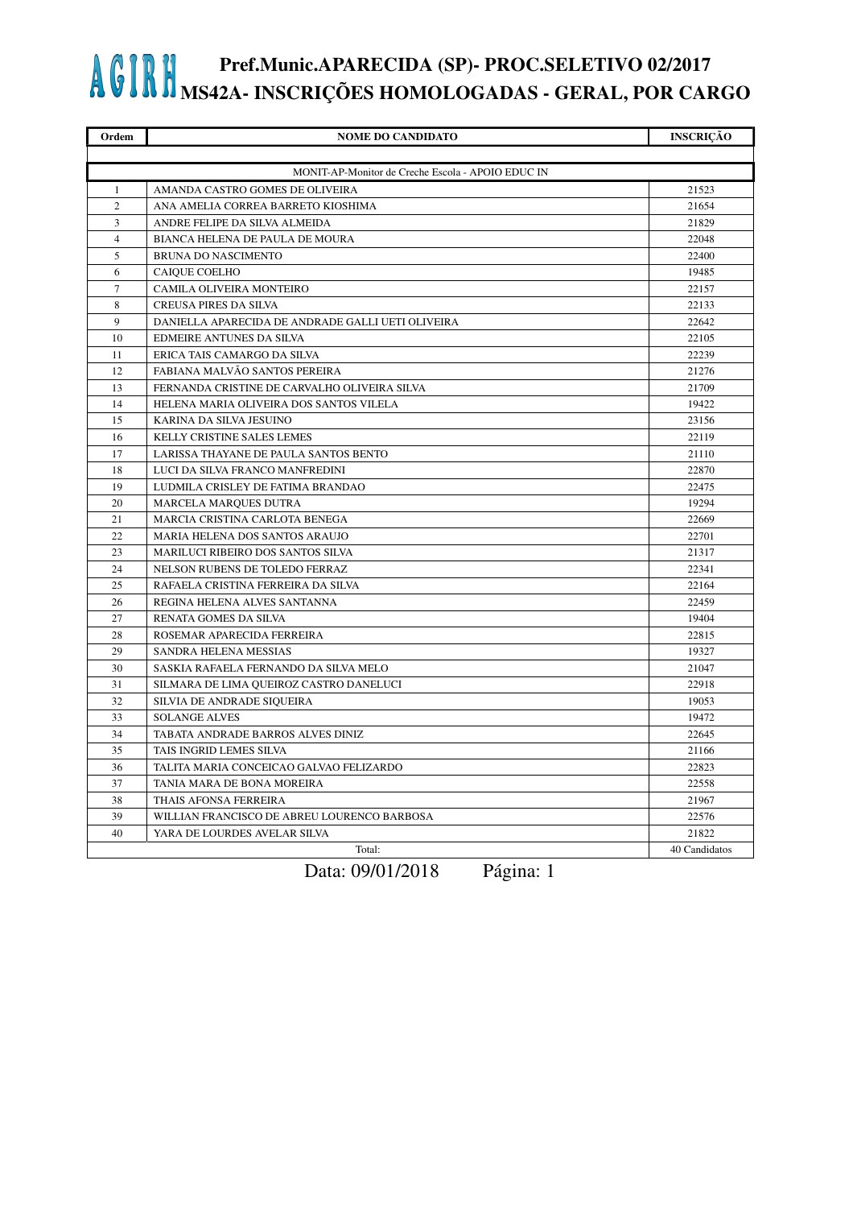| Ordem                                             | <b>NOME DO CANDIDATO</b>                          | <b>INSCRIÇÃO</b> |
|---------------------------------------------------|---------------------------------------------------|------------------|
|                                                   |                                                   |                  |
| MONIT-AP-Monitor de Creche Escola - APOIO EDUC IN |                                                   |                  |
| 1                                                 | AMANDA CASTRO GOMES DE OLIVEIRA                   | 21523            |
| 2                                                 | ANA AMELIA CORREA BARRETO KIOSHIMA                | 21654            |
| 3                                                 | ANDRE FELIPE DA SILVA ALMEIDA                     | 21829            |
| $\overline{4}$                                    | BIANCA HELENA DE PAULA DE MOURA                   | 22048            |
| 5                                                 | BRUNA DO NASCIMENTO                               | 22400            |
| 6                                                 | CAIQUE COELHO                                     | 19485            |
| $\overline{7}$                                    | CAMILA OLIVEIRA MONTEIRO                          | 22157            |
| 8                                                 | <b>CREUSA PIRES DA SILVA</b>                      | 22133            |
| 9                                                 | DANIELLA APARECIDA DE ANDRADE GALLI UETI OLIVEIRA | 22642            |
| 10                                                | EDMEIRE ANTUNES DA SILVA                          | 22105            |
| 11                                                | ERICA TAIS CAMARGO DA SILVA                       | 22239            |
| 12                                                | FABIANA MALVÃO SANTOS PEREIRA                     | 21276            |
| 13                                                | FERNANDA CRISTINE DE CARVALHO OLIVEIRA SILVA      | 21709            |
| 14                                                | HELENA MARIA OLIVEIRA DOS SANTOS VILELA           | 19422            |
| 15                                                | KARINA DA SILVA JESUINO                           | 23156            |
| 16                                                | KELLY CRISTINE SALES LEMES                        | 22119            |
| 17                                                | LARISSA THAYANE DE PAULA SANTOS BENTO             | 21110            |
| 18                                                | LUCI DA SILVA FRANCO MANFREDINI                   | 22870            |
| 19                                                | LUDMILA CRISLEY DE FATIMA BRANDAO                 | 22475            |
| 20                                                | MARCELA MARQUES DUTRA                             | 19294            |
| 21                                                | MARCIA CRISTINA CARLOTA BENEGA                    | 22669            |
| 22                                                | MARIA HELENA DOS SANTOS ARAUJO                    | 22701            |
| 23                                                | MARILUCI RIBEIRO DOS SANTOS SILVA                 | 21317            |
| 24                                                | NELSON RUBENS DE TOLEDO FERRAZ                    | 22341            |
| 25                                                | RAFAELA CRISTINA FERREIRA DA SILVA                | 22164            |
| 26                                                | REGINA HELENA ALVES SANTANNA                      | 22459            |
| 27                                                | RENATA GOMES DA SILVA                             | 19404            |
| 28                                                | ROSEMAR APARECIDA FERREIRA                        | 22815            |
| 29                                                | SANDRA HELENA MESSIAS                             | 19327            |
| 30                                                | SASKIA RAFAELA FERNANDO DA SILVA MELO             | 21047            |
| 31                                                | SILMARA DE LIMA QUEIROZ CASTRO DANELUCI           | 22918            |
| 32                                                | SILVIA DE ANDRADE SIQUEIRA                        | 19053            |
| 33                                                | <b>SOLANGE ALVES</b>                              | 19472            |
| 34                                                | TABATA ANDRADE BARROS ALVES DINIZ                 | 22645            |
| 35                                                | TAIS INGRID LEMES SILVA                           | 21166            |
| 36                                                | TALITA MARIA CONCEICAO GALVAO FELIZARDO           | 22823            |
| 37                                                | TANIA MARA DE BONA MOREIRA                        | 22558            |
| 38                                                | THAIS AFONSA FERREIRA                             | 21967            |
| 39                                                | WILLIAN FRANCISCO DE ABREU LOURENCO BARBOSA       | 22576            |
| 40                                                | YARA DE LOURDES AVELAR SILVA                      | 21822            |
|                                                   | Total:                                            | 40 Candidatos    |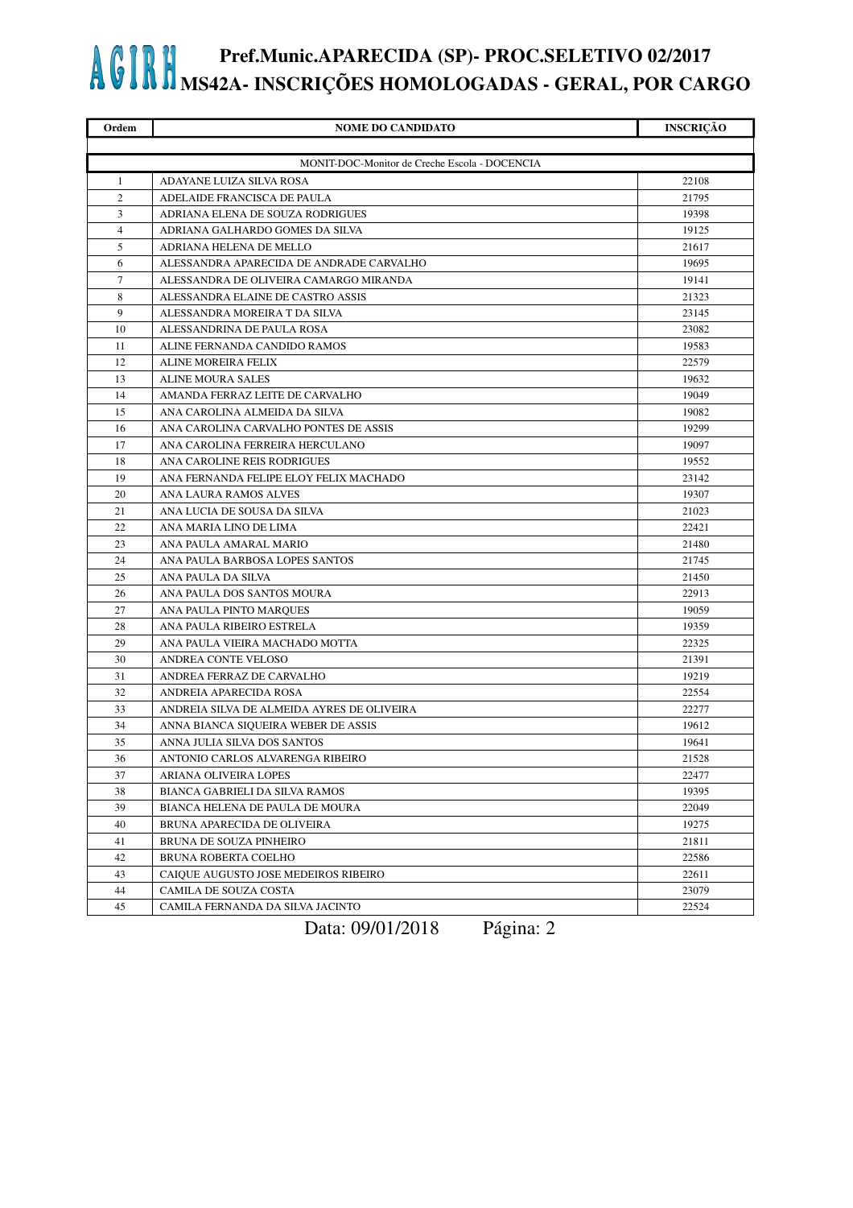| Ordem          | <b>NOME DO CANDIDATO</b>                      | <b>INSCRIÇÃO</b> |
|----------------|-----------------------------------------------|------------------|
|                |                                               |                  |
|                | MONIT-DOC-Monitor de Creche Escola - DOCENCIA |                  |
| 1              | ADAYANE LUIZA SILVA ROSA                      | 22108            |
| $\overline{2}$ | ADELAIDE FRANCISCA DE PAULA                   | 21795            |
| 3              | ADRIANA ELENA DE SOUZA RODRIGUES              | 19398            |
| $\overline{4}$ | ADRIANA GALHARDO GOMES DA SILVA               | 19125            |
| 5              | ADRIANA HELENA DE MELLO                       | 21617            |
| 6              | ALESSANDRA APARECIDA DE ANDRADE CARVALHO      | 19695            |
| $\tau$         | ALESSANDRA DE OLIVEIRA CAMARGO MIRANDA        | 19141            |
| 8              | ALESSANDRA ELAINE DE CASTRO ASSIS             | 21323            |
| 9              | ALESSANDRA MOREIRA T DA SILVA                 | 23145            |
| 10             | ALESSANDRINA DE PAULA ROSA                    | 23082            |
| 11             | ALINE FERNANDA CANDIDO RAMOS                  | 19583            |
| 12             | ALINE MOREIRA FELIX                           | 22579            |
| 13             | <b>ALINE MOURA SALES</b>                      | 19632            |
| 14             | AMANDA FERRAZ LEITE DE CARVALHO               | 19049            |
| 15             | ANA CAROLINA ALMEIDA DA SILVA                 | 19082            |
| 16             | ANA CAROLINA CARVALHO PONTES DE ASSIS         | 19299            |
| 17             | ANA CAROLINA FERREIRA HERCULANO               | 19097            |
| 18             | ANA CAROLINE REIS RODRIGUES                   | 19552            |
| 19             | ANA FERNANDA FELIPE ELOY FELIX MACHADO        | 23142            |
| 20             | ANA LAURA RAMOS ALVES                         | 19307            |
| 21             | ANA LUCIA DE SOUSA DA SILVA                   | 21023            |
| 22             | ANA MARIA LINO DE LIMA                        | 22421            |
| 23             | ANA PAULA AMARAL MARIO                        | 21480            |
| 24             | ANA PAULA BARBOSA LOPES SANTOS                | 21745            |
| 25             | ANA PAULA DA SILVA                            | 21450            |
| 26             | ANA PAULA DOS SANTOS MOURA                    | 22913            |
| 27             | ANA PAULA PINTO MARQUES                       | 19059            |
| 28             | ANA PAULA RIBEIRO ESTRELA                     | 19359            |
| 29             | ANA PAULA VIEIRA MACHADO MOTTA                | 22325            |
| 30             | ANDREA CONTE VELOSO                           | 21391            |
| 31             | ANDREA FERRAZ DE CARVALHO                     | 19219            |
| 32             | ANDREIA APARECIDA ROSA                        | 22554            |
| 33             | ANDREIA SILVA DE ALMEIDA AYRES DE OLIVEIRA    | 22277            |
| 34             | ANNA BIANCA SIQUEIRA WEBER DE ASSIS           | 19612            |
| 35             | ANNA JULIA SILVA DOS SANTOS                   | 19641            |
| 36             | ANTONIO CARLOS ALVARENGA RIBEIRO              | 21528            |
| 37             | ARIANA OLIVEIRA LOPES                         | 22477            |
| 38             | BIANCA GABRIELI DA SILVA RAMOS                | 19395            |
| 39             | BIANCA HELENA DE PAULA DE MOURA               | 22049            |
| 40             | BRUNA APARECIDA DE OLIVEIRA                   | 19275            |
| 41             | BRUNA DE SOUZA PINHEIRO                       | 21811            |
| 42             | BRUNA ROBERTA COELHO                          | 22586            |
| 43             | CAIQUE AUGUSTO JOSE MEDEIROS RIBEIRO          | 22611            |
| 44             | CAMILA DE SOUZA COSTA                         | 23079            |
| 45             | CAMILA FERNANDA DA SILVA JACINTO              | 22524            |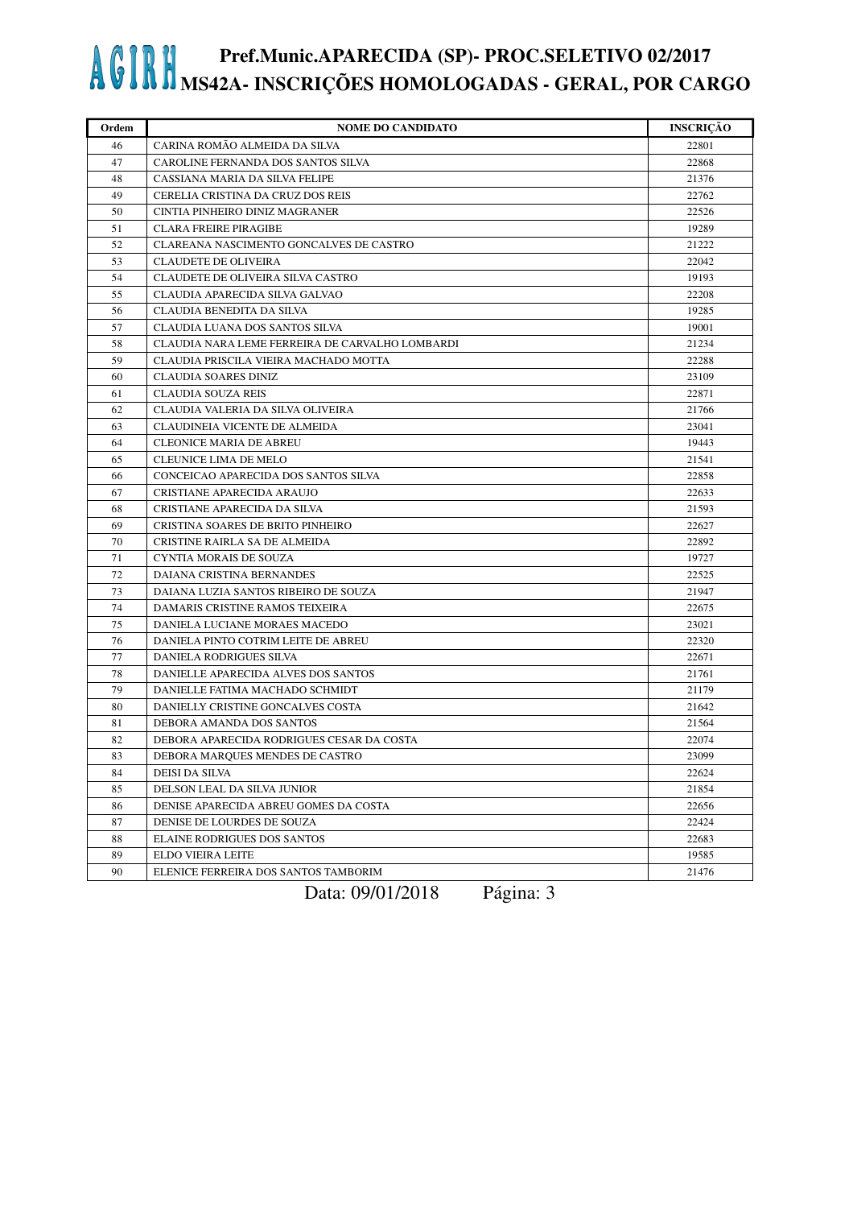| Ordem | <b>NOME DO CANDIDATO</b>                        | <b>INSCRIÇÃO</b> |
|-------|-------------------------------------------------|------------------|
| 46    | CARINA ROMÃO ALMEIDA DA SILVA                   | 22801            |
| 47    | CAROLINE FERNANDA DOS SANTOS SILVA              | 22868            |
| 48    | CASSIANA MARIA DA SILVA FELIPE                  | 21376            |
| 49    | CERELIA CRISTINA DA CRUZ DOS REIS               | 22762            |
| 50    | CINTIA PINHEIRO DINIZ MAGRANER                  | 22526            |
| 51    | <b>CLARA FREIRE PIRAGIBE</b>                    | 19289            |
| 52    | CLAREANA NASCIMENTO GONCALVES DE CASTRO         | 21222            |
| 53    | <b>CLAUDETE DE OLIVEIRA</b>                     | 22042            |
| 54    | CLAUDETE DE OLIVEIRA SILVA CASTRO               | 19193            |
| 55    | CLAUDIA APARECIDA SILVA GALVAO                  | 22208            |
| 56    | CLAUDIA BENEDITA DA SILVA                       | 19285            |
| 57    | CLAUDIA LUANA DOS SANTOS SILVA                  | 19001            |
| 58    | CLAUDIA NARA LEME FERREIRA DE CARVALHO LOMBARDI | 21234            |
| 59    | CLAUDIA PRISCILA VIEIRA MACHADO MOTTA           | 22288            |
| 60    | <b>CLAUDIA SOARES DINIZ</b>                     | 23109            |
| 61    | <b>CLAUDIA SOUZA REIS</b>                       | 22871            |
| 62    | CLAUDIA VALERIA DA SILVA OLIVEIRA               | 21766            |
| 63    | CLAUDINEIA VICENTE DE ALMEIDA                   | 23041            |
| 64    | <b>CLEONICE MARIA DE ABREU</b>                  | 19443            |
| 65    | CLEUNICE LIMA DE MELO                           | 21541            |
| 66    | CONCEICAO APARECIDA DOS SANTOS SILVA            | 22858            |
| 67    | CRISTIANE APARECIDA ARAUJO                      | 22633            |
| 68    | CRISTIANE APARECIDA DA SILVA                    | 21593            |
| 69    | CRISTINA SOARES DE BRITO PINHEIRO               | 22627            |
| 70    | CRISTINE RAIRLA SA DE ALMEIDA                   | 22892            |
| 71    | <b>CYNTIA MORAIS DE SOUZA</b>                   | 19727            |
| 72    | DAIANA CRISTINA BERNANDES                       | 22525            |
| 73    | DAIANA LUZIA SANTOS RIBEIRO DE SOUZA            | 21947            |
| 74    | DAMARIS CRISTINE RAMOS TEIXEIRA                 | 22675            |
| 75    | DANIELA LUCIANE MORAES MACEDO                   | 23021            |
| 76    | DANIELA PINTO COTRIM LEITE DE ABREU             | 22320            |
| 77    | DANIELA RODRIGUES SILVA                         | 22671            |
| 78    | DANIELLE APARECIDA ALVES DOS SANTOS             | 21761            |
| 79    | DANIELLE FATIMA MACHADO SCHMIDT                 | 21179            |
| 80    | DANIELLY CRISTINE GONCALVES COSTA               | 21642            |
| 81    | DEBORA AMANDA DOS SANTOS                        | 21564            |
| 82    | DEBORA APARECIDA RODRIGUES CESAR DA COSTA       | 22074            |
| 83    | DEBORA MARQUES MENDES DE CASTRO                 | 23099            |
| 84    | <b>DEISI DA SILVA</b>                           | 22624            |
| 85    | DELSON LEAL DA SILVA JUNIOR                     | 21854            |
| 86    | DENISE APARECIDA ABREU GOMES DA COSTA           | 22656            |
| 87    | DENISE DE LOURDES DE SOUZA                      | 22424            |
| 88    | ELAINE RODRIGUES DOS SANTOS                     | 22683            |
| 89    | <b>ELDO VIEIRA LEITE</b>                        | 19585            |
| 90    | ELENICE FERREIRA DOS SANTOS TAMBORIM            | 21476            |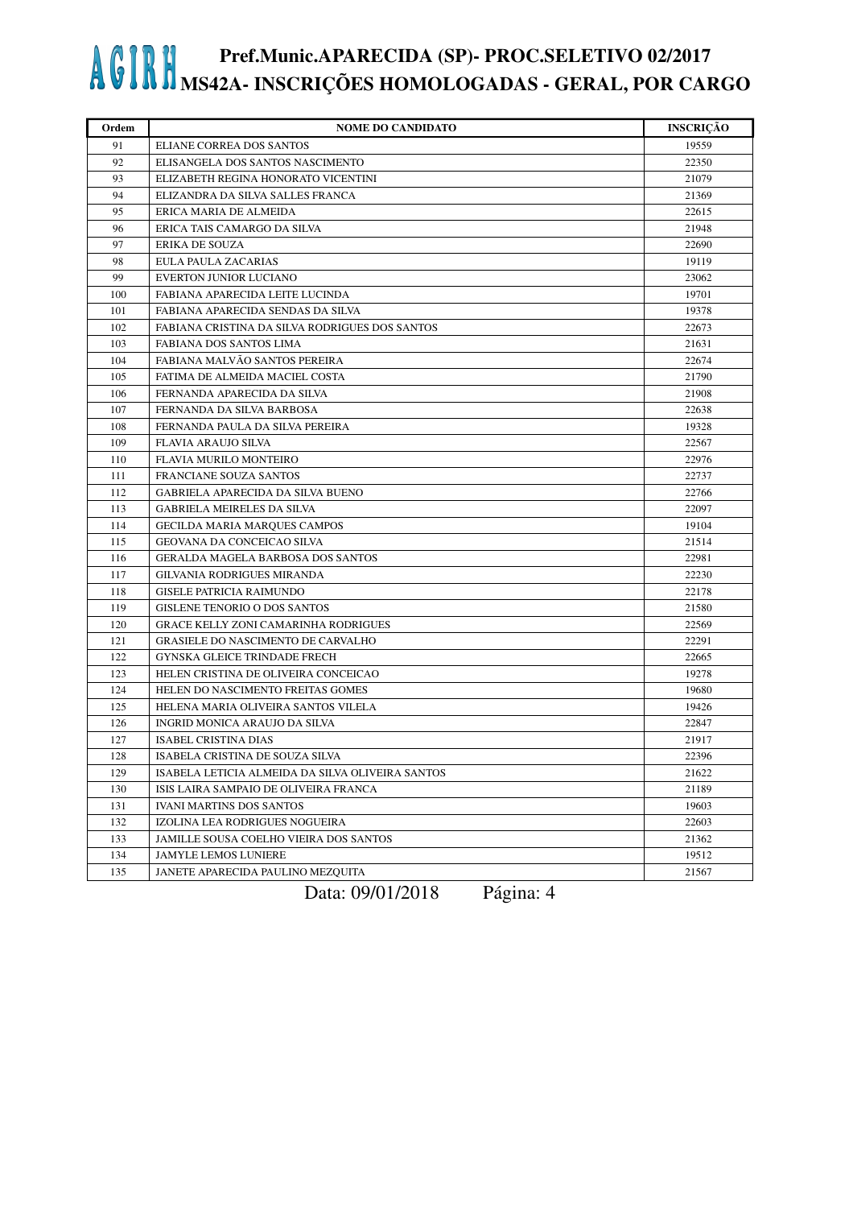| Ordem | <b>NOME DO CANDIDATO</b>                         | <b>INSCRIÇÃO</b> |
|-------|--------------------------------------------------|------------------|
| 91    | ELIANE CORREA DOS SANTOS                         | 19559            |
| 92    | ELISANGELA DOS SANTOS NASCIMENTO                 | 22350            |
| 93    | ELIZABETH REGINA HONORATO VICENTINI              | 21079            |
| 94    | ELIZANDRA DA SILVA SALLES FRANCA                 | 21369            |
| 95    | ERICA MARIA DE ALMEIDA                           | 22615            |
| 96    | ERICA TAIS CAMARGO DA SILVA                      | 21948            |
| 97    | <b>ERIKA DE SOUZA</b>                            | 22690            |
| 98    | EULA PAULA ZACARIAS                              | 19119            |
| 99    | <b>EVERTON JUNIOR LUCIANO</b>                    | 23062            |
| 100   | FABIANA APARECIDA LEITE LUCINDA                  | 19701            |
| 101   | FABIANA APARECIDA SENDAS DA SILVA                | 19378            |
| 102   | FABIANA CRISTINA DA SILVA RODRIGUES DOS SANTOS   | 22673            |
| 103   | FABIANA DOS SANTOS LIMA                          | 21631            |
| 104   | FABIANA MALVÃO SANTOS PEREIRA                    | 22674            |
| 105   | FATIMA DE ALMEIDA MACIEL COSTA                   | 21790            |
| 106   | FERNANDA APARECIDA DA SILVA                      | 21908            |
| 107   | FERNANDA DA SILVA BARBOSA                        | 22638            |
| 108   | FERNANDA PAULA DA SILVA PEREIRA                  | 19328            |
| 109   | <b>FLAVIA ARAUJO SILVA</b>                       | 22567            |
| 110   | FLAVIA MURILO MONTEIRO                           | 22976            |
| 111   | FRANCIANE SOUZA SANTOS                           | 22737            |
| 112   | GABRIELA APARECIDA DA SILVA BUENO                | 22766            |
| 113   | GABRIELA MEIRELES DA SILVA                       | 22097            |
| 114   | GECILDA MARIA MARQUES CAMPOS                     | 19104            |
| 115   | GEOVANA DA CONCEICAO SILVA                       | 21514            |
| 116   | <b>GERALDA MAGELA BARBOSA DOS SANTOS</b>         | 22981            |
| 117   | GILVANIA RODRIGUES MIRANDA                       | 22230            |
| 118   | <b>GISELE PATRICIA RAIMUNDO</b>                  | 22178            |
| 119   | <b>GISLENE TENORIO O DOS SANTOS</b>              | 21580            |
| 120   | <b>GRACE KELLY ZONI CAMARINHA RODRIGUES</b>      | 22569            |
| 121   | <b>GRASIELE DO NASCIMENTO DE CARVALHO</b>        | 22291            |
| 122   | GYNSKA GLEICE TRINDADE FRECH                     | 22665            |
| 123   | HELEN CRISTINA DE OLIVEIRA CONCEICAO             | 19278            |
| 124   | HELEN DO NASCIMENTO FREITAS GOMES                | 19680            |
| 125   | HELENA MARIA OLIVEIRA SANTOS VILELA              | 19426            |
| 126   | INGRID MONICA ARAUJO DA SILVA                    | 22847            |
| 127   | <b>ISABEL CRISTINA DIAS</b>                      | 21917            |
| 128   | ISABELA CRISTINA DE SOUZA SILVA                  | 22396            |
| 129   | ISABELA LETICIA ALMEIDA DA SILVA OLIVEIRA SANTOS | 21622            |
| 130   | ISIS LAIRA SAMPAIO DE OLIVEIRA FRANCA            | 21189            |
| 131   | <b>IVANI MARTINS DOS SANTOS</b>                  | 19603            |
| 132   | IZOLINA LEA RODRIGUES NOGUEIRA                   | 22603            |
| 133   | JAMILLE SOUSA COELHO VIEIRA DOS SANTOS           | 21362            |
| 134   | <b>JAMYLE LEMOS LUNIERE</b>                      | 19512            |
| 135   | JANETE APARECIDA PAULINO MEZQUITA                | 21567            |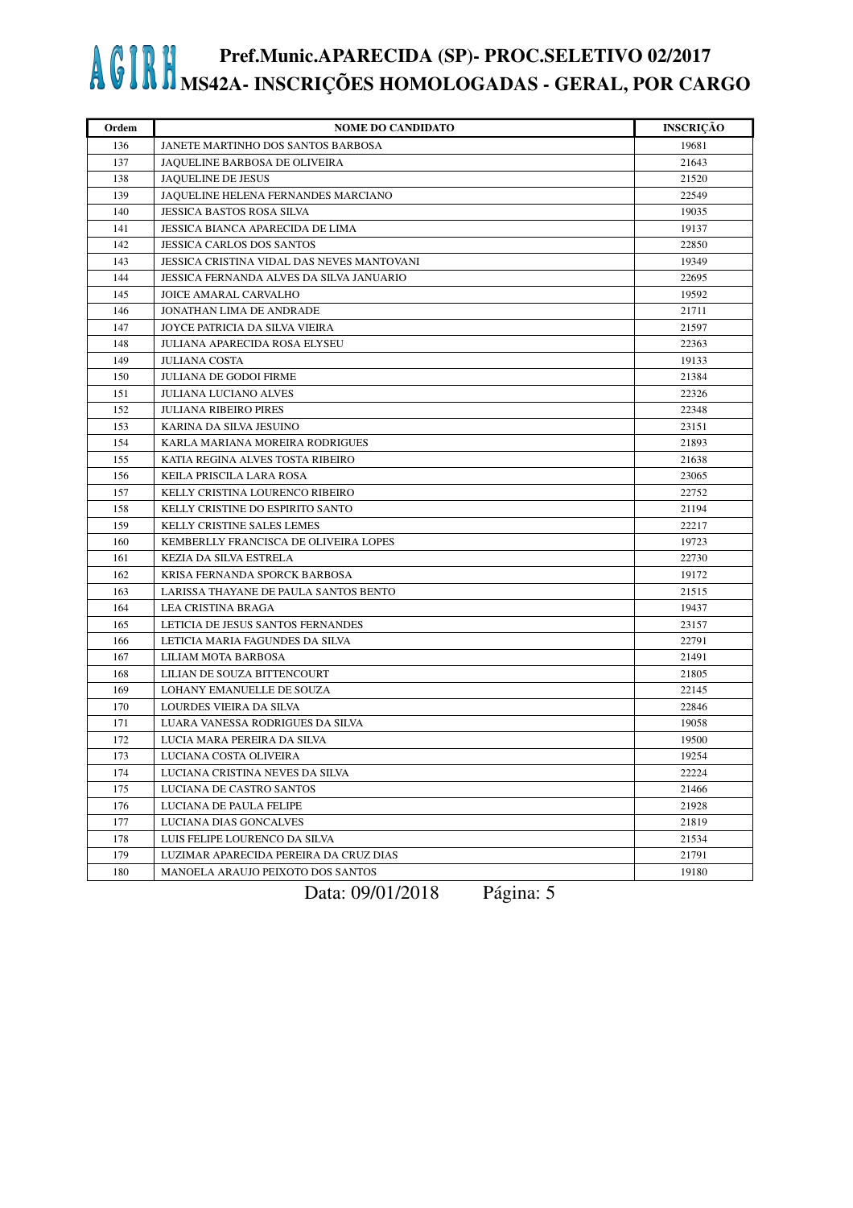| Ordem | <b>NOME DO CANDIDATO</b>                   | <b>INSCRICÃO</b> |
|-------|--------------------------------------------|------------------|
| 136   | JANETE MARTINHO DOS SANTOS BARBOSA         | 19681            |
| 137   | <b>JAOUELINE BARBOSA DE OLIVEIRA</b>       | 21643            |
| 138   | <b>JAQUELINE DE JESUS</b>                  | 21520            |
| 139   | JAQUELINE HELENA FERNANDES MARCIANO        | 22549            |
| 140   | <b>JESSICA BASTOS ROSA SILVA</b>           | 19035            |
| 141   | JESSICA BIANCA APARECIDA DE LIMA           | 19137            |
| 142   | <b>JESSICA CARLOS DOS SANTOS</b>           | 22850            |
| 143   | JESSICA CRISTINA VIDAL DAS NEVES MANTOVANI | 19349            |
| 144   | JESSICA FERNANDA ALVES DA SILVA JANUARIO   | 22695            |
| 145   | JOICE AMARAL CARVALHO                      | 19592            |
| 146   | JONATHAN LIMA DE ANDRADE                   | 21711            |
| 147   | JOYCE PATRICIA DA SILVA VIEIRA             | 21597            |
| 148   | JULIANA APARECIDA ROSA ELYSEU              | 22363            |
| 149   | <b>JULIANA COSTA</b>                       | 19133            |
| 150   | <b>JULIANA DE GODOI FIRME</b>              | 21384            |
| 151   | <b>JULIANA LUCIANO ALVES</b>               | 22326            |
| 152   | <b>JULIANA RIBEIRO PIRES</b>               | 22348            |
| 153   | KARINA DA SILVA JESUINO                    | 23151            |
| 154   | KARLA MARIANA MOREIRA RODRIGUES            | 21893            |
| 155   | KATIA REGINA ALVES TOSTA RIBEIRO           | 21638            |
| 156   | KEILA PRISCILA LARA ROSA                   | 23065            |
| 157   | KELLY CRISTINA LOURENCO RIBEIRO            | 22752            |
| 158   | KELLY CRISTINE DO ESPIRITO SANTO           | 21194            |
| 159   | KELLY CRISTINE SALES LEMES                 | 22217            |
| 160   | KEMBERLLY FRANCISCA DE OLIVEIRA LOPES      | 19723            |
| 161   | KEZIA DA SILVA ESTRELA                     | 22730            |
| 162   | KRISA FERNANDA SPORCK BARBOSA              | 19172            |
| 163   | LARISSA THAYANE DE PAULA SANTOS BENTO      | 21515            |
| 164   | LEA CRISTINA BRAGA                         | 19437            |
| 165   | LETICIA DE JESUS SANTOS FERNANDES          | 23157            |
| 166   | LETICIA MARIA FAGUNDES DA SILVA            | 22791            |
| 167   | LILIAM MOTA BARBOSA                        | 21491            |
| 168   | LILIAN DE SOUZA BITTENCOURT                | 21805            |
| 169   | LOHANY EMANUELLE DE SOUZA                  | 22145            |
| 170   | LOURDES VIEIRA DA SILVA                    | 22846            |
| 171   | LUARA VANESSA RODRIGUES DA SILVA           | 19058            |
| 172   | LUCIA MARA PEREIRA DA SILVA                | 19500            |
| 173   | LUCIANA COSTA OLIVEIRA                     | 19254            |
| 174   | LUCIANA CRISTINA NEVES DA SILVA            | 22224            |
| 175   | LUCIANA DE CASTRO SANTOS                   | 21466            |
| 176   | LUCIANA DE PAULA FELIPE                    | 21928            |
| 177   | LUCIANA DIAS GONCALVES                     | 21819            |
| 178   | LUIS FELIPE LOURENCO DA SILVA              | 21534            |
| 179   | LUZIMAR APARECIDA PEREIRA DA CRUZ DIAS     | 21791            |
| 180   | <b>MANOELA ARAUJO PEIXOTO DOS SANTOS</b>   | 19180            |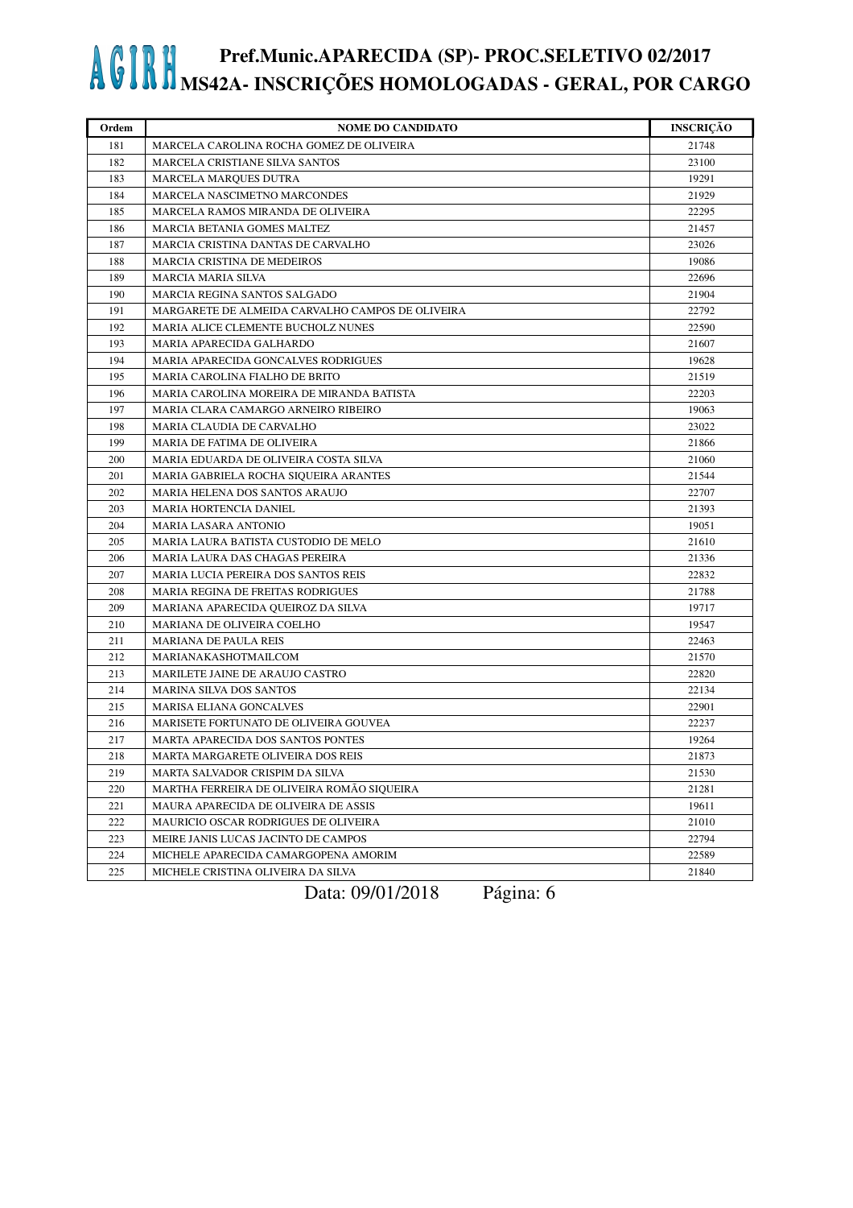| Ordem | <b>NOME DO CANDIDATO</b>                         | <b>INSCRIÇÃO</b> |
|-------|--------------------------------------------------|------------------|
| 181   | MARCELA CAROLINA ROCHA GOMEZ DE OLIVEIRA         | 21748            |
| 182   | MARCELA CRISTIANE SILVA SANTOS                   | 23100            |
| 183   | MARCELA MARQUES DUTRA                            | 19291            |
| 184   | MARCELA NASCIMETNO MARCONDES                     | 21929            |
| 185   | MARCELA RAMOS MIRANDA DE OLIVEIRA                | 22295            |
| 186   | MARCIA BETANIA GOMES MALTEZ                      | 21457            |
| 187   | MARCIA CRISTINA DANTAS DE CARVALHO               | 23026            |
| 188   | <b>MARCIA CRISTINA DE MEDEIROS</b>               | 19086            |
| 189   | <b>MARCIA MARIA SILVA</b>                        | 22696            |
| 190   | <b>MARCIA REGINA SANTOS SALGADO</b>              | 21904            |
| 191   | MARGARETE DE ALMEIDA CARVALHO CAMPOS DE OLIVEIRA | 22792            |
| 192   | MARIA ALICE CLEMENTE BUCHOLZ NUNES               | 22590            |
| 193   | MARIA APARECIDA GALHARDO                         | 21607            |
| 194   | MARIA APARECIDA GONCALVES RODRIGUES              | 19628            |
| 195   | MARIA CAROLINA FIALHO DE BRITO                   | 21519            |
| 196   | MARIA CAROLINA MOREIRA DE MIRANDA BATISTA        | 22203            |
| 197   | MARIA CLARA CAMARGO ARNEIRO RIBEIRO              | 19063            |
| 198   | MARIA CLAUDIA DE CARVALHO                        | 23022            |
| 199   | <b>MARIA DE FATIMA DE OLIVEIRA</b>               | 21866            |
| 200   | MARIA EDUARDA DE OLIVEIRA COSTA SILVA            | 21060            |
| 201   | MARIA GABRIELA ROCHA SIQUEIRA ARANTES            | 21544            |
| 202   | MARIA HELENA DOS SANTOS ARAUJO                   | 22707            |
| 203   | MARIA HORTENCIA DANIEL                           | 21393            |
| 204   | <b>MARIA LASARA ANTONIO</b>                      | 19051            |
| 205   | MARIA LAURA BATISTA CUSTODIO DE MELO             | 21610            |
| 206   | MARIA LAURA DAS CHAGAS PEREIRA                   | 21336            |
| 207   | MARIA LUCIA PEREIRA DOS SANTOS REIS              | 22832            |
| 208   | <b>MARIA REGINA DE FREITAS RODRIGUES</b>         | 21788            |
| 209   | MARIANA APARECIDA QUEIROZ DA SILVA               | 19717            |
| 210   | MARIANA DE OLIVEIRA COELHO                       | 19547            |
| 211   | <b>MARIANA DE PAULA REIS</b>                     | 22463            |
| 212   | MARIANAKASHOTMAILCOM                             | 21570            |
| 213   | MARILETE JAINE DE ARAUJO CASTRO                  | 22820            |
| 214   | <b>MARINA SILVA DOS SANTOS</b>                   | 22134            |
| 215   | MARISA ELIANA GONCALVES                          | 22901            |
| 216   | MARISETE FORTUNATO DE OLIVEIRA GOUVEA            | 22237            |
| 217   | <b>MARTA APARECIDA DOS SANTOS PONTES</b>         | 19264            |
| 218   | MARTA MARGARETE OLIVEIRA DOS REIS                | 21873            |
| 219   | MARTA SALVADOR CRISPIM DA SILVA                  | 21530            |
| 220   | MARTHA FERREIRA DE OLIVEIRA ROMÃO SIQUEIRA       | 21281            |
| 221   | MAURA APARECIDA DE OLIVEIRA DE ASSIS             | 19611            |
| 222   | MAURICIO OSCAR RODRIGUES DE OLIVEIRA             | 21010            |
| 223   | MEIRE JANIS LUCAS JACINTO DE CAMPOS              | 22794            |
| 224   | MICHELE APARECIDA CAMARGOPENA AMORIM             | 22589            |
| 225   | MICHELE CRISTINA OLIVEIRA DA SILVA               | 21840            |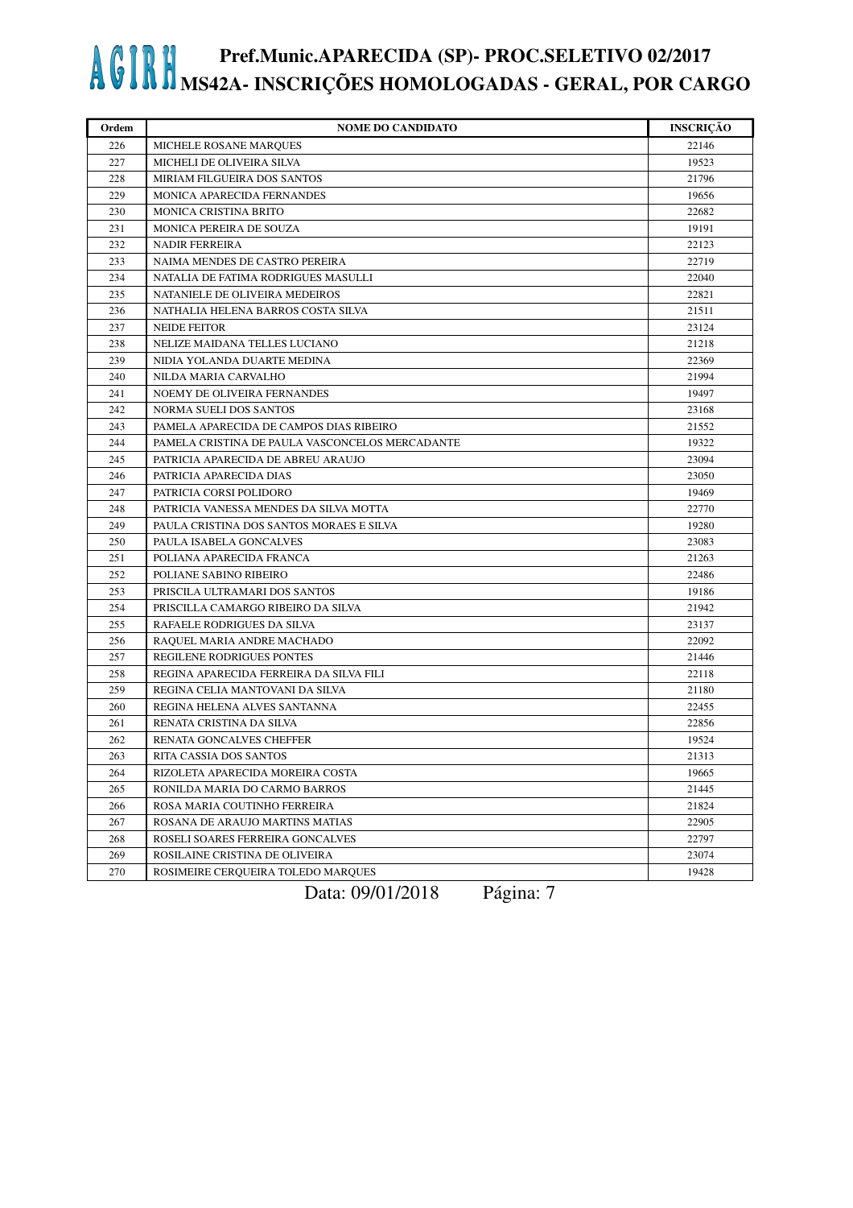| Ordem | <b>NOME DO CANDIDATO</b>                        | <b>INSCRIÇÃO</b> |
|-------|-------------------------------------------------|------------------|
| 226   | MICHELE ROSANE MARQUES                          | 22146            |
| 227   | MICHELI DE OLIVEIRA SILVA                       | 19523            |
| 228   | MIRIAM FILGUEIRA DOS SANTOS                     | 21796            |
| 229   | MONICA APARECIDA FERNANDES                      | 19656            |
| 230   | MONICA CRISTINA BRITO                           | 22682            |
| 231   | <b>MONICA PEREIRA DE SOUZA</b>                  | 19191            |
| 232   | <b>NADIR FERREIRA</b>                           | 22123            |
| 233   | NAIMA MENDES DE CASTRO PEREIRA                  | 22719            |
| 234   | NATALIA DE FATIMA RODRIGUES MASULLI             | 22040            |
| 235   | NATANIELE DE OLIVEIRA MEDEIROS                  | 22821            |
| 236   | NATHALIA HELENA BARROS COSTA SILVA              | 21511            |
| 237   | <b>NEIDE FEITOR</b>                             | 23124            |
| 238   | NELIZE MAIDANA TELLES LUCIANO                   | 21218            |
| 239   | NIDIA YOLANDA DUARTE MEDINA                     | 22369            |
| 240   | NILDA MARIA CARVALHO                            | 21994            |
| 241   | NOEMY DE OLIVEIRA FERNANDES                     | 19497            |
| 242   | NORMA SUELI DOS SANTOS                          | 23168            |
| 243   | PAMELA APARECIDA DE CAMPOS DIAS RIBEIRO         | 21552            |
| 244   | PAMELA CRISTINA DE PAULA VASCONCELOS MERCADANTE | 19322            |
| 245   | PATRICIA APARECIDA DE ABREU ARAUJO              | 23094            |
| 246   | PATRICIA APARECIDA DIAS                         | 23050            |
| 247   | PATRICIA CORSI POLIDORO                         | 19469            |
| 248   | PATRICIA VANESSA MENDES DA SILVA MOTTA          | 22770            |
| 249   | PAULA CRISTINA DOS SANTOS MORAES E SILVA        | 19280            |
| 250   | PAULA ISABELA GONCALVES                         | 23083            |
| 251   | POLIANA APARECIDA FRANCA                        | 21263            |
| 252   | POLIANE SABINO RIBEIRO                          | 22486            |
| 253   | PRISCILA ULTRAMARI DOS SANTOS                   | 19186            |
| 254   | PRISCILLA CAMARGO RIBEIRO DA SILVA              | 21942            |
| 255   | RAFAELE RODRIGUES DA SILVA                      | 23137            |
| 256   | RAQUEL MARIA ANDRE MACHADO                      | 22092            |
| 257   | REGILENE RODRIGUES PONTES                       | 21446            |
| 258   | REGINA APARECIDA FERREIRA DA SILVA FILI         | 22118            |
| 259   | REGINA CELIA MANTOVANI DA SILVA                 | 21180            |
| 260   | REGINA HELENA ALVES SANTANNA                    | 22455            |
| 261   | RENATA CRISTINA DA SILVA                        | 22856            |
| 262   | RENATA GONCALVES CHEFFER                        | 19524            |
| 263   | RITA CASSIA DOS SANTOS                          | 21313            |
| 264   | RIZOLETA APARECIDA MOREIRA COSTA                | 19665            |
| 265   | RONILDA MARIA DO CARMO BARROS                   | 21445            |
| 266   | ROSA MARIA COUTINHO FERREIRA                    | 21824            |
| 267   | ROSANA DE ARAUJO MARTINS MATIAS                 | 22905            |
| 268   | ROSELI SOARES FERREIRA GONCALVES                | 22797            |
| 269   | ROSILAINE CRISTINA DE OLIVEIRA                  | 23074            |
| 270   | ROSIMEIRE CERQUEIRA TOLEDO MARQUES              | 19428            |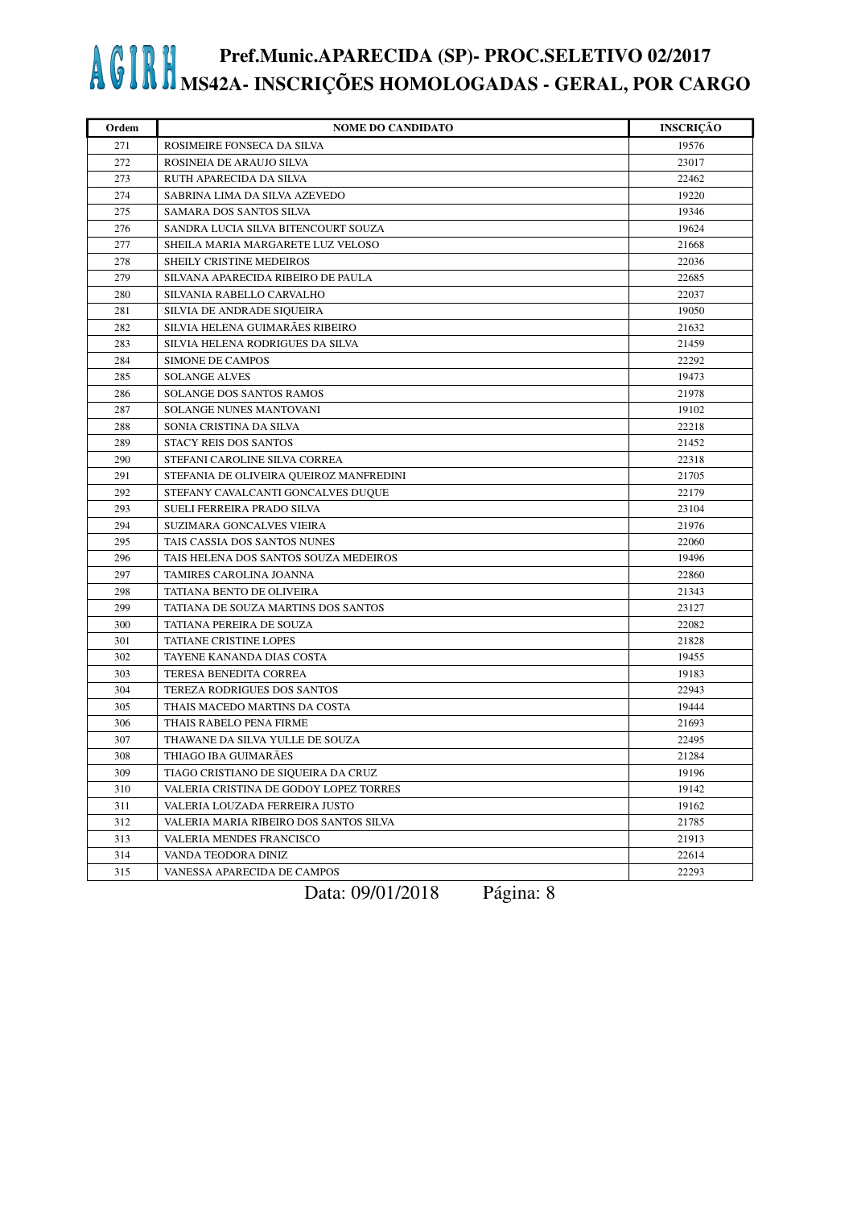| Ordem | <b>NOME DO CANDIDATO</b>                | <b>INSCRIÇÃO</b> |
|-------|-----------------------------------------|------------------|
| 271   | ROSIMEIRE FONSECA DA SILVA              | 19576            |
| 272   | ROSINEIA DE ARAUJO SILVA                | 23017            |
| 273   | RUTH APARECIDA DA SILVA                 | 22462            |
| 274   | SABRINA LIMA DA SILVA AZEVEDO           | 19220            |
| 275   | SAMARA DOS SANTOS SILVA                 | 19346            |
| 276   | SANDRA LUCIA SILVA BITENCOURT SOUZA     | 19624            |
| 277   | SHEILA MARIA MARGARETE LUZ VELOSO       | 21668            |
| 278   | SHEILY CRISTINE MEDEIROS                | 22036            |
| 279   | SILVANA APARECIDA RIBEIRO DE PAULA      | 22685            |
| 280   | SILVANIA RABELLO CARVALHO               | 22037            |
| 281   | SILVIA DE ANDRADE SIQUEIRA              | 19050            |
| 282   | SILVIA HELENA GUIMARÃES RIBEIRO         | 21632            |
| 283   | SILVIA HELENA RODRIGUES DA SILVA        | 21459            |
| 284   | <b>SIMONE DE CAMPOS</b>                 | 22292            |
| 285   | <b>SOLANGE ALVES</b>                    | 19473            |
| 286   | <b>SOLANGE DOS SANTOS RAMOS</b>         | 21978            |
| 287   | SOLANGE NUNES MANTOVANI                 | 19102            |
| 288   | SONIA CRISTINA DA SILVA                 | 22218            |
| 289   | <b>STACY REIS DOS SANTOS</b>            | 21452            |
| 290   | STEFANI CAROLINE SILVA CORREA           | 22318            |
| 291   | STEFANIA DE OLIVEIRA QUEIROZ MANFREDINI | 21705            |
| 292   | STEFANY CAVALCANTI GONCALVES DUQUE      | 22179            |
| 293   | SUELI FERREIRA PRADO SILVA              | 23104            |
| 294   | <b>SUZIMARA GONCALVES VIEIRA</b>        | 21976            |
| 295   | TAIS CASSIA DOS SANTOS NUNES            | 22060            |
| 296   | TAIS HELENA DOS SANTOS SOUZA MEDEIROS   | 19496            |
| 297   | TAMIRES CAROLINA JOANNA                 | 22860            |
| 298   | TATIANA BENTO DE OLIVEIRA               | 21343            |
| 299   | TATIANA DE SOUZA MARTINS DOS SANTOS     | 23127            |
| 300   | TATIANA PEREIRA DE SOUZA                | 22082            |
| 301   | <b>TATIANE CRISTINE LOPES</b>           | 21828            |
| 302   | TAYENE KANANDA DIAS COSTA               | 19455            |
| 303   | TERESA BENEDITA CORREA                  | 19183            |
| 304   | TEREZA RODRIGUES DOS SANTOS             | 22943            |
| 305   | THAIS MACEDO MARTINS DA COSTA           | 19444            |
| 306   | THAIS RABELO PENA FIRME                 | 21693            |
| 307   | THAWANE DA SILVA YULLE DE SOUZA         | 22495            |
| 308   | THIAGO IBA GUIMARÃES                    | 21284            |
| 309   | TIAGO CRISTIANO DE SIQUEIRA DA CRUZ     | 19196            |
| 310   | VALERIA CRISTINA DE GODOY LOPEZ TORRES  | 19142            |
| 311   | VALERIA LOUZADA FERREIRA JUSTO          | 19162            |
| 312   | VALERIA MARIA RIBEIRO DOS SANTOS SILVA  | 21785            |
| 313   | VALERIA MENDES FRANCISCO                | 21913            |
| 314   | VANDA TEODORA DINIZ                     | 22614            |
| 315   | VANESSA APARECIDA DE CAMPOS             | 22293            |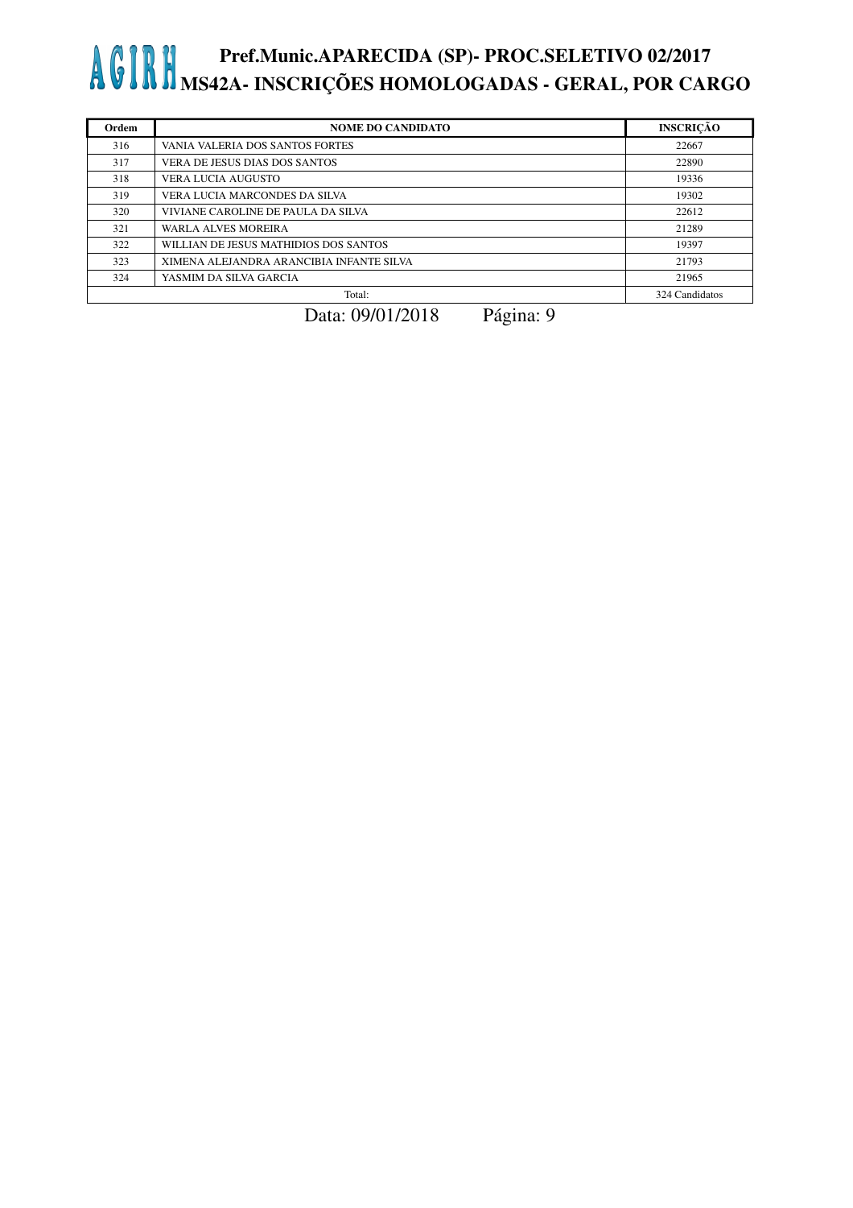| Ordem | <b>NOME DO CANDIDATO</b>                 | <b>INSCRICÃO</b> |
|-------|------------------------------------------|------------------|
| 316   | VANIA VALERIA DOS SANTOS FORTES          | 22667            |
| 317   | VERA DE JESUS DIAS DOS SANTOS            | 22890            |
| 318   | <b>VERA LUCIA AUGUSTO</b>                | 19336            |
| 319   | VERA LUCIA MARCONDES DA SILVA            | 19302            |
| 320   | VIVIANE CAROLINE DE PAULA DA SILVA       | 22612            |
| 321   | <b>WARLA ALVES MOREIRA</b>               | 21289            |
| 322   | WILLIAN DE JESUS MATHIDIOS DOS SANTOS    | 19397            |
| 323   | XIMENA ALEJANDRA ARANCIBIA INFANTE SILVA | 21793            |
| 324   | YASMIM DA SILVA GARCIA                   | 21965            |
|       | Total:                                   | 324 Candidatos   |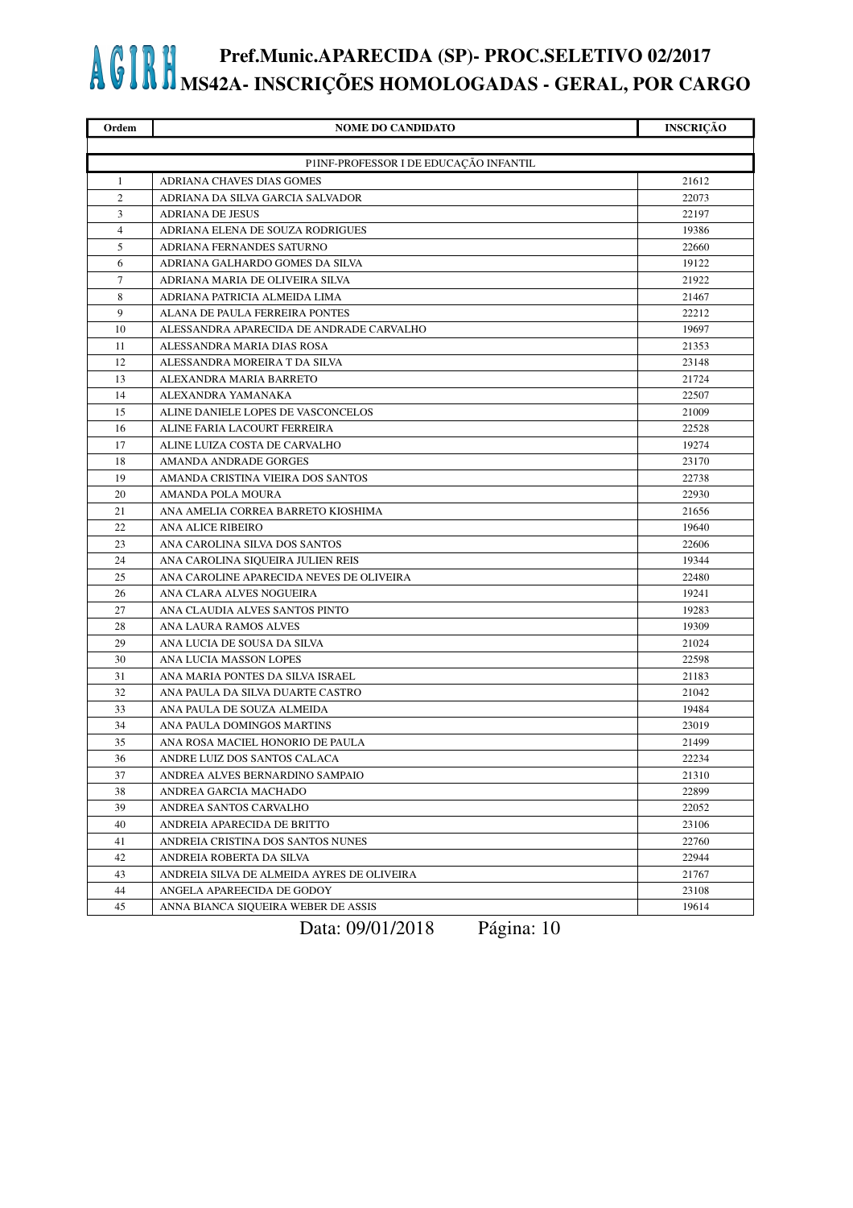| Ordem          | <b>NOME DO CANDIDATO</b>                   | <b>INSCRIÇÃO</b> |
|----------------|--------------------------------------------|------------------|
|                |                                            |                  |
|                | P1INF-PROFESSOR I DE EDUCAÇÃO INFANTIL     |                  |
| 1              | ADRIANA CHAVES DIAS GOMES                  | 21612            |
| $\overline{2}$ | ADRIANA DA SILVA GARCIA SALVADOR           | 22073            |
| 3              | <b>ADRIANA DE JESUS</b>                    | 22197            |
| $\overline{4}$ | ADRIANA ELENA DE SOUZA RODRIGUES           | 19386            |
| 5              | ADRIANA FERNANDES SATURNO                  | 22660            |
| 6              | ADRIANA GALHARDO GOMES DA SILVA            | 19122            |
| $\tau$         | ADRIANA MARIA DE OLIVEIRA SILVA            | 21922            |
| 8              | ADRIANA PATRICIA ALMEIDA LIMA              | 21467            |
| 9              | ALANA DE PAULA FERREIRA PONTES             | 22212            |
| 10             | ALESSANDRA APARECIDA DE ANDRADE CARVALHO   | 19697            |
| 11             | ALESSANDRA MARIA DIAS ROSA                 | 21353            |
| 12             | ALESSANDRA MOREIRA T DA SILVA              | 23148            |
| 13             | ALEXANDRA MARIA BARRETO                    | 21724            |
| 14             | ALEXANDRA YAMANAKA                         | 22507            |
| 15             | ALINE DANIELE LOPES DE VASCONCELOS         | 21009            |
| 16             | ALINE FARIA LACOURT FERREIRA               | 22528            |
| 17             | ALINE LUIZA COSTA DE CARVALHO              | 19274            |
| 18             | AMANDA ANDRADE GORGES                      | 23170            |
| 19             | AMANDA CRISTINA VIEIRA DOS SANTOS          | 22738            |
| 20             | AMANDA POLA MOURA                          | 22930            |
| 21             | ANA AMELIA CORREA BARRETO KIOSHIMA         | 21656            |
| 22             | <b>ANA ALICE RIBEIRO</b>                   | 19640            |
| 23             | ANA CAROLINA SILVA DOS SANTOS              | 22606            |
| 24             | ANA CAROLINA SIQUEIRA JULIEN REIS          | 19344            |
| 25             | ANA CAROLINE APARECIDA NEVES DE OLIVEIRA   | 22480            |
| 26             | ANA CLARA ALVES NOGUEIRA                   | 19241            |
| 27             | ANA CLAUDIA ALVES SANTOS PINTO             | 19283            |
| 28             | ANA LAURA RAMOS ALVES                      | 19309            |
| 29             | ANA LUCIA DE SOUSA DA SILVA                | 21024            |
| 30             | ANA LUCIA MASSON LOPES                     | 22598            |
| 31             | ANA MARIA PONTES DA SILVA ISRAEL           | 21183            |
| 32             | ANA PAULA DA SILVA DUARTE CASTRO           | 21042            |
| 33             | ANA PAULA DE SOUZA ALMEIDA                 | 19484            |
| 34             | ANA PAULA DOMINGOS MARTINS                 | 23019            |
| 35             | ANA ROSA MACIEL HONORIO DE PAULA           | 21499            |
| 36             | ANDRE LUIZ DOS SANTOS CALACA               | 22234            |
| 37             | ANDREA ALVES BERNARDINO SAMPAIO            | 21310            |
| 38             | ANDREA GARCIA MACHADO                      | 22899            |
| 39             | ANDREA SANTOS CARVALHO                     | 22052            |
| 40             | ANDREIA APARECIDA DE BRITTO                | 23106            |
| 41             | ANDREIA CRISTINA DOS SANTOS NUNES          | 22760            |
| 42             | ANDREIA ROBERTA DA SILVA                   | 22944            |
| 43             | ANDREIA SILVA DE ALMEIDA AYRES DE OLIVEIRA | 21767            |
| 44             | ANGELA APAREECIDA DE GODOY                 | 23108            |
| 45             | ANNA BIANCA SIQUEIRA WEBER DE ASSIS        | 19614            |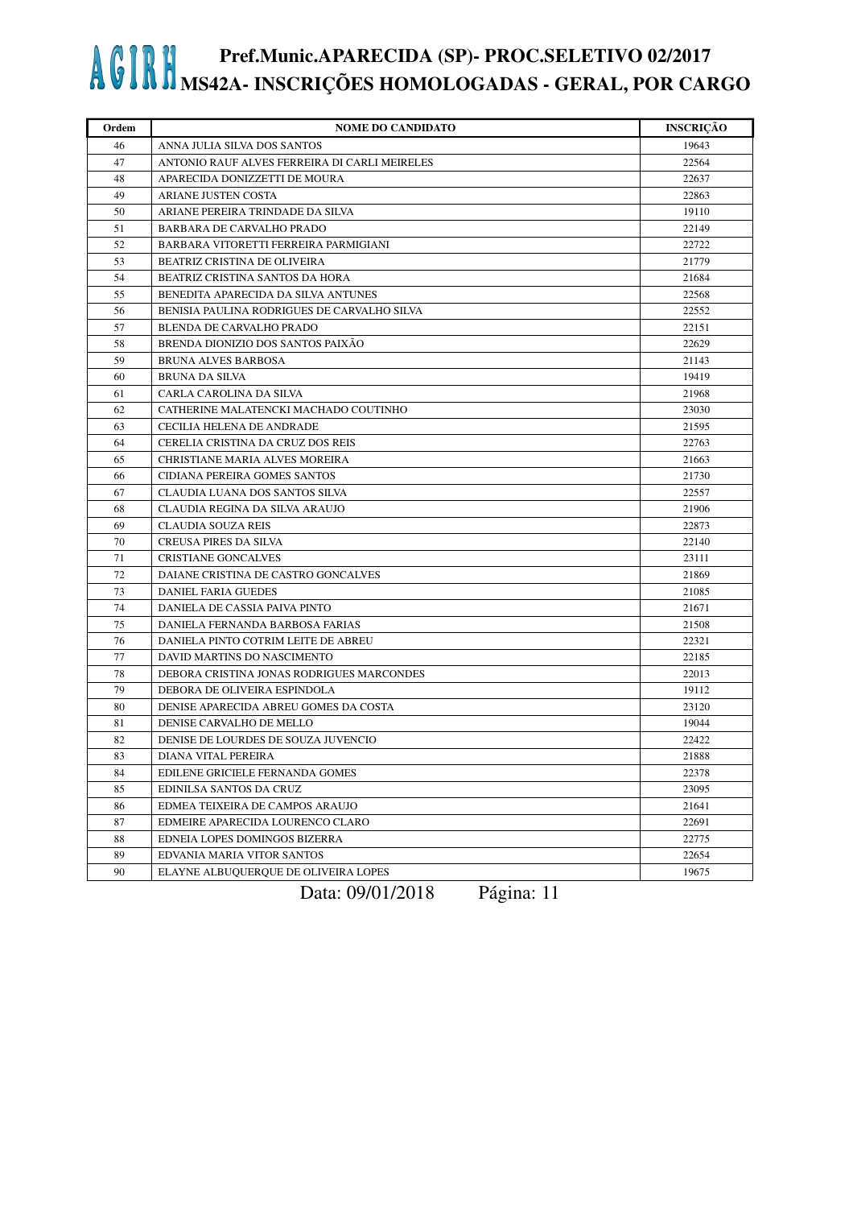| Ordem | <b>NOME DO CANDIDATO</b>                      | <b>INSCRIÇÃO</b> |
|-------|-----------------------------------------------|------------------|
| 46    | ANNA JULIA SILVA DOS SANTOS                   | 19643            |
| 47    | ANTONIO RAUF ALVES FERREIRA DI CARLI MEIRELES | 22564            |
| 48    | APARECIDA DONIZZETTI DE MOURA                 | 22637            |
| 49    | ARIANE JUSTEN COSTA                           | 22863            |
| 50    | ARIANE PEREIRA TRINDADE DA SILVA              | 19110            |
| 51    | BARBARA DE CARVALHO PRADO                     | 22149            |
| 52    | BARBARA VITORETTI FERREIRA PARMIGIANI         | 22722            |
| 53    | BEATRIZ CRISTINA DE OLIVEIRA                  | 21779            |
| 54    | BEATRIZ CRISTINA SANTOS DA HORA               | 21684            |
| 55    | BENEDITA APARECIDA DA SILVA ANTUNES           | 22568            |
| 56    | BENISIA PAULINA RODRIGUES DE CARVALHO SILVA   | 22552            |
| 57    | BLENDA DE CARVALHO PRADO                      | 22151            |
| 58    | BRENDA DIONIZIO DOS SANTOS PAIXÃO             | 22629            |
| 59    | <b>BRUNA ALVES BARBOSA</b>                    | 21143            |
| 60    | <b>BRUNA DA SILVA</b>                         | 19419            |
| 61    | CARLA CAROLINA DA SILVA                       | 21968            |
| 62    | CATHERINE MALATENCKI MACHADO COUTINHO         | 23030            |
| 63    | CECILIA HELENA DE ANDRADE                     | 21595            |
| 64    | CERELIA CRISTINA DA CRUZ DOS REIS             | 22763            |
| 65    | CHRISTIANE MARIA ALVES MOREIRA                | 21663            |
| 66    | CIDIANA PEREIRA GOMES SANTOS                  | 21730            |
| 67    | CLAUDIA LUANA DOS SANTOS SILVA                | 22557            |
| 68    | CLAUDIA REGINA DA SILVA ARAUJO                | 21906            |
| 69    | <b>CLAUDIA SOUZA REIS</b>                     | 22873            |
| 70    | <b>CREUSA PIRES DA SILVA</b>                  | 22140            |
| 71    | <b>CRISTIANE GONCALVES</b>                    | 23111            |
| 72    | DAIANE CRISTINA DE CASTRO GONCALVES           | 21869            |
| 73    | DANIEL FARIA GUEDES                           | 21085            |
| 74    | DANIELA DE CASSIA PAIVA PINTO                 | 21671            |
| 75    | DANIELA FERNANDA BARBOSA FARIAS               | 21508            |
| 76    | DANIELA PINTO COTRIM LEITE DE ABREU           | 22321            |
| 77    | DAVID MARTINS DO NASCIMENTO                   | 22185            |
| 78    | DEBORA CRISTINA JONAS RODRIGUES MARCONDES     | 22013            |
| 79    | DEBORA DE OLIVEIRA ESPINDOLA                  | 19112            |
| 80    | DENISE APARECIDA ABREU GOMES DA COSTA         | 23120            |
| 81    | DENISE CARVALHO DE MELLO                      | 19044            |
| 82    | DENISE DE LOURDES DE SOUZA JUVENCIO           | 22422            |
| 83    | DIANA VITAL PEREIRA                           | 21888            |
| 84    | EDILENE GRICIELE FERNANDA GOMES               | 22378            |
| 85    | EDINILSA SANTOS DA CRUZ                       | 23095            |
| 86    | EDMEA TEIXEIRA DE CAMPOS ARAUJO               | 21641            |
| 87    | EDMEIRE APARECIDA LOURENCO CLARO              | 22691            |
| 88    | EDNEIA LOPES DOMINGOS BIZERRA                 | 22775            |
| 89    | EDVANIA MARIA VITOR SANTOS                    | 22654            |
| 90    | ELAYNE ALBUQUERQUE DE OLIVEIRA LOPES          | 19675            |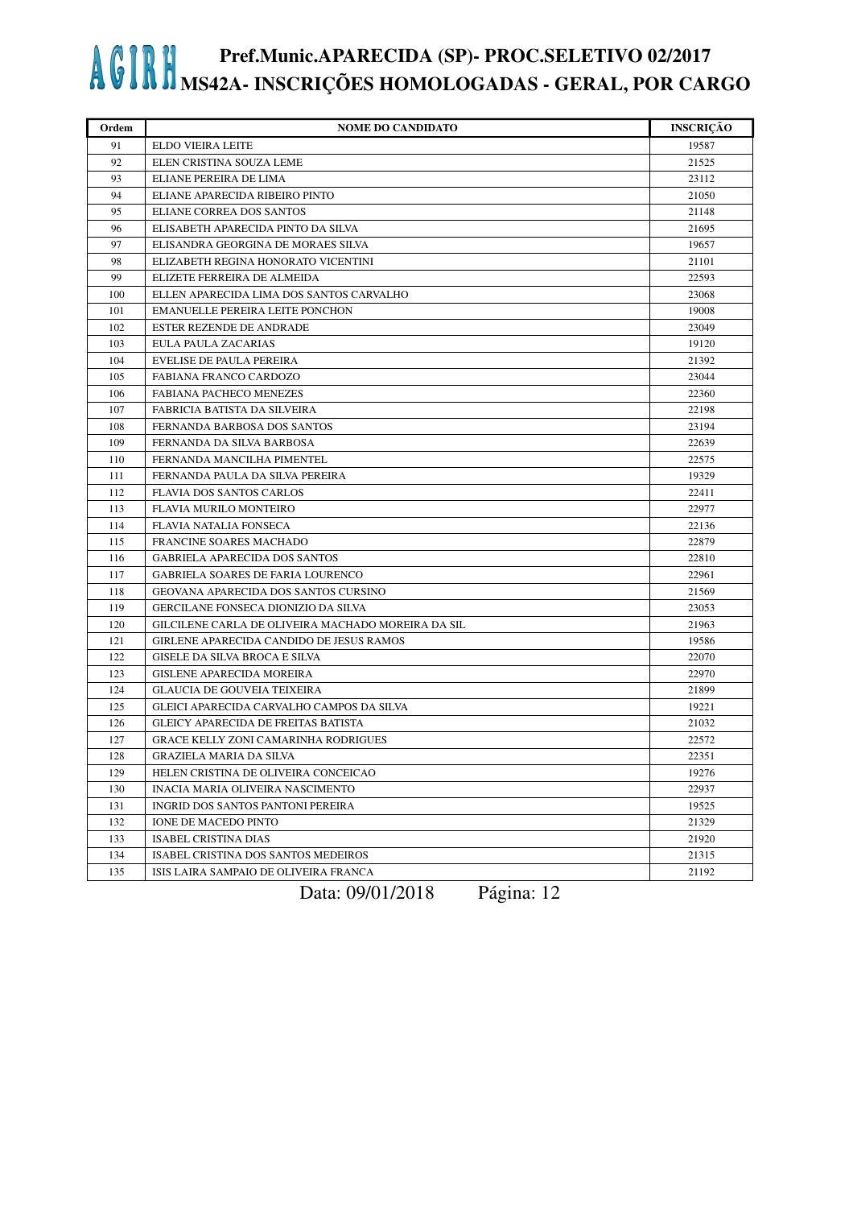| Ordem | <b>NOME DO CANDIDATO</b>                           | <b>INSCRIÇÃO</b> |
|-------|----------------------------------------------------|------------------|
| 91    | ELDO VIEIRA LEITE                                  | 19587            |
| 92    | ELEN CRISTINA SOUZA LEME                           | 21525            |
| 93    | ELIANE PEREIRA DE LIMA                             | 23112            |
| 94    | ELIANE APARECIDA RIBEIRO PINTO                     | 21050            |
| 95    | ELIANE CORREA DOS SANTOS                           | 21148            |
| 96    | ELISABETH APARECIDA PINTO DA SILVA                 | 21695            |
| 97    | ELISANDRA GEORGINA DE MORAES SILVA                 | 19657            |
| 98    | ELIZABETH REGINA HONORATO VICENTINI                | 21101            |
| 99    | ELIZETE FERREIRA DE ALMEIDA                        | 22593            |
| 100   | ELLEN APARECIDA LIMA DOS SANTOS CARVALHO           | 23068            |
| 101   | <b>EMANUELLE PEREIRA LEITE PONCHON</b>             | 19008            |
| 102   | ESTER REZENDE DE ANDRADE                           | 23049            |
| 103   | EULA PAULA ZACARIAS                                | 19120            |
| 104   | <b>EVELISE DE PAULA PEREIRA</b>                    | 21392            |
| 105   | FABIANA FRANCO CARDOZO                             | 23044            |
| 106   | FABIANA PACHECO MENEZES                            | 22360            |
| 107   | FABRICIA BATISTA DA SILVEIRA                       | 22198            |
| 108   | FERNANDA BARBOSA DOS SANTOS                        | 23194            |
| 109   | FERNANDA DA SILVA BARBOSA                          | 22639            |
| 110   | FERNANDA MANCILHA PIMENTEL                         | 22575            |
| 111   | FERNANDA PAULA DA SILVA PEREIRA                    | 19329            |
| 112   | <b>FLAVIA DOS SANTOS CARLOS</b>                    | 22411            |
| 113   | FLAVIA MURILO MONTEIRO                             | 22977            |
| 114   | <b>FLAVIA NATALIA FONSECA</b>                      | 22136            |
| 115   | FRANCINE SOARES MACHADO                            | 22879            |
| 116   | <b>GABRIELA APARECIDA DOS SANTOS</b>               | 22810            |
| 117   | <b>GABRIELA SOARES DE FARIA LOURENCO</b>           | 22961            |
| 118   | GEOVANA APARECIDA DOS SANTOS CURSINO               | 21569            |
| 119   | GERCILANE FONSECA DIONIZIO DA SILVA                | 23053            |
| 120   | GILCILENE CARLA DE OLIVEIRA MACHADO MOREIRA DA SIL | 21963            |
| 121   | GIRLENE APARECIDA CANDIDO DE JESUS RAMOS           | 19586            |
| 122   | GISELE DA SILVA BROCA E SILVA                      | 22070            |
| 123   | <b>GISLENE APARECIDA MOREIRA</b>                   | 22970            |
| 124   | <b>GLAUCIA DE GOUVEIA TEIXEIRA</b>                 | 21899            |
| 125   | GLEICI APARECIDA CARVALHO CAMPOS DA SILVA          | 19221            |
| 126   | <b>GLEICY APARECIDA DE FREITAS BATISTA</b>         | 21032            |
| 127   | <b>GRACE KELLY ZONI CAMARINHA RODRIGUES</b>        | 22572            |
| 128   | GRAZIELA MARIA DA SILVA                            | 22351            |
| 129   | HELEN CRISTINA DE OLIVEIRA CONCEICAO               | 19276            |
| 130   | INACIA MARIA OLIVEIRA NASCIMENTO                   | 22937            |
| 131   | INGRID DOS SANTOS PANTONI PEREIRA                  | 19525            |
| 132   | IONE DE MACEDO PINTO                               | 21329            |
| 133   | <b>ISABEL CRISTINA DIAS</b>                        | 21920            |
| 134   | ISABEL CRISTINA DOS SANTOS MEDEIROS                | 21315            |
| 135   | ISIS LAIRA SAMPAIO DE OLIVEIRA FRANCA              | 21192            |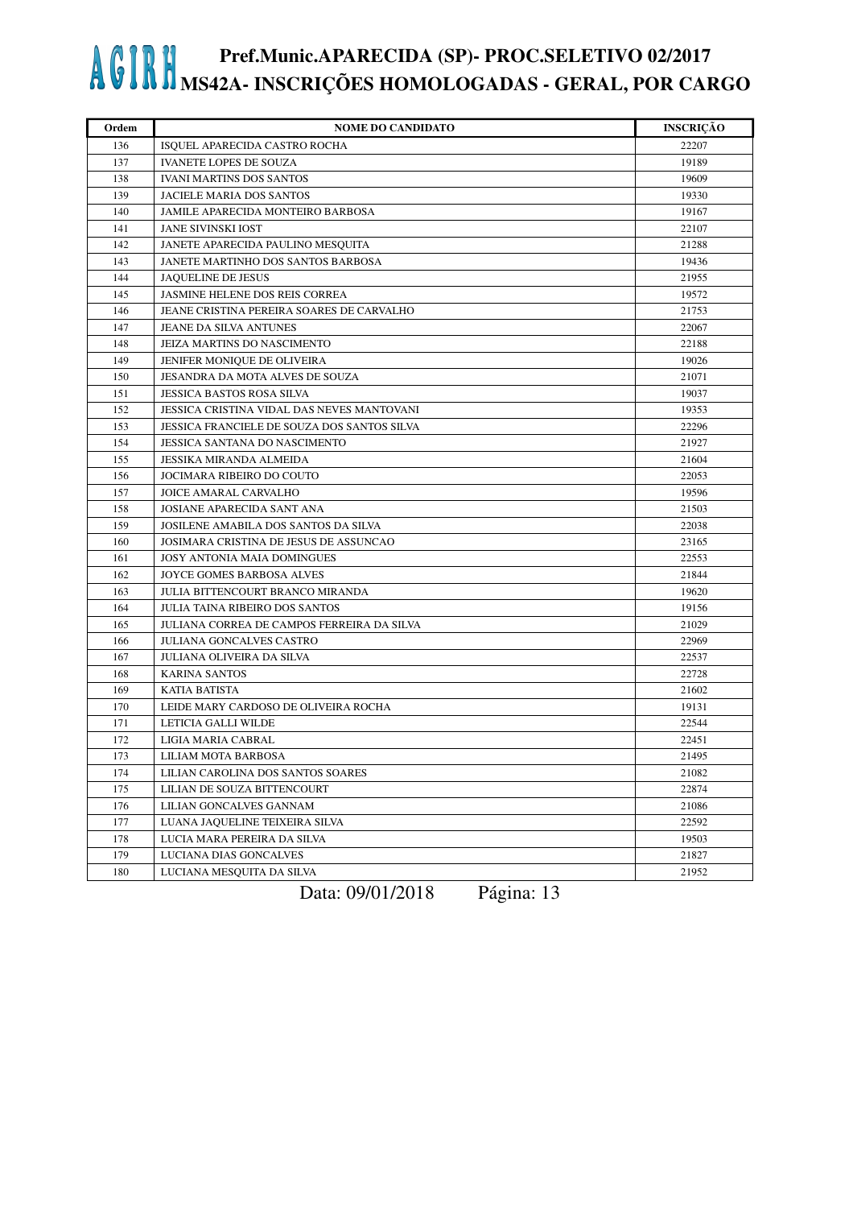| Ordem | <b>NOME DO CANDIDATO</b>                           | <b>INSCRIÇÃO</b> |
|-------|----------------------------------------------------|------------------|
| 136   | ISQUEL APARECIDA CASTRO ROCHA                      | 22207            |
| 137   | <b>IVANETE LOPES DE SOUZA</b>                      | 19189            |
| 138   | <b>IVANI MARTINS DOS SANTOS</b>                    | 19609            |
| 139   | JACIELE MARIA DOS SANTOS                           | 19330            |
| 140   | JAMILE APARECIDA MONTEIRO BARBOSA                  | 19167            |
| 141   | <b>JANE SIVINSKI IOST</b>                          | 22107            |
| 142   | JANETE APARECIDA PAULINO MESQUITA                  | 21288            |
| 143   | JANETE MARTINHO DOS SANTOS BARBOSA                 | 19436            |
| 144   | <b>JAQUELINE DE JESUS</b>                          | 21955            |
| 145   | JASMINE HELENE DOS REIS CORREA                     | 19572            |
| 146   | JEANE CRISTINA PEREIRA SOARES DE CARVALHO          | 21753            |
| 147   | JEANE DA SILVA ANTUNES                             | 22067            |
| 148   | JEIZA MARTINS DO NASCIMENTO                        | 22188            |
| 149   | JENIFER MONIQUE DE OLIVEIRA                        | 19026            |
| 150   | JESANDRA DA MOTA ALVES DE SOUZA                    | 21071            |
| 151   | JESSICA BASTOS ROSA SILVA                          | 19037            |
| 152   | JESSICA CRISTINA VIDAL DAS NEVES MANTOVANI         | 19353            |
| 153   | <b>JESSICA FRANCIELE DE SOUZA DOS SANTOS SILVA</b> | 22296            |
| 154   | JESSICA SANTANA DO NASCIMENTO                      | 21927            |
| 155   | JESSIKA MIRANDA ALMEIDA                            | 21604            |
| 156   | JOCIMARA RIBEIRO DO COUTO                          | 22053            |
| 157   | JOICE AMARAL CARVALHO                              | 19596            |
| 158   | <b>JOSIANE APARECIDA SANT ANA</b>                  | 21503            |
| 159   | JOSILENE AMABILA DOS SANTOS DA SILVA               | 22038            |
| 160   | JOSIMARA CRISTINA DE JESUS DE ASSUNCAO             | 23165            |
| 161   | JOSY ANTONIA MAIA DOMINGUES                        | 22553            |
| 162   | JOYCE GOMES BARBOSA ALVES                          | 21844            |
| 163   | JULIA BITTENCOURT BRANCO MIRANDA                   | 19620            |
| 164   | <b>JULIA TAINA RIBEIRO DOS SANTOS</b>              | 19156            |
| 165   | JULIANA CORREA DE CAMPOS FERREIRA DA SILVA         | 21029            |
| 166   | <b>JULIANA GONCALVES CASTRO</b>                    | 22969            |
| 167   | JULIANA OLIVEIRA DA SILVA                          | 22537            |
| 168   | <b>KARINA SANTOS</b>                               | 22728            |
| 169   | KATIA BATISTA                                      | 21602            |
| 170   | LEIDE MARY CARDOSO DE OLIVEIRA ROCHA               | 19131            |
| 171   | LETICIA GALLI WILDE                                | 22544            |
| 172   | LIGIA MARIA CABRAL                                 | 22451            |
| 173   | LILIAM MOTA BARBOSA                                | 21495            |
| 174   | LILIAN CAROLINA DOS SANTOS SOARES                  | 21082            |
| 175   | LILIAN DE SOUZA BITTENCOURT                        | 22874            |
| 176   | LILIAN GONCALVES GANNAM                            | 21086            |
| 177   | LUANA JAQUELINE TEIXEIRA SILVA                     | 22592            |
| 178   | LUCIA MARA PEREIRA DA SILVA                        | 19503            |
| 179   | LUCIANA DIAS GONCALVES                             | 21827            |
| 180   | LUCIANA MESQUITA DA SILVA                          | 21952            |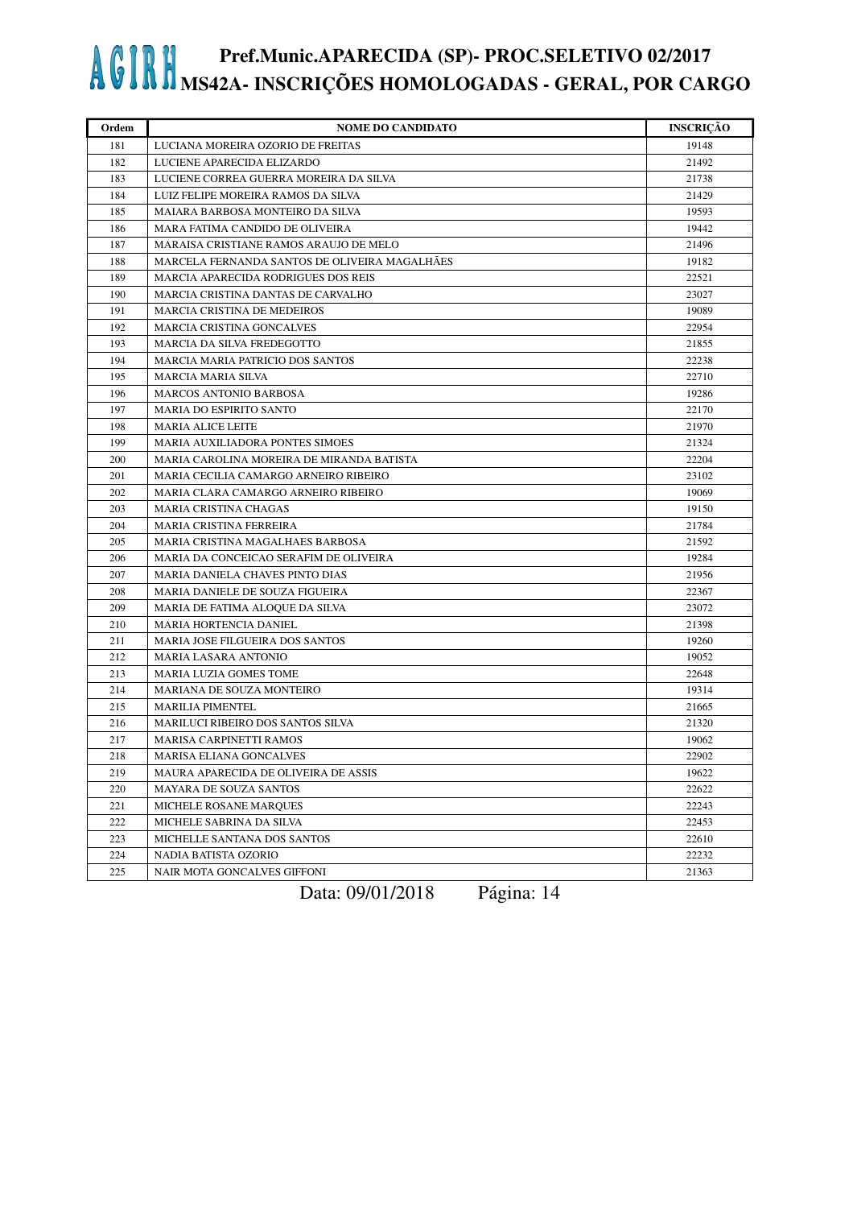| Ordem | <b>NOME DO CANDIDATO</b>                      | <b>INSCRIÇÃO</b> |
|-------|-----------------------------------------------|------------------|
| 181   | LUCIANA MOREIRA OZORIO DE FREITAS             | 19148            |
| 182   | LUCIENE APARECIDA ELIZARDO                    | 21492            |
| 183   | LUCIENE CORREA GUERRA MOREIRA DA SILVA        | 21738            |
| 184   | LUIZ FELIPE MOREIRA RAMOS DA SILVA            | 21429            |
| 185   | MAIARA BARBOSA MONTEIRO DA SILVA              | 19593            |
| 186   | MARA FATIMA CANDIDO DE OLIVEIRA               | 19442            |
| 187   | MARAISA CRISTIANE RAMOS ARAUJO DE MELO        | 21496            |
| 188   | MARCELA FERNANDA SANTOS DE OLIVEIRA MAGALHÃES | 19182            |
| 189   | <b>MARCIA APARECIDA RODRIGUES DOS REIS</b>    | 22521            |
| 190   | MARCIA CRISTINA DANTAS DE CARVALHO            | 23027            |
| 191   | <b>MARCIA CRISTINA DE MEDEIROS</b>            | 19089            |
| 192   | <b>MARCIA CRISTINA GONCALVES</b>              | 22954            |
| 193   | MARCIA DA SILVA FREDEGOTTO                    | 21855            |
| 194   | <b>MARCIA MARIA PATRICIO DOS SANTOS</b>       | 22238            |
| 195   | MARCIA MARIA SILVA                            | 22710            |
| 196   | <b>MARCOS ANTONIO BARBOSA</b>                 | 19286            |
| 197   | MARIA DO ESPIRITO SANTO                       | 22170            |
| 198   | <b>MARIA ALICE LEITE</b>                      | 21970            |
| 199   | MARIA AUXILIADORA PONTES SIMOES               | 21324            |
| 200   | MARIA CAROLINA MOREIRA DE MIRANDA BATISTA     | 22204            |
| 201   | MARIA CECILIA CAMARGO ARNEIRO RIBEIRO         | 23102            |
| 202   | MARIA CLARA CAMARGO ARNEIRO RIBEIRO           | 19069            |
| 203   | MARIA CRISTINA CHAGAS                         | 19150            |
| 204   | <b>MARIA CRISTINA FERREIRA</b>                | 21784            |
| 205   | MARIA CRISTINA MAGALHAES BARBOSA              | 21592            |
| 206   | MARIA DA CONCEICAO SERAFIM DE OLIVEIRA        | 19284            |
| 207   | MARIA DANIELA CHAVES PINTO DIAS               | 21956            |
| 208   | MARIA DANIELE DE SOUZA FIGUEIRA               | 22367            |
| 209   | MARIA DE FATIMA ALOQUE DA SILVA               | 23072            |
| 210   | <b>MARIA HORTENCIA DANIEL</b>                 | 21398            |
| 211   | <b>MARIA JOSE FILGUEIRA DOS SANTOS</b>        | 19260            |
| 212   | <b>MARIA LASARA ANTONIO</b>                   | 19052            |
| 213   | MARIA LUZIA GOMES TOME                        | 22648            |
| 214   | MARIANA DE SOUZA MONTEIRO                     | 19314            |
| 215   | <b>MARILIA PIMENTEL</b>                       | 21665            |
| 216   | MARILUCI RIBEIRO DOS SANTOS SILVA             | 21320            |
| 217   | MARISA CARPINETTI RAMOS                       | 19062            |
| 218   | MARISA ELIANA GONCALVES                       | 22902            |
| 219   | MAURA APARECIDA DE OLIVEIRA DE ASSIS          | 19622            |
| 220   | <b>MAYARA DE SOUZA SANTOS</b>                 | 22622            |
| 221   | MICHELE ROSANE MARQUES                        | 22243            |
| 222   | MICHELE SABRINA DA SILVA                      | 22453            |
| 223   | MICHELLE SANTANA DOS SANTOS                   | 22610            |
| 224   | NADIA BATISTA OZORIO                          | 22232            |
| 225   | NAIR MOTA GONCALVES GIFFONI                   | 21363            |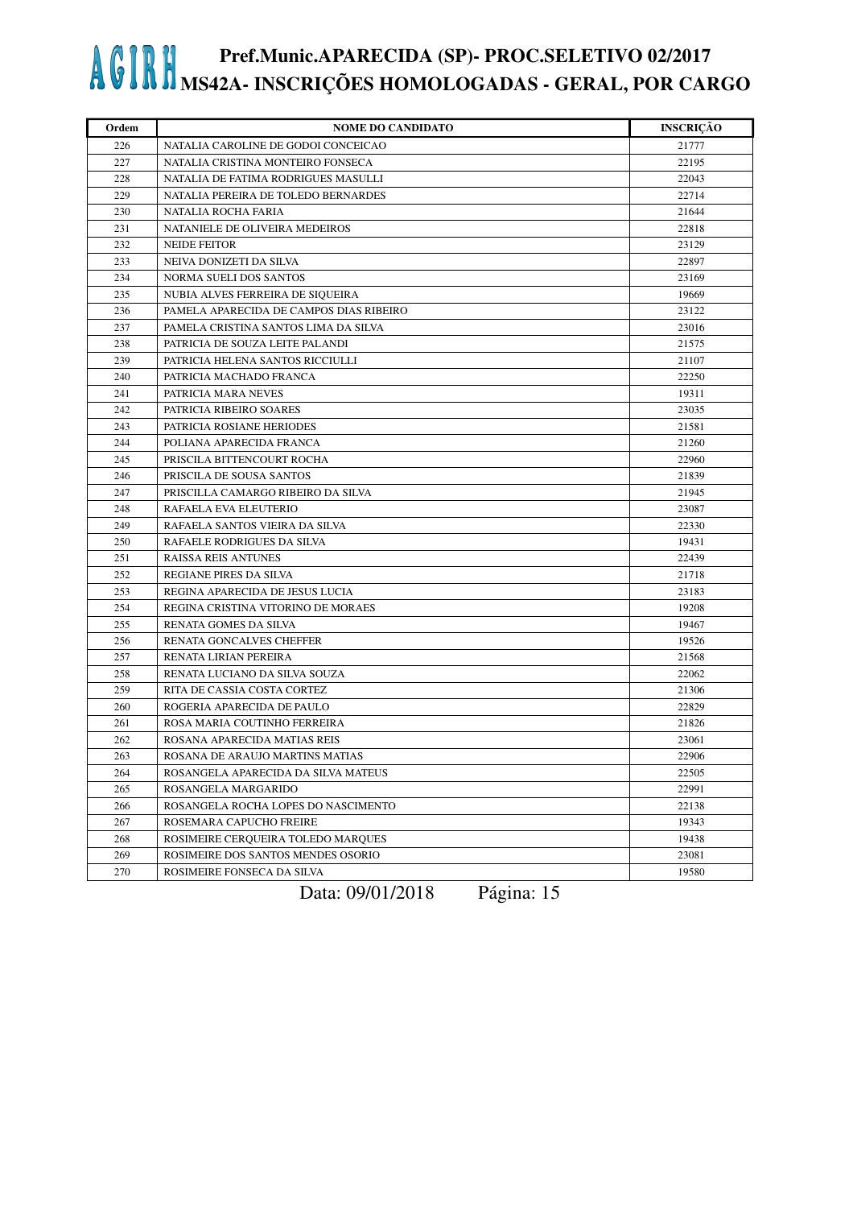| Ordem | <b>NOME DO CANDIDATO</b>                | <b>INSCRIÇÃO</b> |
|-------|-----------------------------------------|------------------|
| 226   | NATALIA CAROLINE DE GODOI CONCEICAO     | 21777            |
| 227   | NATALIA CRISTINA MONTEIRO FONSECA       | 22195            |
| 228   | NATALIA DE FATIMA RODRIGUES MASULLI     | 22043            |
| 229   | NATALIA PEREIRA DE TOLEDO BERNARDES     | 22714            |
| 230   | NATALIA ROCHA FARIA                     | 21644            |
| 231   | NATANIELE DE OLIVEIRA MEDEIROS          | 22818            |
| 232   | <b>NEIDE FEITOR</b>                     | 23129            |
| 233   | NEIVA DONIZETI DA SILVA                 | 22897            |
| 234   | NORMA SUELI DOS SANTOS                  | 23169            |
| 235   | NUBIA ALVES FERREIRA DE SIQUEIRA        | 19669            |
| 236   | PAMELA APARECIDA DE CAMPOS DIAS RIBEIRO | 23122            |
| 237   | PAMELA CRISTINA SANTOS LIMA DA SILVA    | 23016            |
| 238   | PATRICIA DE SOUZA LEITE PALANDI         | 21575            |
| 239   | PATRICIA HELENA SANTOS RICCIULLI        | 21107            |
| 240   | PATRICIA MACHADO FRANCA                 | 22250            |
| 241   | PATRICIA MARA NEVES                     | 19311            |
| 242   | PATRICIA RIBEIRO SOARES                 | 23035            |
| 243   | PATRICIA ROSIANE HERIODES               | 21581            |
| 244   | POLIANA APARECIDA FRANCA                | 21260            |
| 245   | PRISCILA BITTENCOURT ROCHA              | 22960            |
| 246   | PRISCILA DE SOUSA SANTOS                | 21839            |
| 247   | PRISCILLA CAMARGO RIBEIRO DA SILVA      | 21945            |
| 248   | RAFAELA EVA ELEUTERIO                   | 23087            |
| 249   | RAFAELA SANTOS VIEIRA DA SILVA          | 22330            |
| 250   | RAFAELE RODRIGUES DA SILVA              | 19431            |
| 251   | <b>RAISSA REIS ANTUNES</b>              | 22439            |
| 252   | REGIANE PIRES DA SILVA                  | 21718            |
| 253   | REGINA APARECIDA DE JESUS LUCIA         | 23183            |
| 254   | REGINA CRISTINA VITORINO DE MORAES      | 19208            |
| 255   | RENATA GOMES DA SILVA                   | 19467            |
| 256   | RENATA GONCALVES CHEFFER                | 19526            |
| 257   | RENATA LIRIAN PEREIRA                   | 21568            |
| 258   | RENATA LUCIANO DA SILVA SOUZA           | 22062            |
| 259   | RITA DE CASSIA COSTA CORTEZ             | 21306            |
| 260   | ROGERIA APARECIDA DE PAULO              | 22829            |
| 261   | ROSA MARIA COUTINHO FERREIRA            | 21826            |
| 262   | ROSANA APARECIDA MATIAS REIS            | 23061            |
| 263   | ROSANA DE ARAUJO MARTINS MATIAS         | 22906            |
| 264   | ROSANGELA APARECIDA DA SILVA MATEUS     | 22505            |
| 265   | ROSANGELA MARGARIDO                     | 22991            |
| 266   | ROSANGELA ROCHA LOPES DO NASCIMENTO     | 22138            |
| 267   | ROSEMARA CAPUCHO FREIRE                 | 19343            |
| 268   | ROSIMEIRE CERQUEIRA TOLEDO MARQUES      | 19438            |
| 269   | ROSIMEIRE DOS SANTOS MENDES OSORIO      | 23081            |
| 270   | ROSIMEIRE FONSECA DA SILVA              | 19580            |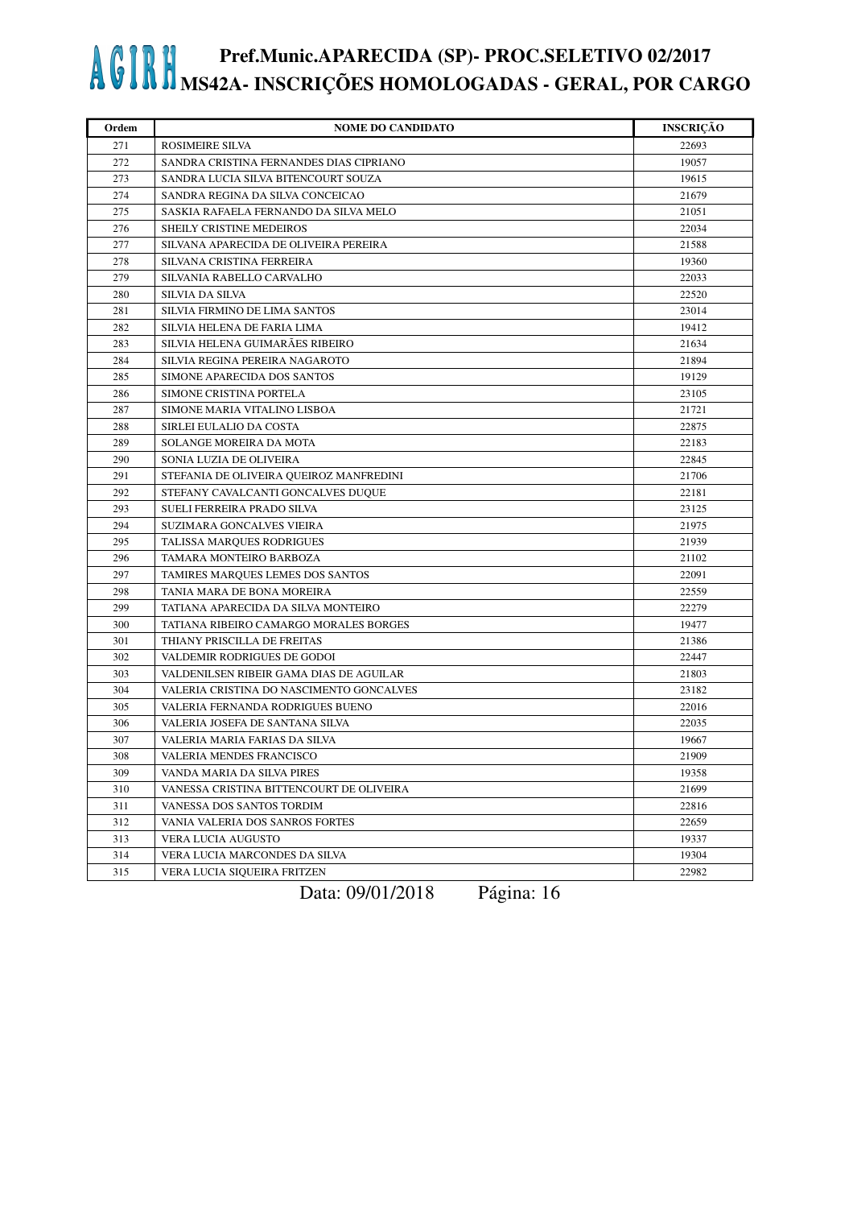| Ordem | <b>NOME DO CANDIDATO</b>                 | <b>INSCRIÇÃO</b> |
|-------|------------------------------------------|------------------|
| 271   | ROSIMEIRE SILVA                          | 22693            |
| 272   | SANDRA CRISTINA FERNANDES DIAS CIPRIANO  | 19057            |
| 273   | SANDRA LUCIA SILVA BITENCOURT SOUZA      | 19615            |
| 274   | SANDRA REGINA DA SILVA CONCEICAO         | 21679            |
| 275   | SASKIA RAFAELA FERNANDO DA SILVA MELO    | 21051            |
| 276   | SHEILY CRISTINE MEDEIROS                 | 22034            |
| 277   | SILVANA APARECIDA DE OLIVEIRA PEREIRA    | 21588            |
| 278   | SILVANA CRISTINA FERREIRA                | 19360            |
| 279   | SILVANIA RABELLO CARVALHO                | 22033            |
| 280   | <b>SILVIA DA SILVA</b>                   | 22520            |
| 281   | SILVIA FIRMINO DE LIMA SANTOS            | 23014            |
| 282   | SILVIA HELENA DE FARIA LIMA              | 19412            |
| 283   | SILVIA HELENA GUIMARÃES RIBEIRO          | 21634            |
| 284   | SILVIA REGINA PEREIRA NAGAROTO           | 21894            |
| 285   | SIMONE APARECIDA DOS SANTOS              | 19129            |
| 286   | SIMONE CRISTINA PORTELA                  | 23105            |
| 287   | SIMONE MARIA VITALINO LISBOA             | 21721            |
| 288   | SIRLEI EULALIO DA COSTA                  | 22875            |
| 289   | SOLANGE MOREIRA DA MOTA                  | 22183            |
| 290   | SONIA LUZIA DE OLIVEIRA                  | 22845            |
| 291   | STEFANIA DE OLIVEIRA QUEIROZ MANFREDINI  | 21706            |
| 292   | STEFANY CAVALCANTI GONCALVES DUQUE       | 22181            |
| 293   | SUELI FERREIRA PRADO SILVA               | 23125            |
| 294   | SUZIMARA GONCALVES VIEIRA                | 21975            |
| 295   | TALISSA MARQUES RODRIGUES                | 21939            |
| 296   | TAMARA MONTEIRO BARBOZA                  | 21102            |
| 297   | TAMIRES MARQUES LEMES DOS SANTOS         | 22091            |
| 298   | TANIA MARA DE BONA MOREIRA               | 22559            |
| 299   | TATIANA APARECIDA DA SILVA MONTEIRO      | 22279            |
| 300   | TATIANA RIBEIRO CAMARGO MORALES BORGES   | 19477            |
| 301   | THIANY PRISCILLA DE FREITAS              | 21386            |
| 302   | VALDEMIR RODRIGUES DE GODOI              | 22447            |
| 303   | VALDENILSEN RIBEIR GAMA DIAS DE AGUILAR  | 21803            |
| 304   | VALERIA CRISTINA DO NASCIMENTO GONCALVES | 23182            |
| 305   | VALERIA FERNANDA RODRIGUES BUENO         | 22016            |
| 306   | VALERIA JOSEFA DE SANTANA SILVA          | 22035            |
| 307   | VALERIA MARIA FARIAS DA SILVA            | 19667            |
| 308   | VALERIA MENDES FRANCISCO                 | 21909            |
| 309   | VANDA MARIA DA SILVA PIRES               | 19358            |
| 310   | VANESSA CRISTINA BITTENCOURT DE OLIVEIRA | 21699            |
| 311   | VANESSA DOS SANTOS TORDIM                | 22816            |
| 312   | VANIA VALERIA DOS SANROS FORTES          | 22659            |
| 313   | VERA LUCIA AUGUSTO                       | 19337            |
| 314   | VERA LUCIA MARCONDES DA SILVA            | 19304            |
| 315   | VERA LUCIA SIQUEIRA FRITZEN              | 22982            |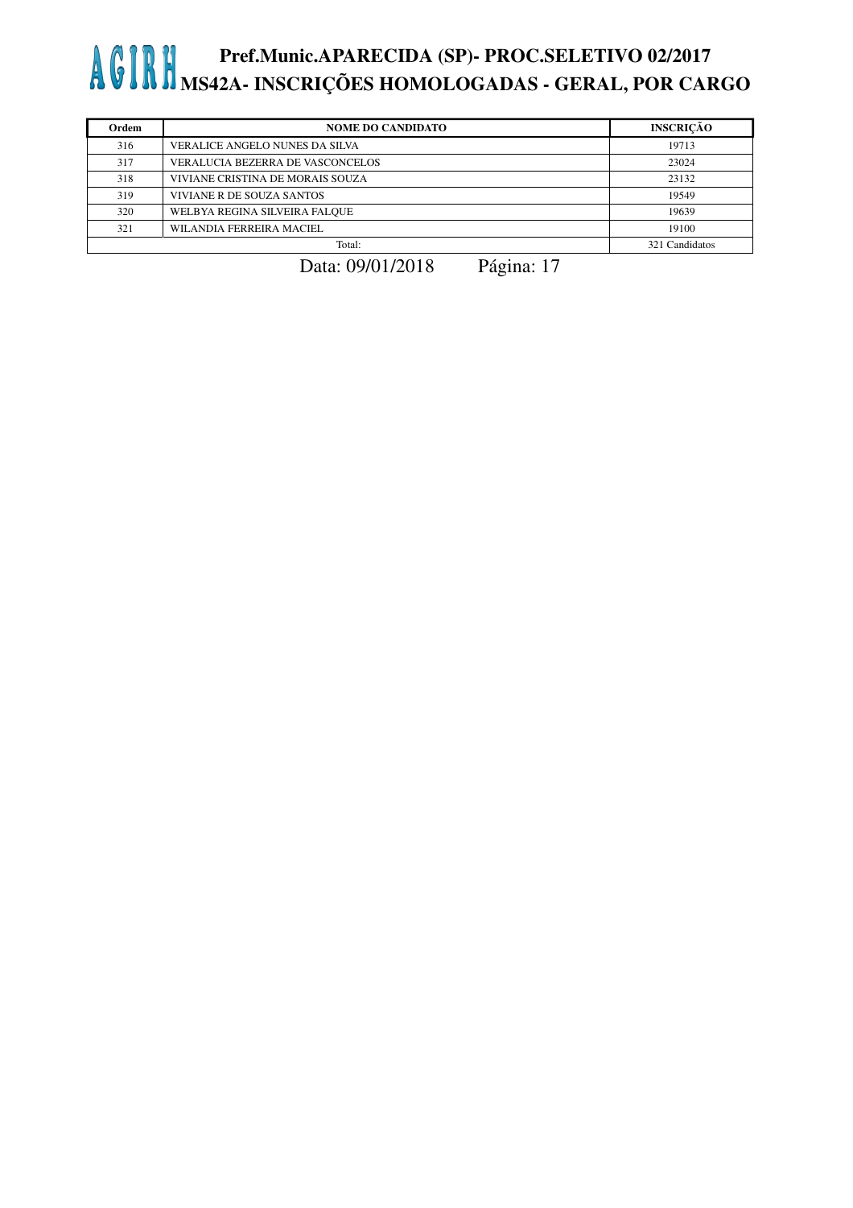| Ordem | <b>NOME DO CANDIDATO</b>         | <b>INSCRICÃO</b> |
|-------|----------------------------------|------------------|
| 316   | VERALICE ANGELO NUNES DA SILVA   | 19713            |
| 317   | VERALUCIA BEZERRA DE VASCONCELOS | 23024            |
| 318   | VIVIANE CRISTINA DE MORAIS SOUZA | 23132            |
| 319   | VIVIANE R DE SOUZA SANTOS        | 19549            |
| 320   | WELBYA REGINA SILVEIRA FALOUE    | 19639            |
| 321   | WILANDIA FERREIRA MACIEL         | 19100            |
|       | Total:                           | 321 Candidatos   |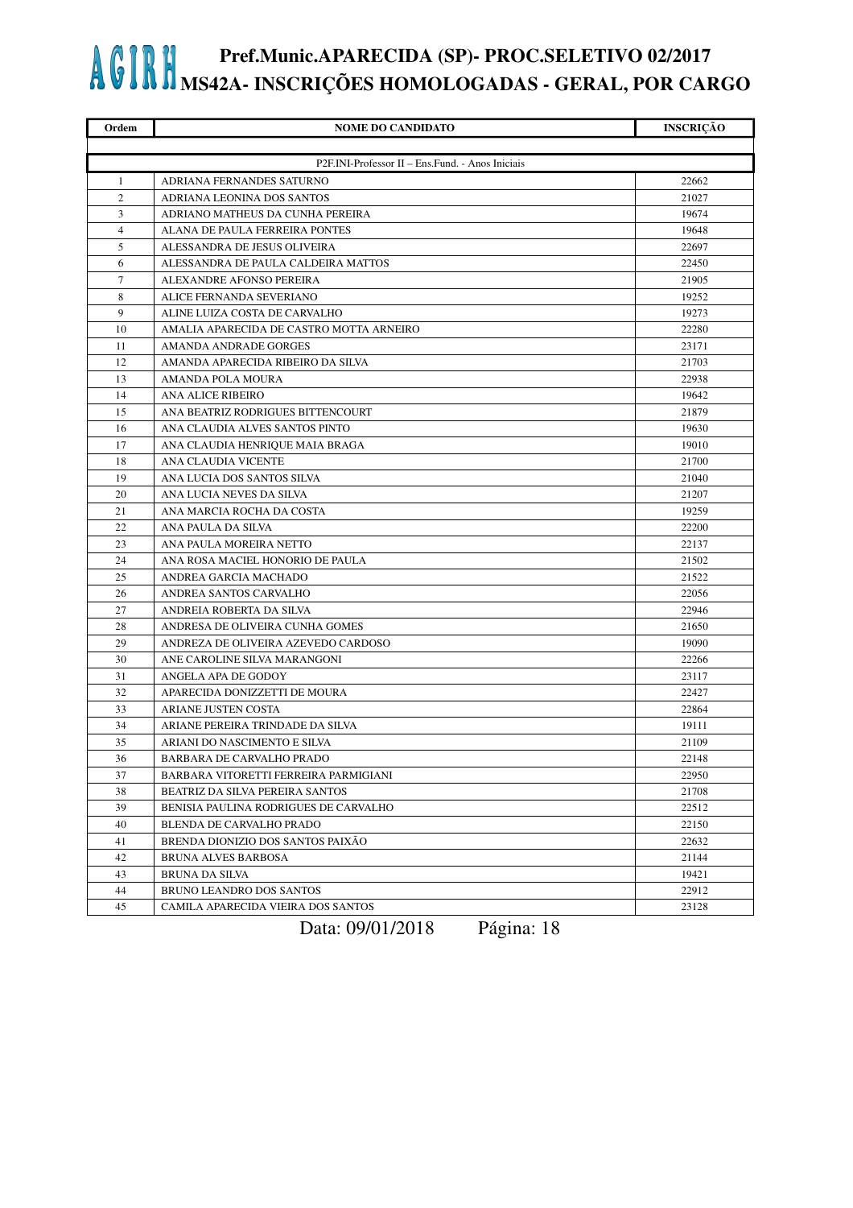| Ordem          | <b>NOME DO CANDIDATO</b>                         | <b>INSCRIÇÃO</b> |
|----------------|--------------------------------------------------|------------------|
|                |                                                  |                  |
|                | P2F.INI-Professor II - Ens.Fund. - Anos Iniciais |                  |
| $\mathbf{1}$   | ADRIANA FERNANDES SATURNO                        | 22662            |
| $\overline{2}$ | ADRIANA LEONINA DOS SANTOS                       | 21027            |
| 3              | ADRIANO MATHEUS DA CUNHA PEREIRA                 | 19674            |
| $\overline{4}$ | ALANA DE PAULA FERREIRA PONTES                   | 19648            |
| 5              | ALESSANDRA DE JESUS OLIVEIRA                     | 22697            |
| 6              | ALESSANDRA DE PAULA CALDEIRA MATTOS              | 22450            |
| 7              | ALEXANDRE AFONSO PEREIRA                         | 21905            |
| 8              | ALICE FERNANDA SEVERIANO                         | 19252            |
| 9              | ALINE LUIZA COSTA DE CARVALHO                    | 19273            |
| 10             | AMALIA APARECIDA DE CASTRO MOTTA ARNEIRO         | 22280            |
| 11             | AMANDA ANDRADE GORGES                            | 23171            |
| 12             | AMANDA APARECIDA RIBEIRO DA SILVA                | 21703            |
| 13             | AMANDA POLA MOURA                                | 22938            |
| 14             | <b>ANA ALICE RIBEIRO</b>                         | 19642            |
| 15             | ANA BEATRIZ RODRIGUES BITTENCOURT                | 21879            |
| 16             | ANA CLAUDIA ALVES SANTOS PINTO                   | 19630            |
| 17             | ANA CLAUDIA HENRIQUE MAIA BRAGA                  | 19010            |
| 18             | ANA CLAUDIA VICENTE                              | 21700            |
| 19             | ANA LUCIA DOS SANTOS SILVA                       | 21040            |
| 20             | ANA LUCIA NEVES DA SILVA                         | 21207            |
| 21             | ANA MARCIA ROCHA DA COSTA                        | 19259            |
| 22             | ANA PAULA DA SILVA                               | 22200            |
| 23             | ANA PAULA MOREIRA NETTO                          | 22137            |
| 24             | ANA ROSA MACIEL HONORIO DE PAULA                 | 21502            |
| 25             | ANDREA GARCIA MACHADO                            | 21522            |
| 26             | ANDREA SANTOS CARVALHO                           | 22056            |
| 27             | ANDREIA ROBERTA DA SILVA                         | 22946            |
| 28             | ANDRESA DE OLIVEIRA CUNHA GOMES                  | 21650            |
| 29             | ANDREZA DE OLIVEIRA AZEVEDO CARDOSO              | 19090            |
| 30             | ANE CAROLINE SILVA MARANGONI                     | 22266            |
| 31             | ANGELA APA DE GODOY                              | 23117            |
| 32             | APARECIDA DONIZZETTI DE MOURA                    | 22427            |
| 33             | ARIANE JUSTEN COSTA                              | 22864            |
| 34             | ARIANE PEREIRA TRINDADE DA SILVA                 | 19111            |
| 35             | ARIANI DO NASCIMENTO E SILVA                     | 21109            |
| 36             | BARBARA DE CARVALHO PRADO                        | 22148            |
| 37             | BARBARA VITORETTI FERREIRA PARMIGIANI            | 22950            |
| 38             | BEATRIZ DA SILVA PEREIRA SANTOS                  | 21708            |
| 39             | BENISIA PAULINA RODRIGUES DE CARVALHO            | 22512            |
| 40             | BLENDA DE CARVALHO PRADO                         | 22150            |
| 41             | BRENDA DIONIZIO DOS SANTOS PAIXÃO                | 22632            |
| 42             | BRUNA ALVES BARBOSA                              | 21144            |
| 43             | BRUNA DA SILVA                                   | 19421            |
| 44             | BRUNO LEANDRO DOS SANTOS                         | 22912            |
| 45             | CAMILA APARECIDA VIEIRA DOS SANTOS               | 23128            |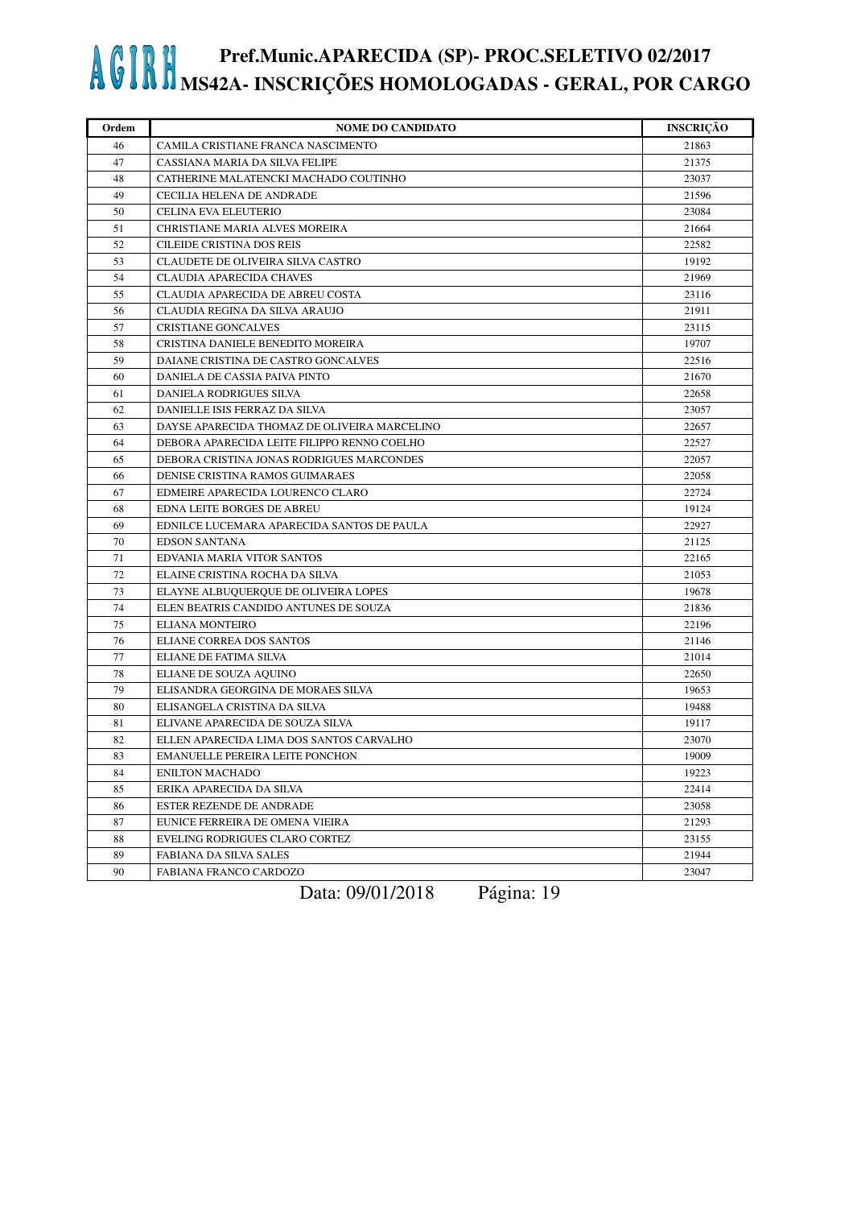| Ordem | <b>NOME DO CANDIDATO</b>                     | <b>INSCRIÇÃO</b> |
|-------|----------------------------------------------|------------------|
| 46    | CAMILA CRISTIANE FRANCA NASCIMENTO           | 21863            |
| 47    | CASSIANA MARIA DA SILVA FELIPE               | 21375            |
| 48    | CATHERINE MALATENCKI MACHADO COUTINHO        | 23037            |
| 49    | CECILIA HELENA DE ANDRADE                    | 21596            |
| 50    | CELINA EVA ELEUTERIO                         | 23084            |
| 51    | CHRISTIANE MARIA ALVES MOREIRA               | 21664            |
| 52    | <b>CILEIDE CRISTINA DOS REIS</b>             | 22582            |
| 53    | CLAUDETE DE OLIVEIRA SILVA CASTRO            | 19192            |
| 54    | CLAUDIA APARECIDA CHAVES                     | 21969            |
| 55    | CLAUDIA APARECIDA DE ABREU COSTA             | 23116            |
| 56    | CLAUDIA REGINA DA SILVA ARAUJO               | 21911            |
| 57    | <b>CRISTIANE GONCALVES</b>                   | 23115            |
| 58    | CRISTINA DANIELE BENEDITO MOREIRA            | 19707            |
| 59    | DAIANE CRISTINA DE CASTRO GONCALVES          | 22516            |
| 60    | DANIELA DE CASSIA PAIVA PINTO                | 21670            |
| 61    | DANIELA RODRIGUES SILVA                      | 22658            |
| 62    | DANIELLE ISIS FERRAZ DA SILVA                | 23057            |
| 63    | DAYSE APARECIDA THOMAZ DE OLIVEIRA MARCELINO | 22657            |
| 64    | DEBORA APARECIDA LEITE FILIPPO RENNO COELHO  | 22527            |
| 65    | DEBORA CRISTINA JONAS RODRIGUES MARCONDES    | 22057            |
| 66    | DENISE CRISTINA RAMOS GUIMARAES              | 22058            |
| 67    | EDMEIRE APARECIDA LOURENCO CLARO             | 22724            |
| 68    | EDNA LEITE BORGES DE ABREU                   | 19124            |
| 69    | EDNILCE LUCEMARA APARECIDA SANTOS DE PAULA   | 22927            |
| 70    | <b>EDSON SANTANA</b>                         | 21125            |
| 71    | EDVANIA MARIA VITOR SANTOS                   | 22165            |
| 72    | ELAINE CRISTINA ROCHA DA SILVA               | 21053            |
| 73    | ELAYNE ALBUQUERQUE DE OLIVEIRA LOPES         | 19678            |
| 74    | ELEN BEATRIS CANDIDO ANTUNES DE SOUZA        | 21836            |
| 75    | ELIANA MONTEIRO                              | 22196            |
| 76    | ELIANE CORREA DOS SANTOS                     | 21146            |
| 77    | ELIANE DE FATIMA SILVA                       | 21014            |
| 78    | ELIANE DE SOUZA AQUINO                       | 22650            |
| 79    | ELISANDRA GEORGINA DE MORAES SILVA           | 19653            |
| 80    | ELISANGELA CRISTINA DA SILVA                 | 19488            |
| 81    | ELIVANE APARECIDA DE SOUZA SILVA             | 19117            |
| 82    | ELLEN APARECIDA LIMA DOS SANTOS CARVALHO     | 23070            |
| 83    | EMANUELLE PEREIRA LEITE PONCHON              | 19009            |
| 84    | <b>ENILTON MACHADO</b>                       | 19223            |
| 85    | ERIKA APARECIDA DA SILVA                     | 22414            |
| 86    | ESTER REZENDE DE ANDRADE                     | 23058            |
| 87    | EUNICE FERREIRA DE OMENA VIEIRA              | 21293            |
| 88    | EVELING RODRIGUES CLARO CORTEZ               | 23155            |
| 89    | <b>FABIANA DA SILVA SALES</b>                | 21944            |
| 90    | FABIANA FRANCO CARDOZO                       | 23047            |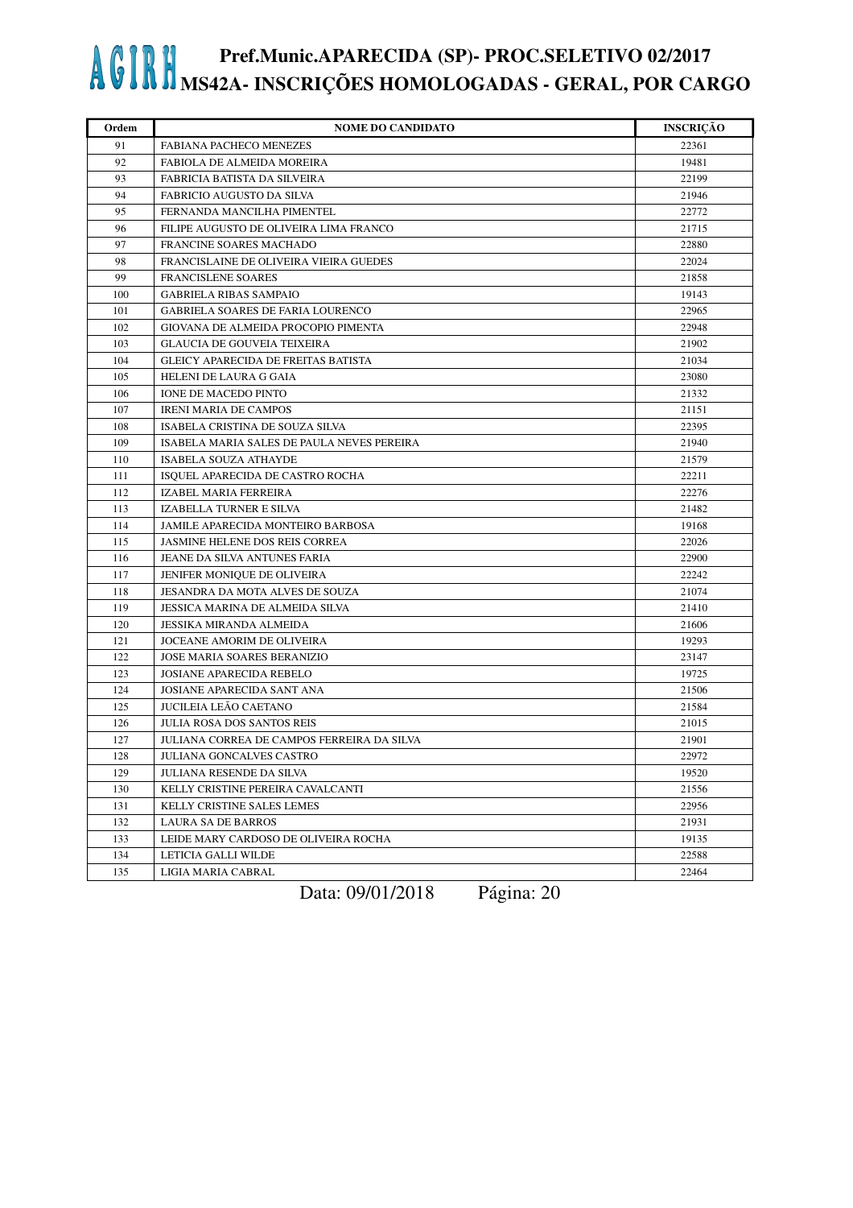| Ordem | <b>NOME DO CANDIDATO</b>                   | <b>INSCRIÇÃO</b> |
|-------|--------------------------------------------|------------------|
| 91    | <b>FABIANA PACHECO MENEZES</b>             | 22361            |
| 92    | FABIOLA DE ALMEIDA MOREIRA                 | 19481            |
| 93    | FABRICIA BATISTA DA SILVEIRA               | 22199            |
| 94    | FABRICIO AUGUSTO DA SILVA                  | 21946            |
| 95    | FERNANDA MANCILHA PIMENTEL                 | 22772            |
| 96    | FILIPE AUGUSTO DE OLIVEIRA LIMA FRANCO     | 21715            |
| 97    | FRANCINE SOARES MACHADO                    | 22880            |
| 98    | FRANCISLAINE DE OLIVEIRA VIEIRA GUEDES     | 22024            |
| 99    | <b>FRANCISLENE SOARES</b>                  | 21858            |
| 100   | <b>GABRIELA RIBAS SAMPAIO</b>              | 19143            |
| 101   | GABRIELA SOARES DE FARIA LOURENCO          | 22965            |
| 102   | GIOVANA DE ALMEIDA PROCOPIO PIMENTA        | 22948            |
| 103   | <b>GLAUCIA DE GOUVEIA TEIXEIRA</b>         | 21902            |
| 104   | <b>GLEICY APARECIDA DE FREITAS BATISTA</b> | 21034            |
| 105   | HELENI DE LAURA G GAIA                     | 23080            |
| 106   | IONE DE MACEDO PINTO                       | 21332            |
| 107   | <b>IRENI MARIA DE CAMPOS</b>               | 21151            |
| 108   | ISABELA CRISTINA DE SOUZA SILVA            | 22395            |
| 109   | ISABELA MARIA SALES DE PAULA NEVES PEREIRA | 21940            |
| 110   | ISABELA SOUZA ATHAYDE                      | 21579            |
| 111   | ISQUEL APARECIDA DE CASTRO ROCHA           | 22211            |
| 112   | IZABEL MARIA FERREIRA                      | 22276            |
| 113   | IZABELLA TURNER E SILVA                    | 21482            |
| 114   | <b>JAMILE APARECIDA MONTEIRO BARBOSA</b>   | 19168            |
| 115   | JASMINE HELENE DOS REIS CORREA             | 22026            |
| 116   | JEANE DA SILVA ANTUNES FARIA               | 22900            |
| 117   | JENIFER MONIQUE DE OLIVEIRA                | 22242            |
| 118   | JESANDRA DA MOTA ALVES DE SOUZA            | 21074            |
| 119   | JESSICA MARINA DE ALMEIDA SILVA            | 21410            |
| 120   | JESSIKA MIRANDA ALMEIDA                    | 21606            |
| 121   | JOCEANE AMORIM DE OLIVEIRA                 | 19293            |
| 122   | JOSE MARIA SOARES BERANIZIO                | 23147            |
| 123   | <b>JOSIANE APARECIDA REBELO</b>            | 19725            |
| 124   | <b>JOSIANE APARECIDA SANT ANA</b>          | 21506            |
| 125   | JUCILEIA LEÃO CAETANO                      | 21584            |
| 126   | <b>JULIA ROSA DOS SANTOS REIS</b>          | 21015            |
| 127   | JULIANA CORREA DE CAMPOS FERREIRA DA SILVA | 21901            |
| 128   | JULIANA GONCALVES CASTRO                   | 22972            |
| 129   | <b>JULIANA RESENDE DA SILVA</b>            | 19520            |
| 130   | KELLY CRISTINE PEREIRA CAVALCANTI          | 21556            |
| 131   | KELLY CRISTINE SALES LEMES                 | 22956            |
| 132   | <b>LAURA SA DE BARROS</b>                  | 21931            |
| 133   | LEIDE MARY CARDOSO DE OLIVEIRA ROCHA       | 19135            |
| 134   | LETICIA GALLI WILDE                        | 22588            |
| 135   | LIGIA MARIA CABRAL                         | 22464            |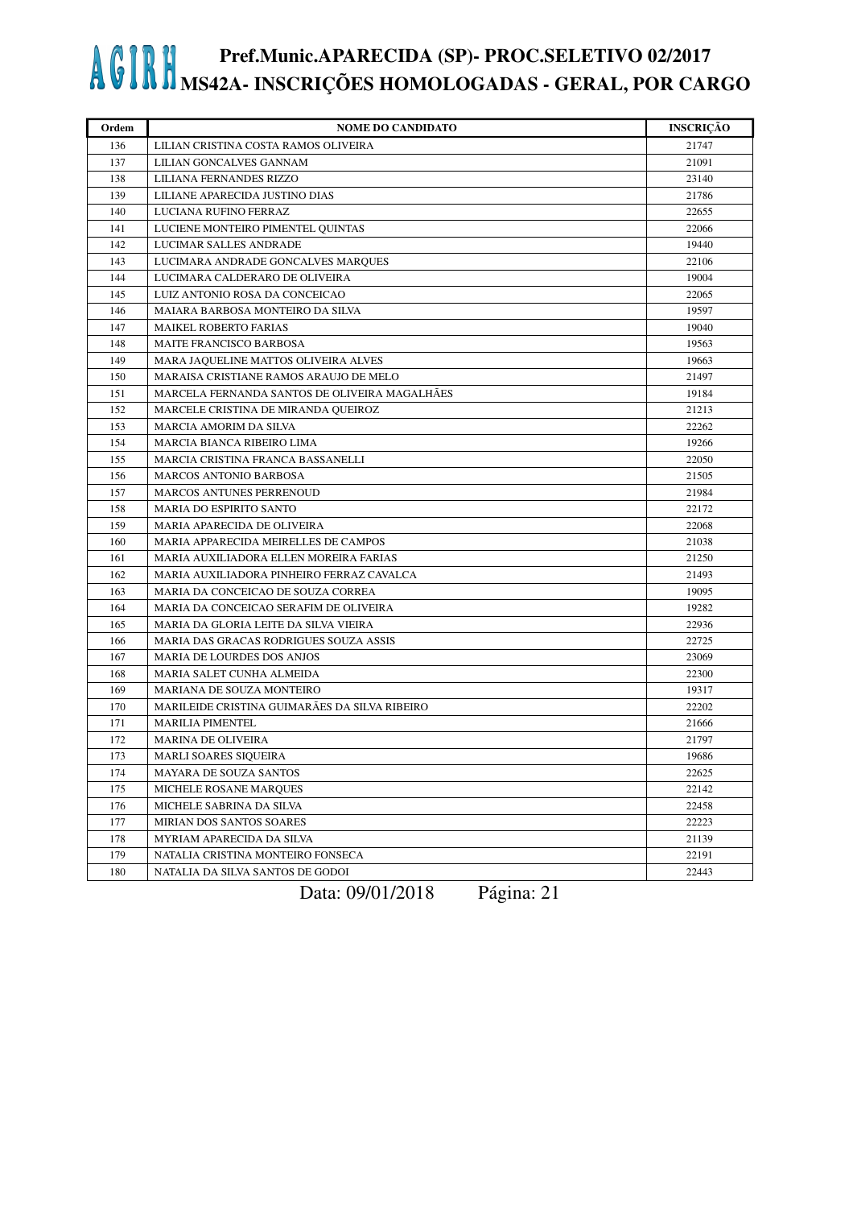| Ordem | <b>NOME DO CANDIDATO</b>                      | <b>INSCRIÇÃO</b> |
|-------|-----------------------------------------------|------------------|
| 136   | LILIAN CRISTINA COSTA RAMOS OLIVEIRA          | 21747            |
| 137   | LILIAN GONCALVES GANNAM                       | 21091            |
| 138   | LILIANA FERNANDES RIZZO                       | 23140            |
| 139   | LILIANE APARECIDA JUSTINO DIAS                | 21786            |
| 140   | LUCIANA RUFINO FERRAZ                         | 22655            |
| 141   | LUCIENE MONTEIRO PIMENTEL QUINTAS             | 22066            |
| 142   | LUCIMAR SALLES ANDRADE                        | 19440            |
| 143   | LUCIMARA ANDRADE GONCALVES MARQUES            | 22106            |
| 144   | LUCIMARA CALDERARO DE OLIVEIRA                | 19004            |
| 145   | LUIZ ANTONIO ROSA DA CONCEICAO                | 22065            |
| 146   | MAIARA BARBOSA MONTEIRO DA SILVA              | 19597            |
| 147   | <b>MAIKEL ROBERTO FARIAS</b>                  | 19040            |
| 148   | <b>MAITE FRANCISCO BARBOSA</b>                | 19563            |
| 149   | MARA JAQUELINE MATTOS OLIVEIRA ALVES          | 19663            |
| 150   | MARAISA CRISTIANE RAMOS ARAUJO DE MELO        | 21497            |
| 151   | MARCELA FERNANDA SANTOS DE OLIVEIRA MAGALHÃES | 19184            |
| 152   | MARCELE CRISTINA DE MIRANDA QUEIROZ           | 21213            |
| 153   | <b>MARCIA AMORIM DA SILVA</b>                 | 22262            |
| 154   | MARCIA BIANCA RIBEIRO LIMA                    | 19266            |
| 155   | MARCIA CRISTINA FRANCA BASSANELLI             | 22050            |
| 156   | <b>MARCOS ANTONIO BARBOSA</b>                 | 21505            |
| 157   | MARCOS ANTUNES PERRENOUD                      | 21984            |
| 158   | MARIA DO ESPIRITO SANTO                       | 22172            |
| 159   | MARIA APARECIDA DE OLIVEIRA                   | 22068            |
| 160   | MARIA APPARECIDA MEIRELLES DE CAMPOS          | 21038            |
| 161   | MARIA AUXILIADORA ELLEN MOREIRA FARIAS        | 21250            |
| 162   | MARIA AUXILIADORA PINHEIRO FERRAZ CAVALCA     | 21493            |
| 163   | MARIA DA CONCEICAO DE SOUZA CORREA            | 19095            |
| 164   | MARIA DA CONCEICAO SERAFIM DE OLIVEIRA        | 19282            |
| 165   | MARIA DA GLORIA LEITE DA SILVA VIEIRA         | 22936            |
| 166   | MARIA DAS GRACAS RODRIGUES SOUZA ASSIS        | 22725            |
| 167   | <b>MARIA DE LOURDES DOS ANJOS</b>             | 23069            |
| 168   | MARIA SALET CUNHA ALMEIDA                     | 22300            |
| 169   | MARIANA DE SOUZA MONTEIRO                     | 19317            |
| 170   | MARILEIDE CRISTINA GUIMARÃES DA SILVA RIBEIRO | 22202            |
| 171   | <b>MARILIA PIMENTEL</b>                       | 21666            |
| 172   | <b>MARINA DE OLIVEIRA</b>                     | 21797            |
| 173   | <b>MARLI SOARES SIQUEIRA</b>                  | 19686            |
| 174   | <b>MAYARA DE SOUZA SANTOS</b>                 | 22625            |
| 175   | MICHELE ROSANE MARQUES                        | 22142            |
| 176   | MICHELE SABRINA DA SILVA                      | 22458            |
| 177   | MIRIAN DOS SANTOS SOARES                      | 22223            |
| 178   | MYRIAM APARECIDA DA SILVA                     | 21139            |
| 179   | NATALIA CRISTINA MONTEIRO FONSECA             | 22191            |
| 180   | NATALIA DA SILVA SANTOS DE GODOI              | 22443            |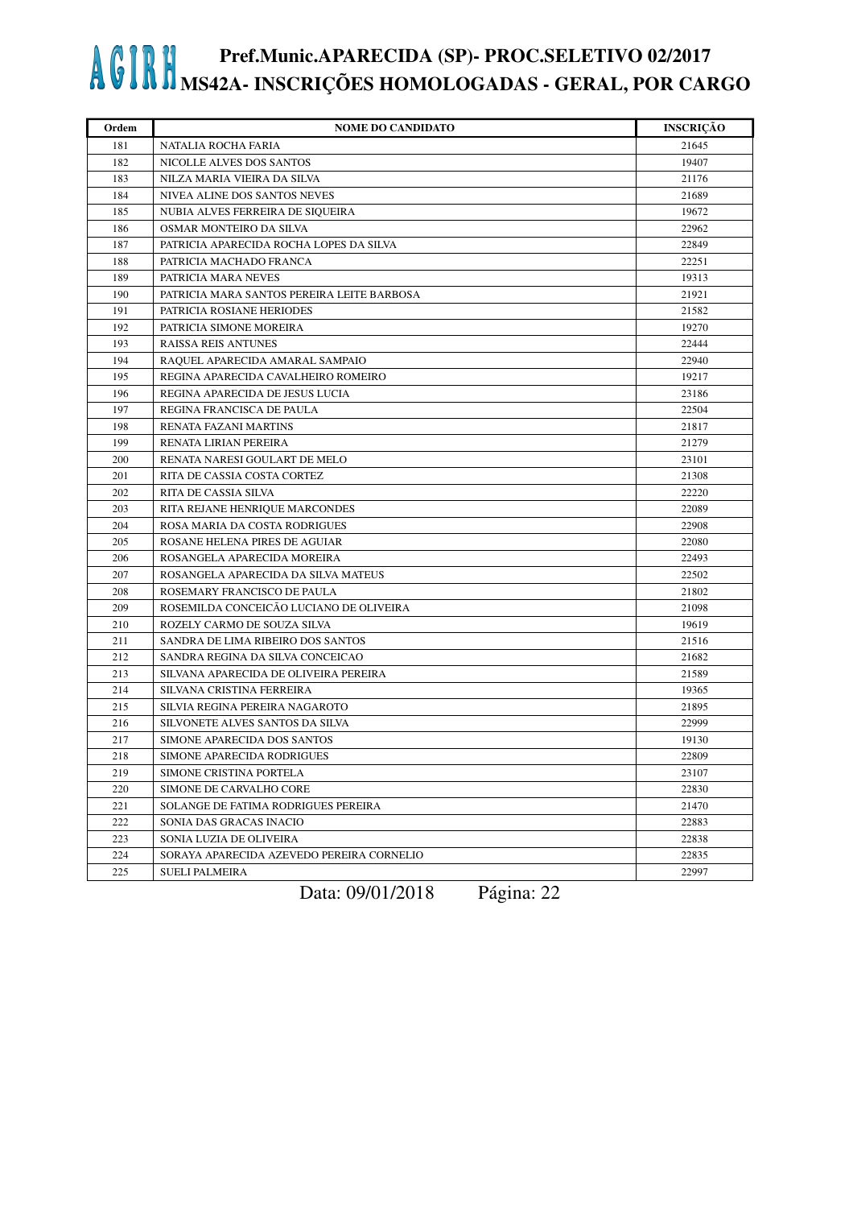| Ordem | <b>NOME DO CANDIDATO</b>                   | <b>INSCRIÇÃO</b> |
|-------|--------------------------------------------|------------------|
| 181   | NATALIA ROCHA FARIA                        | 21645            |
| 182   | NICOLLE ALVES DOS SANTOS                   | 19407            |
| 183   | NILZA MARIA VIEIRA DA SILVA                | 21176            |
| 184   | NIVEA ALINE DOS SANTOS NEVES               | 21689            |
| 185   | NUBIA ALVES FERREIRA DE SIQUEIRA           | 19672            |
| 186   | OSMAR MONTEIRO DA SILVA                    | 22962            |
| 187   | PATRICIA APARECIDA ROCHA LOPES DA SILVA    | 22849            |
| 188   | PATRICIA MACHADO FRANCA                    | 22251            |
| 189   | PATRICIA MARA NEVES                        | 19313            |
| 190   | PATRICIA MARA SANTOS PEREIRA LEITE BARBOSA | 21921            |
| 191   | PATRICIA ROSIANE HERIODES                  | 21582            |
| 192   | PATRICIA SIMONE MOREIRA                    | 19270            |
| 193   | <b>RAISSA REIS ANTUNES</b>                 | 22444            |
| 194   | RAQUEL APARECIDA AMARAL SAMPAIO            | 22940            |
| 195   | REGINA APARECIDA CAVALHEIRO ROMEIRO        | 19217            |
| 196   | REGINA APARECIDA DE JESUS LUCIA            | 23186            |
| 197   | REGINA FRANCISCA DE PAULA                  | 22504            |
| 198   | RENATA FAZANI MARTINS                      | 21817            |
| 199   | RENATA LIRIAN PEREIRA                      | 21279            |
| 200   | RENATA NARESI GOULART DE MELO              | 23101            |
| 201   | RITA DE CASSIA COSTA CORTEZ                | 21308            |
| 202   | RITA DE CASSIA SILVA                       | 22220            |
| 203   | RITA REJANE HENRIQUE MARCONDES             | 22089            |
| 204   | ROSA MARIA DA COSTA RODRIGUES              | 22908            |
| 205   | ROSANE HELENA PIRES DE AGUIAR              | 22080            |
| 206   | ROSANGELA APARECIDA MOREIRA                | 22493            |
| 207   | ROSANGELA APARECIDA DA SILVA MATEUS        | 22502            |
| 208   | ROSEMARY FRANCISCO DE PAULA                | 21802            |
| 209   | ROSEMILDA CONCEICÃO LUCIANO DE OLIVEIRA    | 21098            |
| 210   | ROZELY CARMO DE SOUZA SILVA                | 19619            |
| 211   | SANDRA DE LIMA RIBEIRO DOS SANTOS          | 21516            |
| 212   | SANDRA REGINA DA SILVA CONCEICAO           | 21682            |
| 213   | SILVANA APARECIDA DE OLIVEIRA PEREIRA      | 21589            |
| 214   | SILVANA CRISTINA FERREIRA                  | 19365            |
| 215   | SILVIA REGINA PEREIRA NAGAROTO             | 21895            |
| 216   | SILVONETE ALVES SANTOS DA SILVA            | 22999            |
| 217   | SIMONE APARECIDA DOS SANTOS                | 19130            |
| 218   | SIMONE APARECIDA RODRIGUES                 | 22809            |
| 219   | SIMONE CRISTINA PORTELA                    | 23107            |
| 220   | <b>SIMONE DE CARVALHO CORE</b>             | 22830            |
| 221   | SOLANGE DE FATIMA RODRIGUES PEREIRA        | 21470            |
| 222   | SONIA DAS GRACAS INACIO                    | 22883            |
| 223   | SONIA LUZIA DE OLIVEIRA                    | 22838            |
| 224   | SORAYA APARECIDA AZEVEDO PEREIRA CORNELIO  | 22835            |
| 225   | <b>SUELI PALMEIRA</b>                      | 22997            |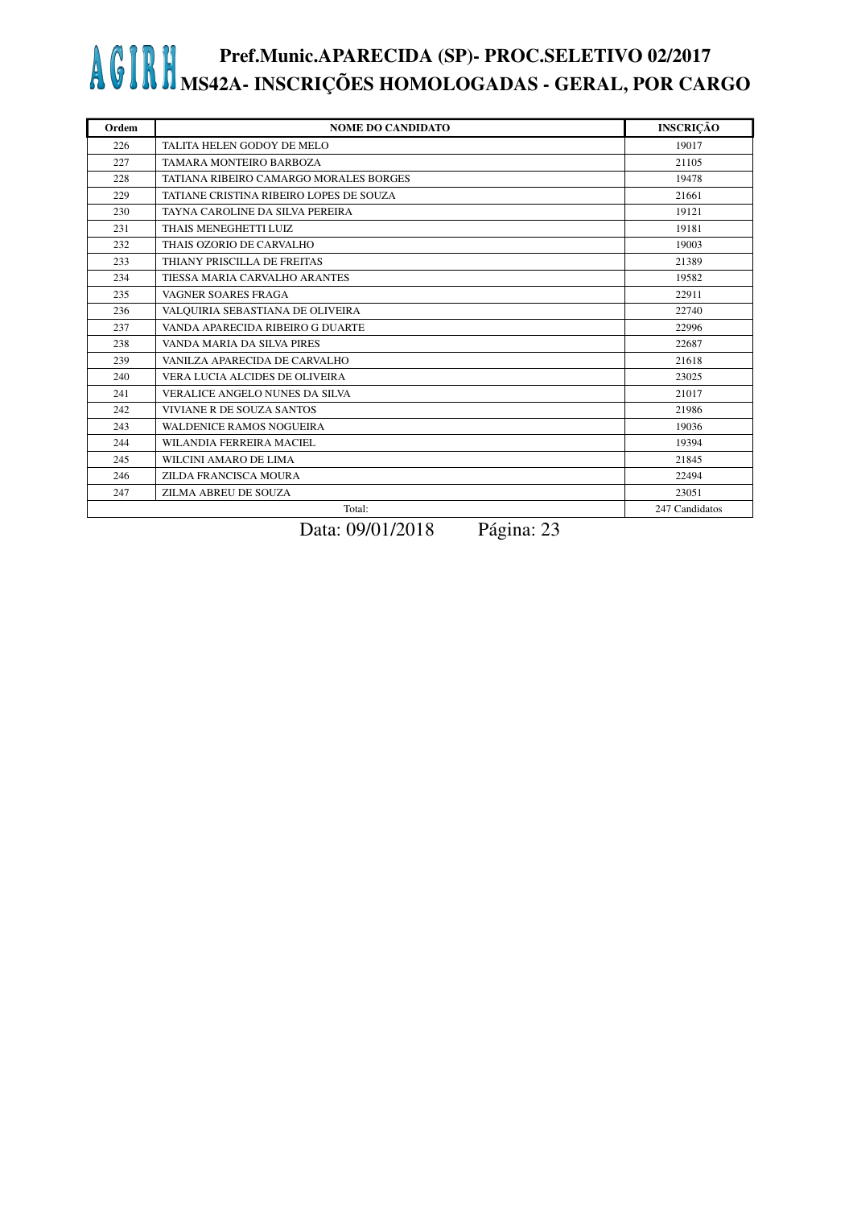| Ordem | <b>NOME DO CANDIDATO</b>                | <b>INSCRIÇÃO</b> |
|-------|-----------------------------------------|------------------|
| 226   | TALITA HELEN GODOY DE MELO              | 19017            |
| 227   | TAMARA MONTEIRO BARBOZA                 | 21105            |
| 228   | TATIANA RIBEIRO CAMARGO MORALES BORGES  | 19478            |
| 229   | TATIANE CRISTINA RIBEIRO LOPES DE SOUZA | 21661            |
| 230   | TAYNA CAROLINE DA SILVA PEREIRA         | 19121            |
| 231   | THAIS MENEGHETTI LUIZ                   | 19181            |
| 232   | THAIS OZORIO DE CARVALHO                | 19003            |
| 233   | THIANY PRISCILLA DE FREITAS             | 21389            |
| 234   | TIESSA MARIA CARVALHO ARANTES           | 19582            |
| 235   | VAGNER SOARES FRAGA                     | 22911            |
| 236   | VALQUIRIA SEBASTIANA DE OLIVEIRA        | 22740            |
| 237   | VANDA APARECIDA RIBEIRO G DUARTE        | 22996            |
| 238   | VANDA MARIA DA SILVA PIRES              | 22687            |
| 239   | VANILZA APARECIDA DE CARVALHO           | 21618            |
| 240   | VERA LUCIA ALCIDES DE OLIVEIRA          | 23025            |
| 241   | VERALICE ANGELO NUNES DA SILVA          | 21017            |
| 242   | VIVIANE R DE SOUZA SANTOS               | 21986            |
| 243   | WALDENICE RAMOS NOGUEIRA                | 19036            |
| 244   | WILANDIA FERREIRA MACIEL                | 19394            |
| 245   | WILCINI AMARO DE LIMA                   | 21845            |
| 246   | ZILDA FRANCISCA MOURA                   | 22494            |
| 247   | ZILMA ABREU DE SOUZA                    | 23051            |
|       | Total:                                  | 247 Candidatos   |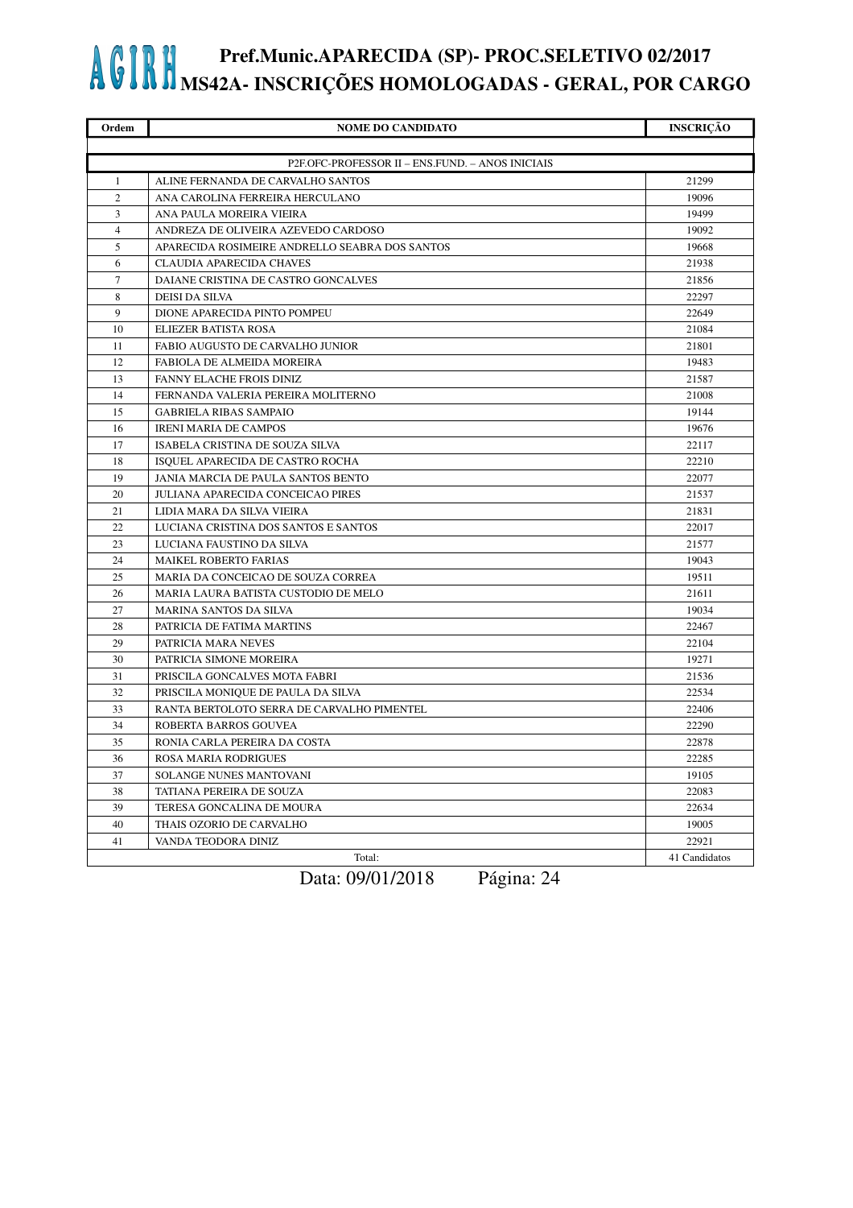| Ordem                                            | <b>NOME DO CANDIDATO</b>                       | <b>INSCRIÇÃO</b> |
|--------------------------------------------------|------------------------------------------------|------------------|
|                                                  |                                                |                  |
| P2F.OFC-PROFESSOR II - ENS.FUND. - ANOS INICIAIS |                                                |                  |
| 1                                                | ALINE FERNANDA DE CARVALHO SANTOS              | 21299            |
| 2                                                | ANA CAROLINA FERREIRA HERCULANO                | 19096            |
| $\overline{3}$                                   | ANA PAULA MOREIRA VIEIRA                       | 19499            |
| $\overline{4}$                                   | ANDREZA DE OLIVEIRA AZEVEDO CARDOSO            | 19092            |
| 5                                                | APARECIDA ROSIMEIRE ANDRELLO SEABRA DOS SANTOS | 19668            |
| 6                                                | <b>CLAUDIA APARECIDA CHAVES</b>                | 21938            |
| $\tau$                                           | DAIANE CRISTINA DE CASTRO GONCALVES            | 21856            |
| 8                                                | DEISI DA SILVA                                 | 22297            |
| 9                                                | DIONE APARECIDA PINTO POMPEU                   | 22649            |
| 10                                               | ELIEZER BATISTA ROSA                           | 21084            |
| 11                                               | FABIO AUGUSTO DE CARVALHO JUNIOR               | 21801            |
| 12                                               | FABIOLA DE ALMEIDA MOREIRA                     | 19483            |
| 13                                               | FANNY ELACHE FROIS DINIZ                       | 21587            |
| 14                                               | FERNANDA VALERIA PEREIRA MOLITERNO             | 21008            |
| 15                                               | <b>GABRIELA RIBAS SAMPAIO</b>                  | 19144            |
| 16                                               | <b>IRENI MARIA DE CAMPOS</b>                   | 19676            |
| 17                                               | ISABELA CRISTINA DE SOUZA SILVA                | 22117            |
| 18                                               | ISQUEL APARECIDA DE CASTRO ROCHA               | 22210            |
| 19                                               | JANIA MARCIA DE PAULA SANTOS BENTO             | 22077            |
| 20                                               | JULIANA APARECIDA CONCEICAO PIRES              | 21537            |
| 21                                               | LIDIA MARA DA SILVA VIEIRA                     | 21831            |
| 22                                               | LUCIANA CRISTINA DOS SANTOS E SANTOS           | 22017            |
| 23                                               | LUCIANA FAUSTINO DA SILVA                      | 21577            |
| 24                                               | MAIKEL ROBERTO FARIAS                          | 19043            |
| 25                                               | MARIA DA CONCEICAO DE SOUZA CORREA             | 19511            |
| 26                                               | MARIA LAURA BATISTA CUSTODIO DE MELO           | 21611            |
| 27                                               | MARINA SANTOS DA SILVA                         | 19034            |
| 28                                               | PATRICIA DE FATIMA MARTINS                     | 22467            |
| 29                                               | PATRICIA MARA NEVES                            | 22104            |
| 30                                               | PATRICIA SIMONE MOREIRA                        | 19271            |
| 31                                               | PRISCILA GONCALVES MOTA FABRI                  | 21536            |
| 32                                               | PRISCILA MONIQUE DE PAULA DA SILVA             | 22534            |
| 33                                               | RANTA BERTOLOTO SERRA DE CARVALHO PIMENTEL     | 22406            |
| 34                                               | ROBERTA BARROS GOUVEA                          | 22290            |
| 35                                               | RONIA CARLA PEREIRA DA COSTA                   | 22878            |
| 36                                               | ROSA MARIA RODRIGUES                           | 22285            |
| 37                                               | SOLANGE NUNES MANTOVANI                        | 19105            |
| 38                                               | TATIANA PEREIRA DE SOUZA                       | 22083            |
| 39                                               | TERESA GONCALINA DE MOURA                      | 22634            |
| 40                                               | THAIS OZORIO DE CARVALHO                       | 19005            |
| 41                                               | VANDA TEODORA DINIZ                            | 22921            |
|                                                  | Total:                                         | 41 Candidatos    |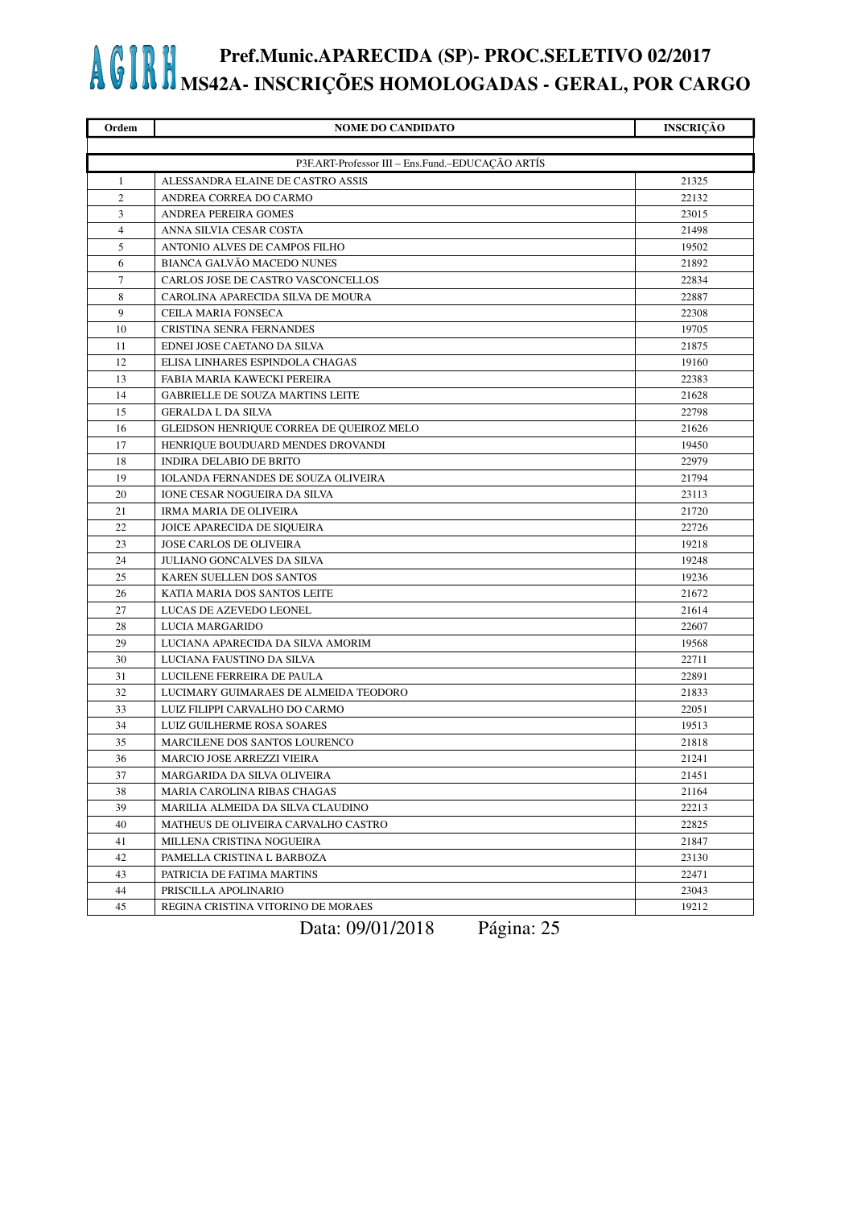| Ordem                   | <b>NOME DO CANDIDATO</b>                         | <b>INSCRIÇÃO</b> |
|-------------------------|--------------------------------------------------|------------------|
|                         |                                                  |                  |
|                         | P3F.ART-Professor III - Ens.Fund.-EDUCAÇÃO ARTÍS |                  |
| $\mathbf{1}$            | ALESSANDRA ELAINE DE CASTRO ASSIS                | 21325            |
| $\overline{c}$          | ANDREA CORREA DO CARMO                           | 22132            |
| $\overline{\mathbf{3}}$ | ANDREA PEREIRA GOMES                             | 23015            |
| $\overline{4}$          | ANNA SILVIA CESAR COSTA                          | 21498            |
| 5                       | ANTONIO ALVES DE CAMPOS FILHO                    | 19502            |
| 6                       | <b>BIANCA GALVÃO MACEDO NUNES</b>                | 21892            |
| 7                       | CARLOS JOSE DE CASTRO VASCONCELLOS               | 22834            |
| 8                       | CAROLINA APARECIDA SILVA DE MOURA                | 22887            |
| 9                       | CEILA MARIA FONSECA                              | 22308            |
| 10                      | CRISTINA SENRA FERNANDES                         | 19705            |
| 11                      | EDNEI JOSE CAETANO DA SILVA                      | 21875            |
| 12                      | ELISA LINHARES ESPINDOLA CHAGAS                  | 19160            |
| 13                      | FABIA MARIA KAWECKI PEREIRA                      | 22383            |
| 14                      | <b>GABRIELLE DE SOUZA MARTINS LEITE</b>          | 21628            |
| 15                      | <b>GERALDA L DA SILVA</b>                        | 22798            |
| 16                      | GLEIDSON HENRIQUE CORREA DE QUEIROZ MELO         | 21626            |
| 17                      | HENRIQUE BOUDUARD MENDES DROVANDI                | 19450            |
| 18                      | <b>INDIRA DELABIO DE BRITO</b>                   | 22979            |
| 19                      | IOLANDA FERNANDES DE SOUZA OLIVEIRA              | 21794            |
| 20                      | IONE CESAR NOGUEIRA DA SILVA                     | 23113            |
| 21                      | IRMA MARIA DE OLIVEIRA                           | 21720            |
| 22                      | JOICE APARECIDA DE SIQUEIRA                      | 22726            |
| 23                      | <b>JOSE CARLOS DE OLIVEIRA</b>                   | 19218            |
| 24                      | JULIANO GONCALVES DA SILVA                       | 19248            |
| 25                      | KAREN SUELLEN DOS SANTOS                         | 19236            |
| 26                      | KATIA MARIA DOS SANTOS LEITE                     | 21672            |
| 27                      | LUCAS DE AZEVEDO LEONEL                          | 21614            |
| 28                      | LUCIA MARGARIDO                                  | 22607            |
| 29                      | LUCIANA APARECIDA DA SILVA AMORIM                | 19568            |
| 30                      | LUCIANA FAUSTINO DA SILVA                        | 22711            |
| 31                      | LUCILENE FERREIRA DE PAULA                       | 22891            |
| 32                      | LUCIMARY GUIMARAES DE ALMEIDA TEODORO            | 21833            |
| 33                      | LUIZ FILIPPI CARVALHO DO CARMO                   | 22051            |
| 34                      | LUIZ GUILHERME ROSA SOARES                       | 19513            |
| 35                      | MARCILENE DOS SANTOS LOURENCO                    | 21818            |
| 36                      | MARCIO JOSE ARREZZI VIEIRA                       | 21241            |
| 37                      | MARGARIDA DA SILVA OLIVEIRA                      | 21451            |
| 38                      | MARIA CAROLINA RIBAS CHAGAS                      | 21164            |
| 39                      | MARILIA ALMEIDA DA SILVA CLAUDINO                | 22213            |
| 40                      | MATHEUS DE OLIVEIRA CARVALHO CASTRO              | 22825            |
| 41                      | MILLENA CRISTINA NOGUEIRA                        | 21847            |
| 42                      | PAMELLA CRISTINA L BARBOZA                       | 23130            |
| 43                      | PATRICIA DE FATIMA MARTINS                       | 22471            |
| 44                      | PRISCILLA APOLINARIO                             | 23043            |
| 45                      | REGINA CRISTINA VITORINO DE MORAES               | 19212            |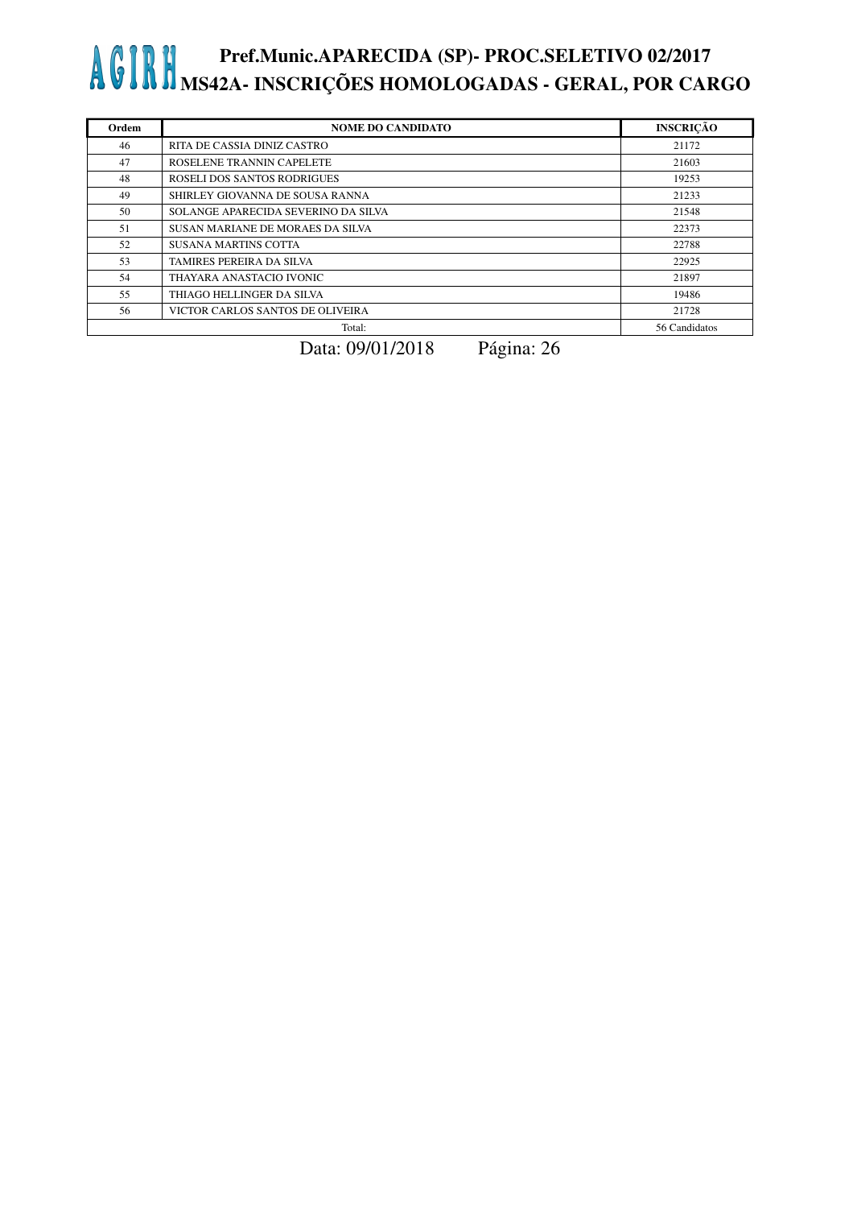| Ordem | <b>NOME DO CANDIDATO</b>            | <b>INSCRICÃO</b> |
|-------|-------------------------------------|------------------|
| 46    | RITA DE CASSIA DINIZ CASTRO         | 21172            |
| 47    | ROSELENE TRANNIN CAPELETE           | 21603            |
| 48    | ROSELI DOS SANTOS RODRIGUES         | 19253            |
| 49    | SHIRLEY GIOVANNA DE SOUSA RANNA     | 21233            |
| 50    | SOLANGE APARECIDA SEVERINO DA SILVA | 21548            |
| 51    | SUSAN MARIANE DE MORAES DA SILVA    | 22373            |
| 52    | <b>SUSANA MARTINS COTTA</b>         | 22788            |
| 53    | TAMIRES PEREIRA DA SILVA            | 22925            |
| 54    | THAYARA ANASTACIO IVONIC            | 21897            |
| 55    | THIAGO HELLINGER DA SILVA           | 19486            |
| 56    | VICTOR CARLOS SANTOS DE OLIVEIRA    | 21728            |
|       | Total:                              | 56 Candidatos    |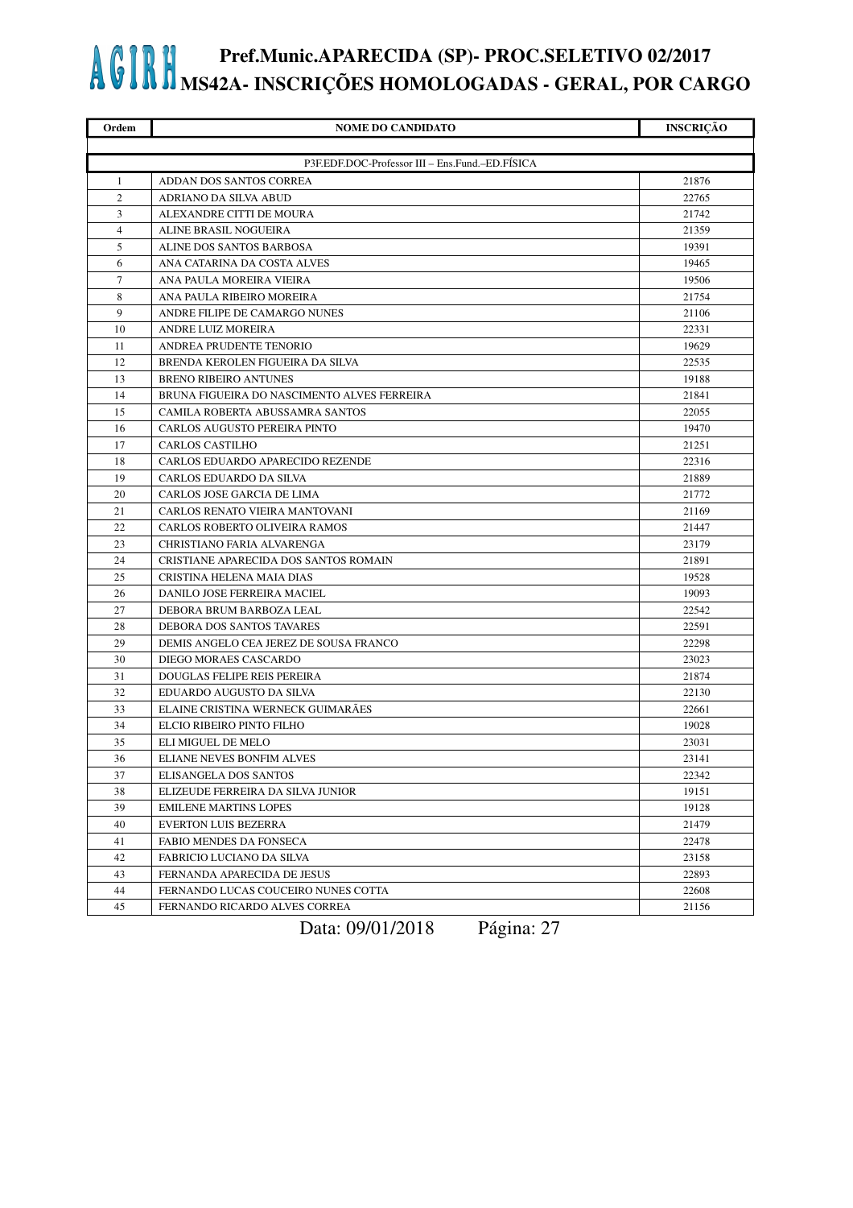| Ordem  | <b>NOME DO CANDIDATO</b>                        | <b>INSCRIÇÃO</b> |
|--------|-------------------------------------------------|------------------|
|        |                                                 |                  |
|        | P3F.EDF.DOC-Professor III - Ens.Fund.-ED.FÍSICA |                  |
| 1      | ADDAN DOS SANTOS CORREA                         | 21876            |
| 2      | ADRIANO DA SILVA ABUD                           | 22765            |
| 3      | ALEXANDRE CITTI DE MOURA                        | 21742            |
| 4      | ALINE BRASIL NOGUEIRA                           | 21359            |
| 5      | ALINE DOS SANTOS BARBOSA                        | 19391            |
| 6      | ANA CATARINA DA COSTA ALVES                     | 19465            |
| $\tau$ | ANA PAULA MOREIRA VIEIRA                        | 19506            |
| 8      | ANA PAULA RIBEIRO MOREIRA                       | 21754            |
| 9      | ANDRE FILIPE DE CAMARGO NUNES                   | 21106            |
| 10     | ANDRE LUIZ MOREIRA                              | 22331            |
| 11     | ANDREA PRUDENTE TENORIO                         | 19629            |
| 12     | BRENDA KEROLEN FIGUEIRA DA SILVA                | 22535            |
| 13     | <b>BRENO RIBEIRO ANTUNES</b>                    | 19188            |
| 14     | BRUNA FIGUEIRA DO NASCIMENTO ALVES FERREIRA     | 21841            |
| 15     | CAMILA ROBERTA ABUSSAMRA SANTOS                 | 22055            |
| 16     | CARLOS AUGUSTO PEREIRA PINTO                    | 19470            |
| 17     | <b>CARLOS CASTILHO</b>                          | 21251            |
| 18     | CARLOS EDUARDO APARECIDO REZENDE                | 22316            |
| 19     | CARLOS EDUARDO DA SILVA                         | 21889            |
| 20     | CARLOS JOSE GARCIA DE LIMA                      | 21772            |
| 21     | CARLOS RENATO VIEIRA MANTOVANI                  | 21169            |
| 22     | CARLOS ROBERTO OLIVEIRA RAMOS                   | 21447            |
| 23     | CHRISTIANO FARIA ALVARENGA                      | 23179            |
| 24     | CRISTIANE APARECIDA DOS SANTOS ROMAIN           | 21891            |
| 25     | CRISTINA HELENA MAIA DIAS                       | 19528            |
| 26     | DANILO JOSE FERREIRA MACIEL                     | 19093            |
| 27     | DEBORA BRUM BARBOZA LEAL                        | 22542            |
| 28     | DEBORA DOS SANTOS TAVARES                       | 22591            |
| 29     | DEMIS ANGELO CEA JEREZ DE SOUSA FRANCO          | 22298            |
| 30     | DIEGO MORAES CASCARDO                           | 23023            |
| 31     | <b>DOUGLAS FELIPE REIS PEREIRA</b>              | 21874            |
| 32     | EDUARDO AUGUSTO DA SILVA                        | 22130            |
| 33     | ELAINE CRISTINA WERNECK GUIMARAES               | 22661            |
| 34     | ELCIO RIBEIRO PINTO FILHO                       | 19028            |
| 35     | ELI MIGUEL DE MELO                              | 23031            |
| 36     | ELIANE NEVES BONFIM ALVES                       | 23141            |
| 37     | ELISANGELA DOS SANTOS                           | 22342            |
| 38     | ELIZEUDE FERREIRA DA SILVA JUNIOR               | 19151            |
| 39     | <b>EMILENE MARTINS LOPES</b>                    | 19128            |
| 40     | <b>EVERTON LUIS BEZERRA</b>                     | 21479            |
| 41     | FABIO MENDES DA FONSECA                         | 22478            |
| 42     | FABRICIO LUCIANO DA SILVA                       | 23158            |
| 43     | FERNANDA APARECIDA DE JESUS                     | 22893            |
| 44     | FERNANDO LUCAS COUCEIRO NUNES COTTA             | 22608            |
| 45     | FERNANDO RICARDO ALVES CORREA                   | 21156            |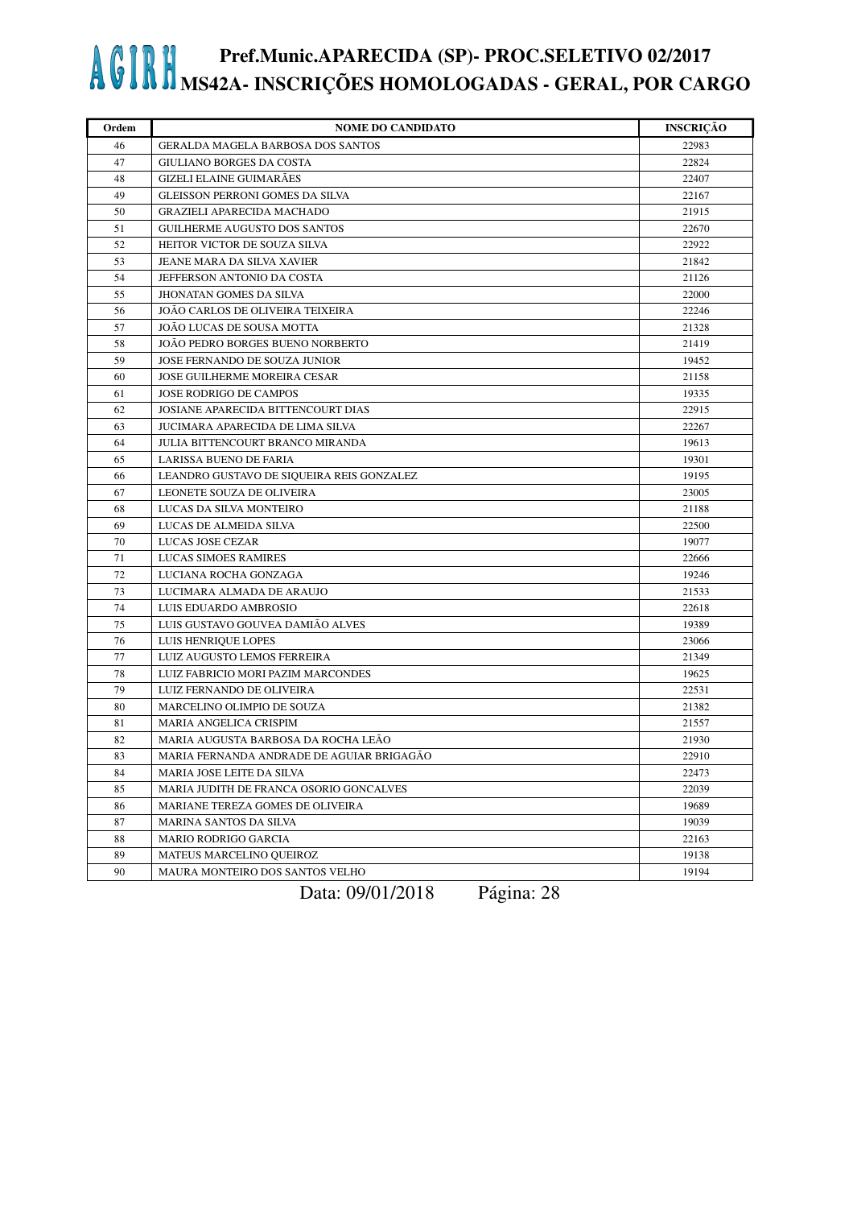| Ordem | <b>NOME DO CANDIDATO</b>                  | <b>INSCRIÇÃO</b> |
|-------|-------------------------------------------|------------------|
| 46    | <b>GERALDA MAGELA BARBOSA DOS SANTOS</b>  | 22983            |
| 47    | <b>GIULIANO BORGES DA COSTA</b>           | 22824            |
| 48    | <b>GIZELI ELAINE GUIMARÃES</b>            | 22407            |
| 49    | <b>GLEISSON PERRONI GOMES DA SILVA</b>    | 22167            |
| 50    | <b>GRAZIELI APARECIDA MACHADO</b>         | 21915            |
| 51    | GUILHERME AUGUSTO DOS SANTOS              | 22670            |
| 52    | HEITOR VICTOR DE SOUZA SILVA              | 22922            |
| 53    | JEANE MARA DA SILVA XAVIER                | 21842            |
| 54    | JEFFERSON ANTONIO DA COSTA                | 21126            |
| 55    | JHONATAN GOMES DA SILVA                   | 22000            |
| 56    | JOAO CARLOS DE OLIVEIRA TEIXEIRA          | 22246            |
| 57    | JOÃO LUCAS DE SOUSA MOTTA                 | 21328            |
| 58    | JOÃO PEDRO BORGES BUENO NORBERTO          | 21419            |
| 59    | JOSE FERNANDO DE SOUZA JUNIOR             | 19452            |
| 60    | JOSE GUILHERME MOREIRA CESAR              | 21158            |
| 61    | JOSE RODRIGO DE CAMPOS                    | 19335            |
| 62    | JOSIANE APARECIDA BITTENCOURT DIAS        | 22915            |
| 63    | <b>JUCIMARA APARECIDA DE LIMA SILVA</b>   | 22267            |
| 64    | <b>JULIA BITTENCOURT BRANCO MIRANDA</b>   | 19613            |
| 65    | LARISSA BUENO DE FARIA                    | 19301            |
| 66    | LEANDRO GUSTAVO DE SIQUEIRA REIS GONZALEZ | 19195            |
| 67    | LEONETE SOUZA DE OLIVEIRA                 | 23005            |
| 68    | LUCAS DA SILVA MONTEIRO                   | 21188            |
| 69    | LUCAS DE ALMEIDA SILVA                    | 22500            |
| 70    | LUCAS JOSE CEZAR                          | 19077            |
| 71    | LUCAS SIMOES RAMIRES                      | 22666            |
| 72    | LUCIANA ROCHA GONZAGA                     | 19246            |
| 73    | LUCIMARA ALMADA DE ARAUJO                 | 21533            |
| 74    | LUIS EDUARDO AMBROSIO                     | 22618            |
| 75    | LUIS GUSTAVO GOUVEA DAMIÃO ALVES          | 19389            |
| 76    | LUIS HENRIQUE LOPES                       | 23066            |
| 77    | LUIZ AUGUSTO LEMOS FERREIRA               | 21349            |
| 78    | LUIZ FABRICIO MORI PAZIM MARCONDES        | 19625            |
| 79    | LUIZ FERNANDO DE OLIVEIRA                 | 22531            |
| 80    | MARCELINO OLIMPIO DE SOUZA                | 21382            |
| 81    | MARIA ANGELICA CRISPIM                    | 21557            |
| 82    | MARIA AUGUSTA BARBOSA DA ROCHA LEÃO       | 21930            |
| 83    | MARIA FERNANDA ANDRADE DE AGUIAR BRIGAGÃO | 22910            |
| 84    | MARIA JOSE LEITE DA SILVA                 | 22473            |
| 85    | MARIA JUDITH DE FRANCA OSORIO GONCALVES   | 22039            |
| 86    | MARIANE TEREZA GOMES DE OLIVEIRA          | 19689            |
| 87    | MARINA SANTOS DA SILVA                    | 19039            |
| 88    | <b>MARIO RODRIGO GARCIA</b>               | 22163            |
| 89    | <b>MATEUS MARCELINO QUEIROZ</b>           | 19138            |
| 90    | MAURA MONTEIRO DOS SANTOS VELHO           | 19194            |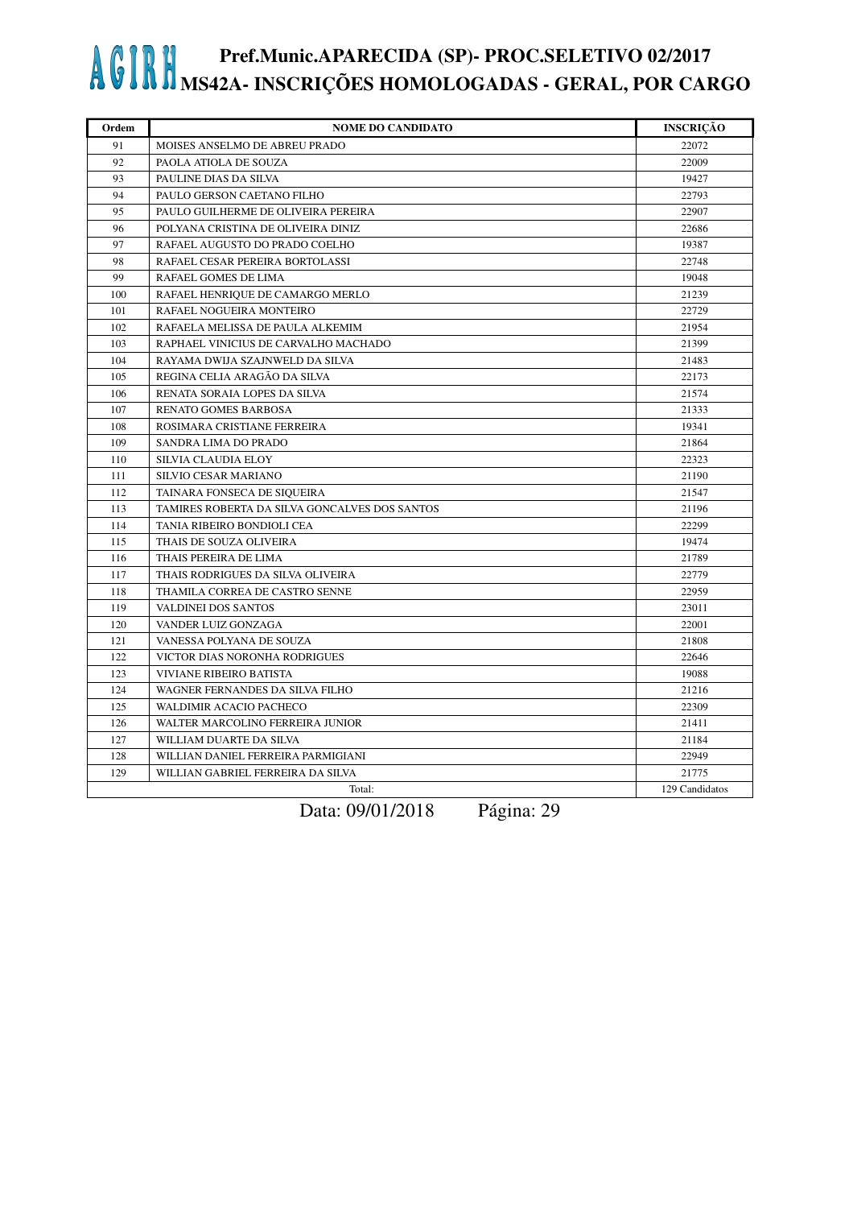| Ordem | <b>NOME DO CANDIDATO</b>                      | <b>INSCRIÇÃO</b> |
|-------|-----------------------------------------------|------------------|
| 91    | MOISES ANSELMO DE ABREU PRADO                 | 22072            |
| 92    | PAOLA ATIOLA DE SOUZA                         | 22009            |
| 93    | PAULINE DIAS DA SILVA                         | 19427            |
| 94    | PAULO GERSON CAETANO FILHO                    | 22793            |
| 95    | PAULO GUILHERME DE OLIVEIRA PEREIRA           | 22907            |
| 96    | POLYANA CRISTINA DE OLIVEIRA DINIZ            | 22686            |
| 97    | RAFAEL AUGUSTO DO PRADO COELHO                | 19387            |
| 98    | RAFAEL CESAR PEREIRA BORTOLASSI               | 22748            |
| 99    | RAFAEL GOMES DE LIMA                          | 19048            |
| 100   | RAFAEL HENRIQUE DE CAMARGO MERLO              | 21239            |
| 101   | RAFAEL NOGUEIRA MONTEIRO                      | 22729            |
| 102   | RAFAELA MELISSA DE PAULA ALKEMIM              | 21954            |
| 103   | RAPHAEL VINICIUS DE CARVALHO MACHADO          | 21399            |
| 104   | RAYAMA DWIJA SZAJNWELD DA SILVA               | 21483            |
| 105   | REGINA CELIA ARAGÃO DA SILVA                  | 22173            |
| 106   | RENATA SORAIA LOPES DA SILVA                  | 21574            |
| 107   | RENATO GOMES BARBOSA                          | 21333            |
| 108   | ROSIMARA CRISTIANE FERREIRA                   | 19341            |
| 109   | SANDRA LIMA DO PRADO                          | 21864            |
| 110   | SILVIA CLAUDIA ELOY                           | 22323            |
| 111   | SILVIO CESAR MARIANO                          | 21190            |
| 112   | TAINARA FONSECA DE SIQUEIRA                   | 21547            |
| 113   | TAMIRES ROBERTA DA SILVA GONCALVES DOS SANTOS | 21196            |
| 114   | TANIA RIBEIRO BONDIOLI CEA                    | 22299            |
| 115   | THAIS DE SOUZA OLIVEIRA                       | 19474            |
| 116   | THAIS PEREIRA DE LIMA                         | 21789            |
| 117   | THAIS RODRIGUES DA SILVA OLIVEIRA             | 22779            |
| 118   | THAMILA CORREA DE CASTRO SENNE                | 22959            |
| 119   | <b>VALDINEI DOS SANTOS</b>                    | 23011            |
| 120   | VANDER LUIZ GONZAGA                           | 22001            |
| 121   | VANESSA POLYANA DE SOUZA                      | 21808            |
| 122   | VICTOR DIAS NORONHA RODRIGUES                 | 22646            |
| 123   | <b>VIVIANE RIBEIRO BATISTA</b>                | 19088            |
| 124   | WAGNER FERNANDES DA SILVA FILHO               | 21216            |
| 125   | WALDIMIR ACACIO PACHECO                       | 22309            |
| 126   | WALTER MARCOLINO FERREIRA JUNIOR              | 21411            |
| 127   | WILLIAM DUARTE DA SILVA                       | 21184            |
| 128   | WILLIAN DANIEL FERREIRA PARMIGIANI            | 22949            |
| 129   | WILLIAN GABRIEL FERREIRA DA SILVA             | 21775            |
|       | Total:                                        | 129 Candidatos   |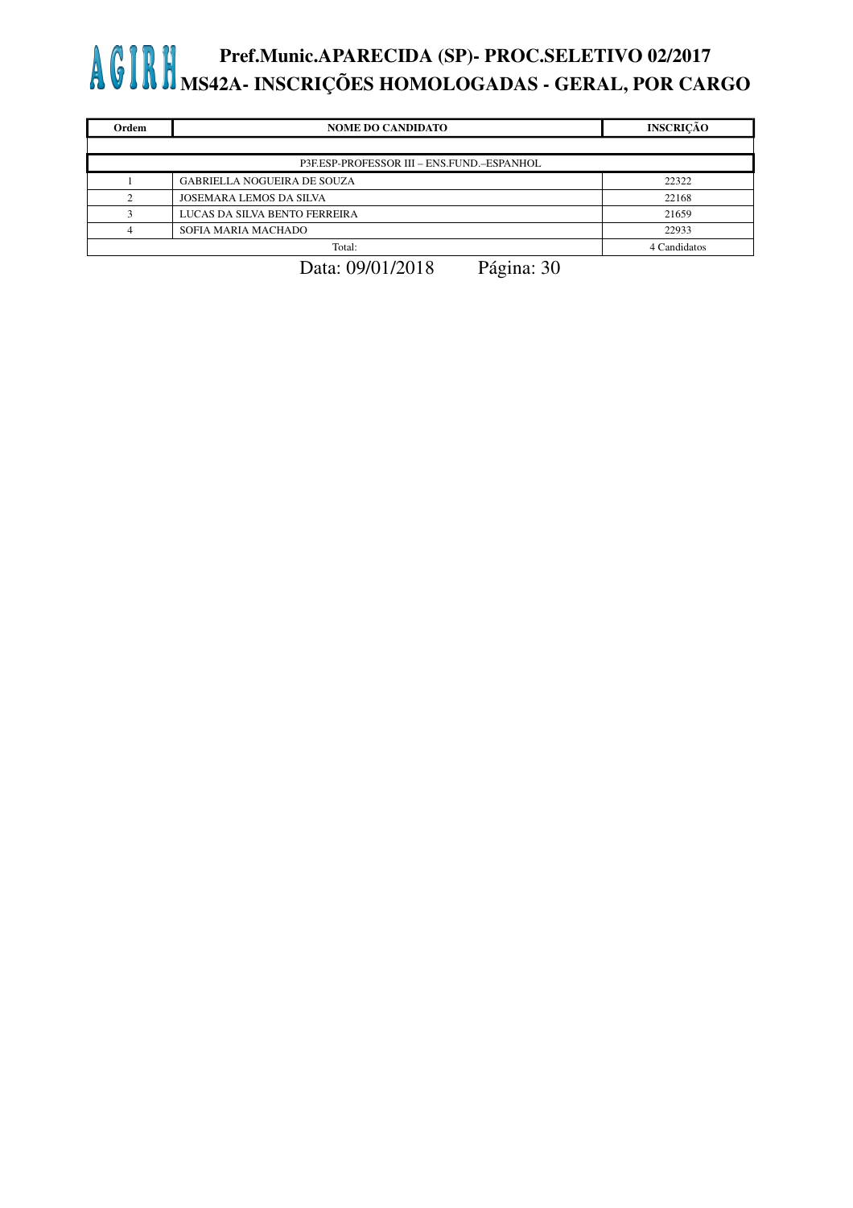| Ordem | <b>NOME DO CANDIDATO</b>                   | <b>INSCRICÃO</b> |
|-------|--------------------------------------------|------------------|
|       |                                            |                  |
|       | P3F.ESP-PROFESSOR III - ENS.FUND.-ESPANHOL |                  |
|       | <b>GABRIELLA NOGUEIRA DE SOUZA</b>         | 22322            |
|       | JOSEMARA LEMOS DA SILVA                    | 22168            |
|       | LUCAS DA SILVA BENTO FERREIRA              | 21659            |
|       | SOFIA MARIA MACHADO                        | 22933            |
|       | Total:                                     | 4 Candidatos     |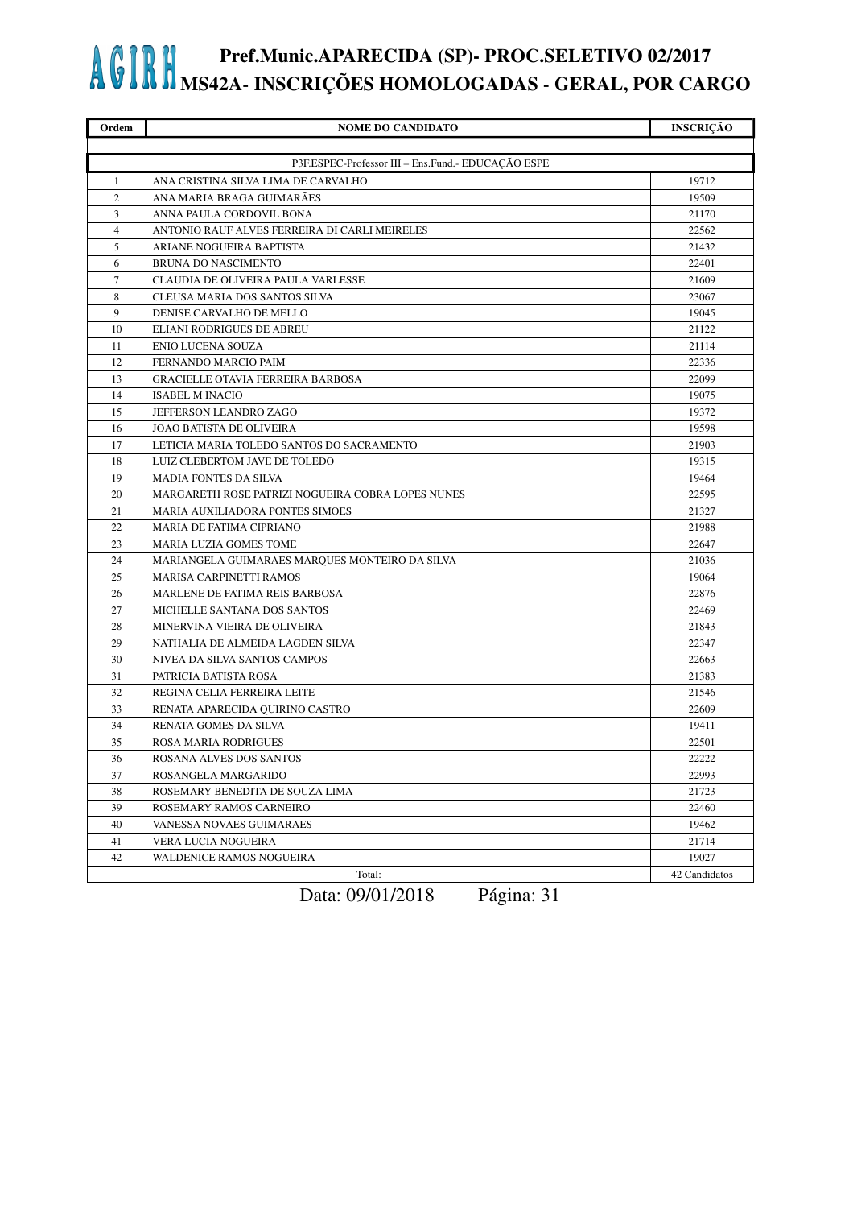| Ordem          | <b>NOME DO CANDIDATO</b>                           | <b>INSCRIÇÃO</b> |
|----------------|----------------------------------------------------|------------------|
|                |                                                    |                  |
|                | P3F.ESPEC-Professor III - Ens.Fund.- EDUCAÇÃO ESPE |                  |
| 1              | ANA CRISTINA SILVA LIMA DE CARVALHO                | 19712            |
| $\overline{c}$ | ANA MARIA BRAGA GUIMARÃES                          | 19509            |
| 3              | ANNA PAULA CORDOVIL BONA                           | 21170            |
| $\overline{4}$ | ANTONIO RAUF ALVES FERREIRA DI CARLI MEIRELES      | 22562            |
| 5              | ARIANE NOGUEIRA BAPTISTA                           | 21432            |
| 6              | <b>BRUNA DO NASCIMENTO</b>                         | 22401            |
| 7              | CLAUDIA DE OLIVEIRA PAULA VARLESSE                 | 21609            |
| 8              | CLEUSA MARIA DOS SANTOS SILVA                      | 23067            |
| 9              | DENISE CARVALHO DE MELLO                           | 19045            |
| 10             | ELIANI RODRIGUES DE ABREU                          | 21122            |
| 11             | <b>ENIO LUCENA SOUZA</b>                           | 21114            |
| 12             | FERNANDO MARCIO PAIM                               | 22336            |
| 13             | <b>GRACIELLE OTAVIA FERREIRA BARBOSA</b>           | 22099            |
| 14             | <b>ISABEL M INACIO</b>                             | 19075            |
| 15             | JEFFERSON LEANDRO ZAGO                             | 19372            |
| 16             | <b>JOAO BATISTA DE OLIVEIRA</b>                    | 19598            |
| 17             | LETICIA MARIA TOLEDO SANTOS DO SACRAMENTO          | 21903            |
| 18             | LUIZ CLEBERTOM JAVE DE TOLEDO                      | 19315            |
| 19             | <b>MADIA FONTES DA SILVA</b>                       | 19464            |
| 20             | MARGARETH ROSE PATRIZI NOGUEIRA COBRA LOPES NUNES  | 22595            |
| 21             | MARIA AUXILIADORA PONTES SIMOES                    | 21327            |
| 22             | MARIA DE FATIMA CIPRIANO                           | 21988            |
| 23             | MARIA LUZIA GOMES TOME                             | 22647            |
| 24             | MARIANGELA GUIMARAES MARQUES MONTEIRO DA SILVA     | 21036            |
| 25             | <b>MARISA CARPINETTI RAMOS</b>                     | 19064            |
| 26             | MARLENE DE FATIMA REIS BARBOSA                     | 22876            |
| 27             | MICHELLE SANTANA DOS SANTOS                        | 22469            |
| 28             | MINERVINA VIEIRA DE OLIVEIRA                       | 21843            |
| 29             | NATHALIA DE ALMEIDA LAGDEN SILVA                   | 22347            |
| 30             | NIVEA DA SILVA SANTOS CAMPOS                       | 22663            |
| 31             | PATRICIA BATISTA ROSA                              | 21383            |
| 32             | REGINA CELIA FERREIRA LEITE                        | 21546            |
| 33             | RENATA APARECIDA QUIRINO CASTRO                    | 22609            |
| 34             | RENATA GOMES DA SILVA                              | 19411            |
| 35             | <b>ROSA MARIA RODRIGUES</b>                        | 22501            |
| 36             | ROSANA ALVES DOS SANTOS                            | 22222            |
| 37             | ROSANGELA MARGARIDO                                | 22993            |
| 38             | ROSEMARY BENEDITA DE SOUZA LIMA                    | 21723            |
| 39             | ROSEMARY RAMOS CARNEIRO                            | 22460            |
| 40             | VANESSA NOVAES GUIMARAES                           | 19462            |
| 41             | VERA LUCIA NOGUEIRA                                | 21714            |
| 42             | WALDENICE RAMOS NOGUEIRA                           | 19027            |
|                | Total:                                             | 42 Candidatos    |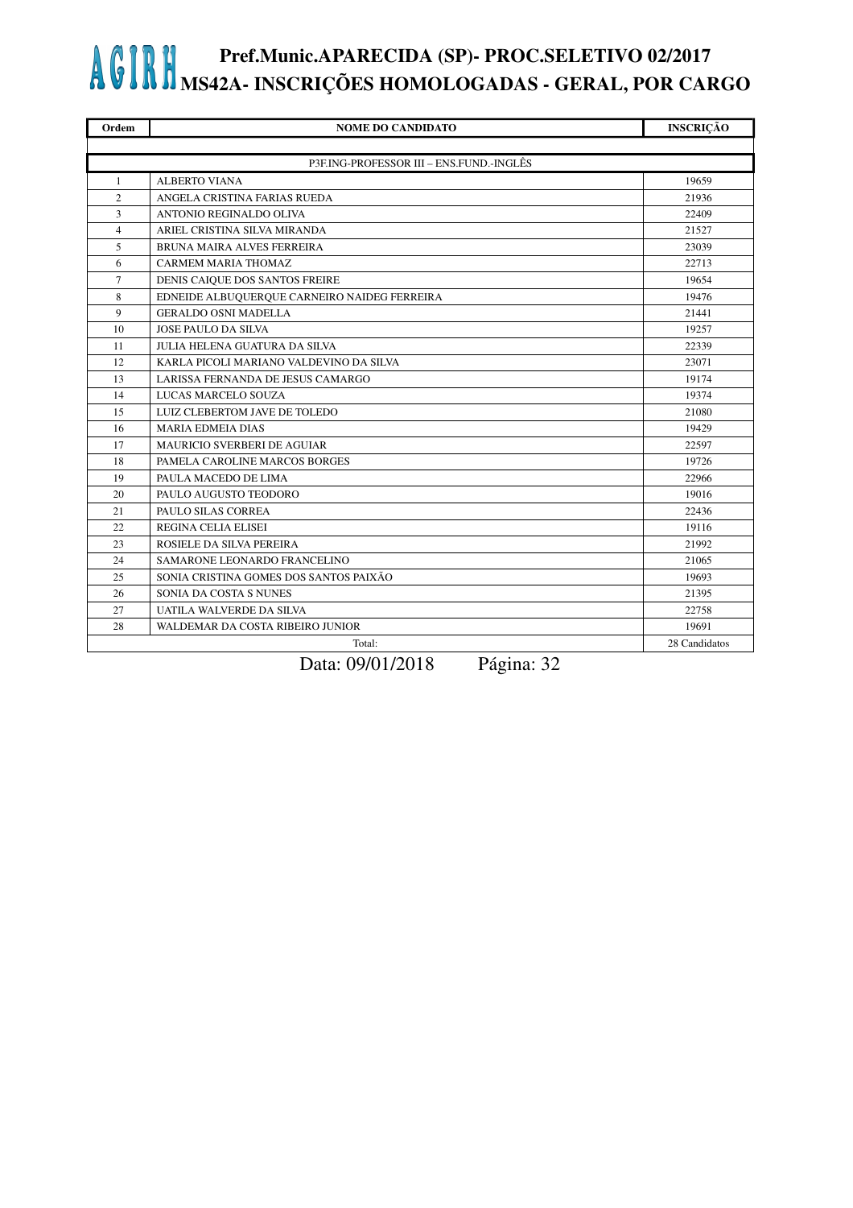| Ordem          | <b>NOME DO CANDIDATO</b>                     | <b>INSCRIÇÃO</b> |
|----------------|----------------------------------------------|------------------|
|                |                                              |                  |
|                | P3F.ING-PROFESSOR III - ENS.FUND.-INGLÊS     |                  |
| $\mathbf{1}$   | <b>ALBERTO VIANA</b>                         | 19659            |
| $\overline{c}$ | ANGELA CRISTINA FARIAS RUEDA                 | 21936            |
| 3              | ANTONIO REGINALDO OLIVA                      | 22409            |
| $\overline{4}$ | ARIEL CRISTINA SILVA MIRANDA                 | 21527            |
| 5              | BRUNA MAIRA ALVES FERREIRA                   | 23039            |
| 6              | <b>CARMEM MARIA THOMAZ</b>                   | 22713            |
| 7              | DENIS CAIQUE DOS SANTOS FREIRE               | 19654            |
| 8              | EDNEIDE ALBUQUERQUE CARNEIRO NAIDEG FERREIRA | 19476            |
| 9              | <b>GERALDO OSNI MADELLA</b>                  | 21441            |
| 10             | <b>JOSE PAULO DA SILVA</b>                   | 19257            |
| 11             | <b>JULIA HELENA GUATURA DA SILVA</b>         | 22339            |
| 12             | KARLA PICOLI MARIANO VALDEVINO DA SILVA      | 23071            |
| 13             | LARISSA FERNANDA DE JESUS CAMARGO            | 19174            |
| 14             | LUCAS MARCELO SOUZA                          | 19374            |
| 15             | LUIZ CLEBERTOM JAVE DE TOLEDO                | 21080            |
| 16             | <b>MARIA EDMEIA DIAS</b>                     | 19429            |
| 17             | <b>MAURICIO SVERBERI DE AGUIAR</b>           | 22597            |
| 18             | PAMELA CAROLINE MARCOS BORGES                | 19726            |
| 19             | PAULA MACEDO DE LIMA                         | 22966            |
| 20             | PAULO AUGUSTO TEODORO                        | 19016            |
| 21             | PAULO SILAS CORREA                           | 22436            |
| 22             | REGINA CELIA ELISEI                          | 19116            |
| 23             | ROSIELE DA SILVA PEREIRA                     | 21992            |
| 24             | SAMARONE LEONARDO FRANCELINO                 | 21065            |
| 25             | SONIA CRISTINA GOMES DOS SANTOS PAIXÃO       | 19693            |
| 26             | SONIA DA COSTA S NUNES                       | 21395            |
| 27             | UATILA WALVERDE DA SILVA                     | 22758            |
| 28             | WALDEMAR DA COSTA RIBEIRO JUNIOR             | 19691            |
|                | Total:                                       | 28 Candidatos    |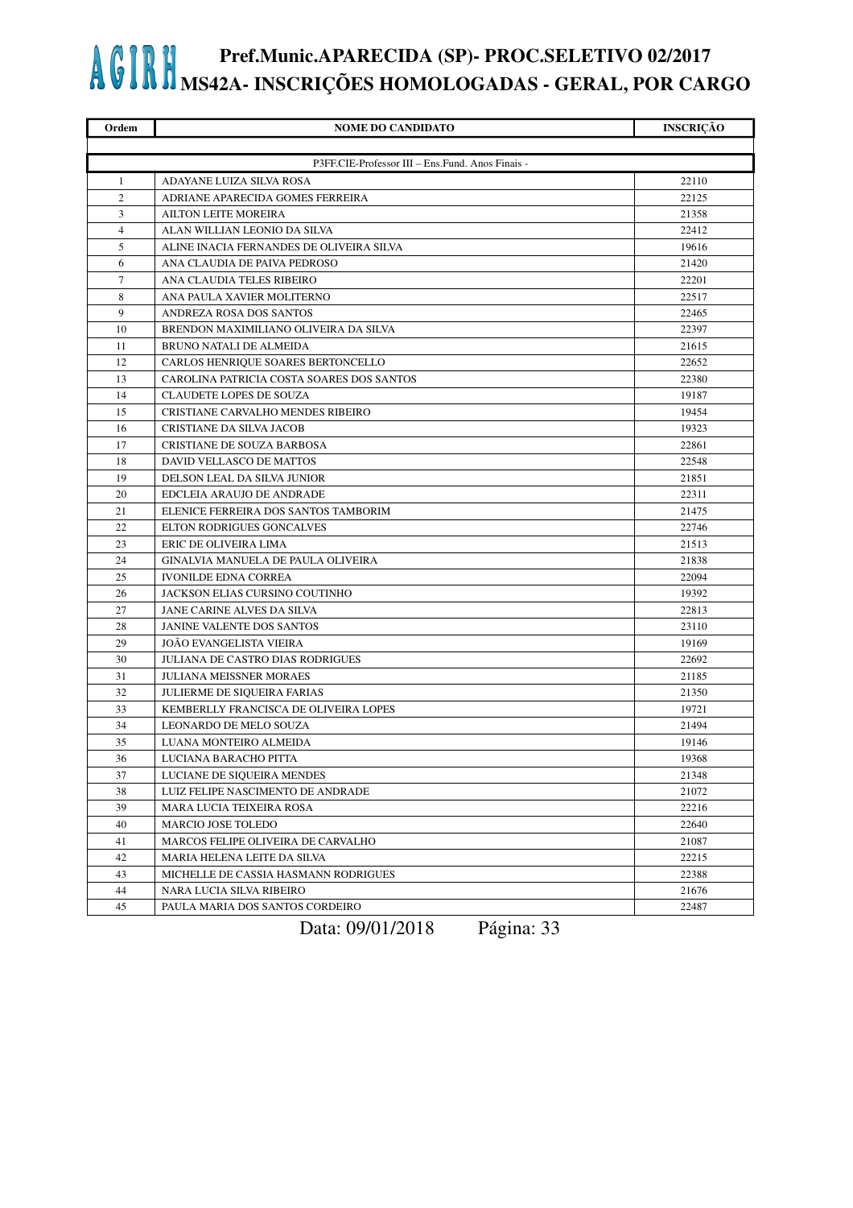| Ordem          | <b>NOME DO CANDIDATO</b>                         | <b>INSCRIÇÃO</b> |
|----------------|--------------------------------------------------|------------------|
|                |                                                  |                  |
|                | P3FF.CIE-Professor III - Ens.Fund. Anos Finais - |                  |
| 1              | ADAYANE LUIZA SILVA ROSA                         | 22110            |
| 2              | ADRIANE APARECIDA GOMES FERREIRA                 | 22125            |
| 3              | <b>AILTON LEITE MOREIRA</b>                      | 21358            |
| $\overline{4}$ | ALAN WILLIAN LEONIO DA SILVA                     | 22412            |
| 5              | ALINE INACIA FERNANDES DE OLIVEIRA SILVA         | 19616            |
| 6              | ANA CLAUDIA DE PAIVA PEDROSO                     | 21420            |
| 7              | ANA CLAUDIA TELES RIBEIRO                        | 22201            |
| 8              | ANA PAULA XAVIER MOLITERNO                       | 22517            |
| 9              | ANDREZA ROSA DOS SANTOS                          | 22465            |
| 10             | BRENDON MAXIMILIANO OLIVEIRA DA SILVA            | 22397            |
| 11             | <b>BRUNO NATALI DE ALMEIDA</b>                   | 21615            |
| 12             | CARLOS HENRIQUE SOARES BERTONCELLO               | 22652            |
| 13             | CAROLINA PATRICIA COSTA SOARES DOS SANTOS        | 22380            |
| 14             | <b>CLAUDETE LOPES DE SOUZA</b>                   | 19187            |
| 15             | CRISTIANE CARVALHO MENDES RIBEIRO                | 19454            |
| 16             | CRISTIANE DA SILVA JACOB                         | 19323            |
| 17             | CRISTIANE DE SOUZA BARBOSA                       | 22861            |
| 18             | DAVID VELLASCO DE MATTOS                         | 22548            |
| 19             | DELSON LEAL DA SILVA JUNIOR                      | 21851            |
| 20             | EDCLEIA ARAUJO DE ANDRADE                        | 22311            |
| 21             | ELENICE FERREIRA DOS SANTOS TAMBORIM             | 21475            |
| 22             | ELTON RODRIGUES GONCALVES                        | 22746            |
| 23             | ERIC DE OLIVEIRA LIMA                            | 21513            |
| 24             | GINALVIA MANUELA DE PAULA OLIVEIRA               | 21838            |
| 25             | <b>IVONILDE EDNA CORREA</b>                      | 22094            |
| 26             | JACKSON ELIAS CURSINO COUTINHO                   | 19392            |
| 27             | JANE CARINE ALVES DA SILVA                       | 22813            |
| 28             | JANINE VALENTE DOS SANTOS                        | 23110            |
| 29             | <b>JOÃO EVANGELISTA VIEIRA</b>                   | 19169            |
| 30             | JULIANA DE CASTRO DIAS RODRIGUES                 | 22692            |
| 31             | <b>JULIANA MEISSNER MORAES</b>                   | 21185            |
| 32             | <b>JULIERME DE SIQUEIRA FARIAS</b>               | 21350            |
| 33             | KEMBERLLY FRANCISCA DE OLIVEIRA LOPES            | 19721            |
| 34             | LEONARDO DE MELO SOUZA                           | 21494            |
| 35             | LUANA MONTEIRO ALMEIDA                           | 19146            |
| 36             | LUCIANA BARACHO PITTA                            | 19368            |
| 37             | LUCIANE DE SIQUEIRA MENDES                       | 21348            |
| 38             | LUIZ FELIPE NASCIMENTO DE ANDRADE                | 21072            |
| 39             | MARA LUCIA TEIXEIRA ROSA                         | 22216            |
| 40             | MARCIO JOSE TOLEDO                               | 22640            |
| 41             | MARCOS FELIPE OLIVEIRA DE CARVALHO               | 21087            |
| 42             | MARIA HELENA LEITE DA SILVA                      | 22215            |
| 43             | MICHELLE DE CASSIA HASMANN RODRIGUES             | 22388            |
| 44             | NARA LUCIA SILVA RIBEIRO                         | 21676            |
| 45             | PAULA MARIA DOS SANTOS CORDEIRO                  | 22487            |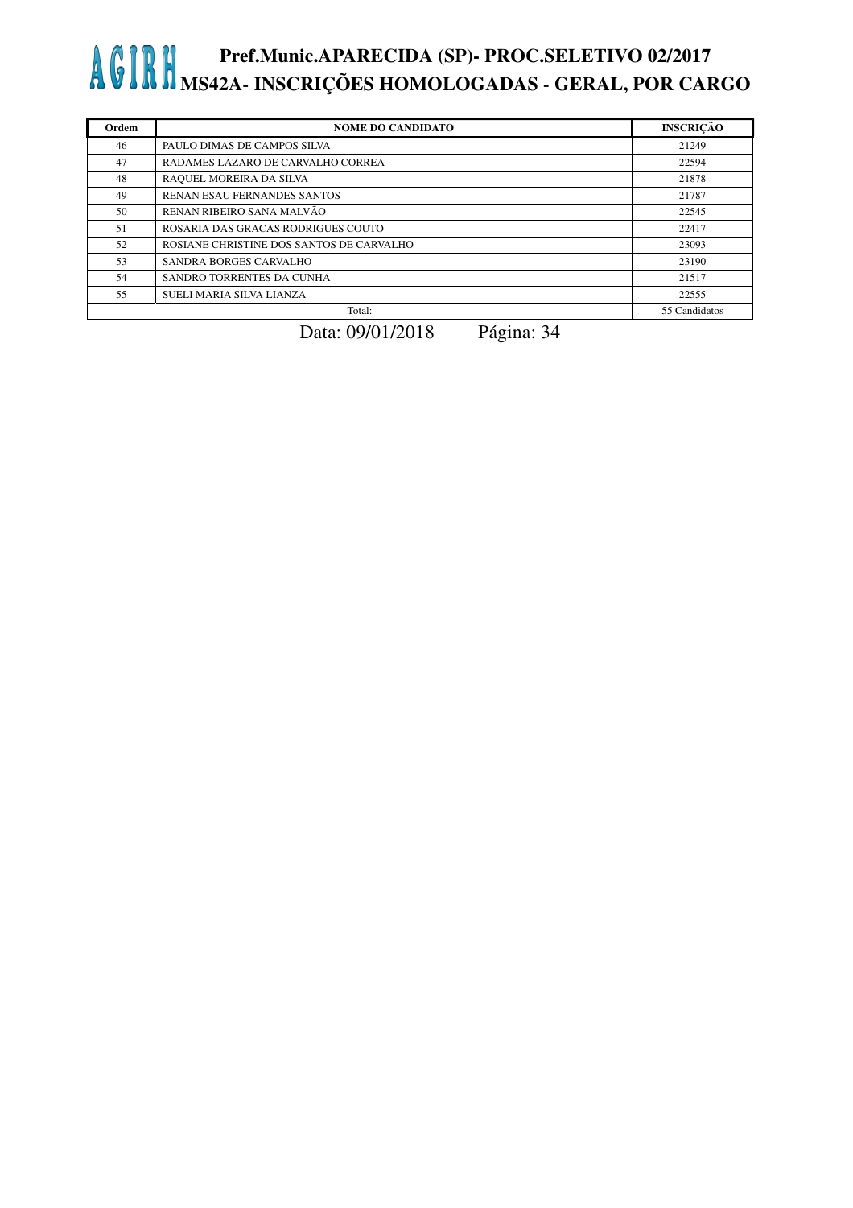| Ordem | <b>NOME DO CANDIDATO</b>                 | <b>INSCRIÇÃO</b> |
|-------|------------------------------------------|------------------|
| 46    | PAULO DIMAS DE CAMPOS SILVA              | 21249            |
| 47    | RADAMES LAZARO DE CARVALHO CORREA        | 22594            |
| 48    | RAQUEL MOREIRA DA SILVA                  | 21878            |
| 49    | RENAN ESAU FERNANDES SANTOS              | 21787            |
| 50    | RENAN RIBEIRO SANA MALVÃO                | 22545            |
| 51    | ROSARIA DAS GRACAS RODRIGUES COUTO       | 22417            |
| 52    | ROSIANE CHRISTINE DOS SANTOS DE CARVALHO | 23093            |
| 53    | <b>SANDRA BORGES CARVALHO</b>            | 23190            |
| 54    | SANDRO TORRENTES DA CUNHA                | 21517            |
| 55    | SUELI MARIA SILVA LIANZA                 | 22555            |
|       | Total:                                   | 55 Candidatos    |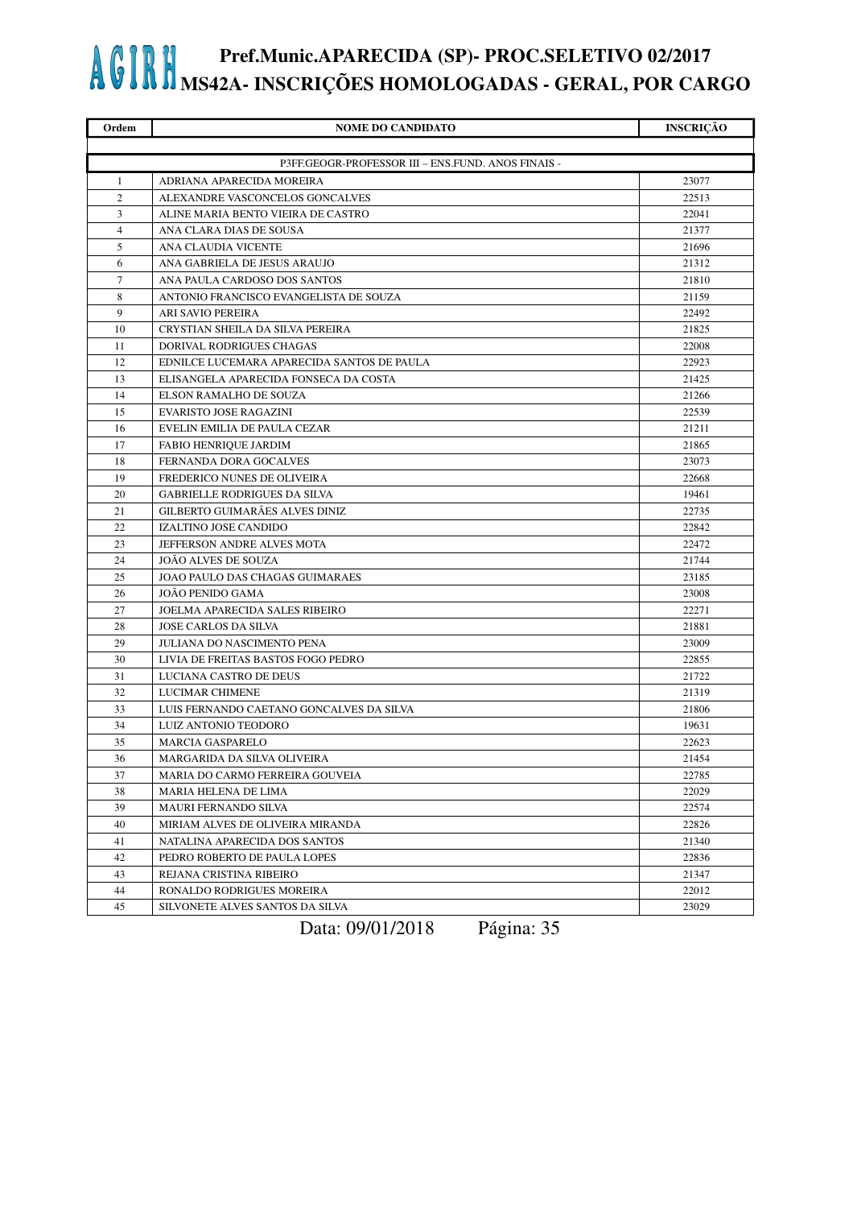| Ordem          | <b>NOME DO CANDIDATO</b>                           | <b>INSCRIÇÃO</b> |
|----------------|----------------------------------------------------|------------------|
|                |                                                    |                  |
|                | P3FF.GEOGR-PROFESSOR III - ENS.FUND. ANOS FINAIS - |                  |
| 1              | ADRIANA APARECIDA MOREIRA                          | 23077            |
| 2              | ALEXANDRE VASCONCELOS GONCALVES                    | 22513            |
| 3              | ALINE MARIA BENTO VIEIRA DE CASTRO                 | 22041            |
| $\overline{4}$ | ANA CLARA DIAS DE SOUSA                            | 21377            |
| 5              | ANA CLAUDIA VICENTE                                | 21696            |
| 6              | ANA GABRIELA DE JESUS ARAUJO                       | 21312            |
| 7              | ANA PAULA CARDOSO DOS SANTOS                       | 21810            |
| 8              | ANTONIO FRANCISCO EVANGELISTA DE SOUZA             | 21159            |
| 9              | ARI SAVIO PEREIRA                                  | 22492            |
| 10             | CRYSTIAN SHEILA DA SILVA PEREIRA                   | 21825            |
| 11             | DORIVAL RODRIGUES CHAGAS                           | 22008            |
| 12             | EDNILCE LUCEMARA APARECIDA SANTOS DE PAULA         | 22923            |
| 13             | ELISANGELA APARECIDA FONSECA DA COSTA              | 21425            |
| 14             | ELSON RAMALHO DE SOUZA                             | 21266            |
| 15             | <b>EVARISTO JOSE RAGAZINI</b>                      | 22539            |
| 16             | EVELIN EMILIA DE PAULA CEZAR                       | 21211            |
| 17             | FABIO HENRIQUE JARDIM                              | 21865            |
| 18             | FERNANDA DORA GOCALVES                             | 23073            |
| 19             | FREDERICO NUNES DE OLIVEIRA                        | 22668            |
| 20             | <b>GABRIELLE RODRIGUES DA SILVA</b>                | 19461            |
| 21             | GILBERTO GUIMARÃES ALVES DINIZ                     | 22735            |
| 22             | IZALTINO JOSE CANDIDO                              | 22842            |
| 23             | JEFFERSON ANDRE ALVES MOTA                         | 22472            |
| 24             | JOAO ALVES DE SOUZA                                | 21744            |
| 25             | JOAO PAULO DAS CHAGAS GUIMARAES                    | 23185            |
| 26             | JOÃO PENIDO GAMA                                   | 23008            |
| 27             | JOELMA APARECIDA SALES RIBEIRO                     | 22271            |
| 28             | <b>JOSE CARLOS DA SILVA</b>                        | 21881            |
| 29             | JULIANA DO NASCIMENTO PENA                         | 23009            |
| 30             | LIVIA DE FREITAS BASTOS FOGO PEDRO                 | 22855            |
| 31             | LUCIANA CASTRO DE DEUS                             | 21722            |
| 32             | LUCIMAR CHIMENE                                    | 21319            |
| 33             | LUIS FERNANDO CAETANO GONCALVES DA SILVA           | 21806            |
| 34             | LUIZ ANTONIO TEODORO                               | 19631            |
| 35             | <b>MARCIA GASPARELO</b>                            | 22623            |
| 36             | MARGARIDA DA SILVA OLIVEIRA                        | 21454            |
| 37             | MARIA DO CARMO FERREIRA GOUVEIA                    | 22785            |
| 38             | MARIA HELENA DE LIMA                               | 22029            |
| 39             | MAURI FERNANDO SILVA                               | 22574            |
| 40             | MIRIAM ALVES DE OLIVEIRA MIRANDA                   | 22826            |
| 41             | NATALINA APARECIDA DOS SANTOS                      | 21340            |
| 42             | PEDRO ROBERTO DE PAULA LOPES                       | 22836            |
| 43             | REJANA CRISTINA RIBEIRO                            | 21347            |
| 44             | RONALDO RODRIGUES MOREIRA                          | 22012            |
| 45             | SILVONETE ALVES SANTOS DA SILVA                    | 23029            |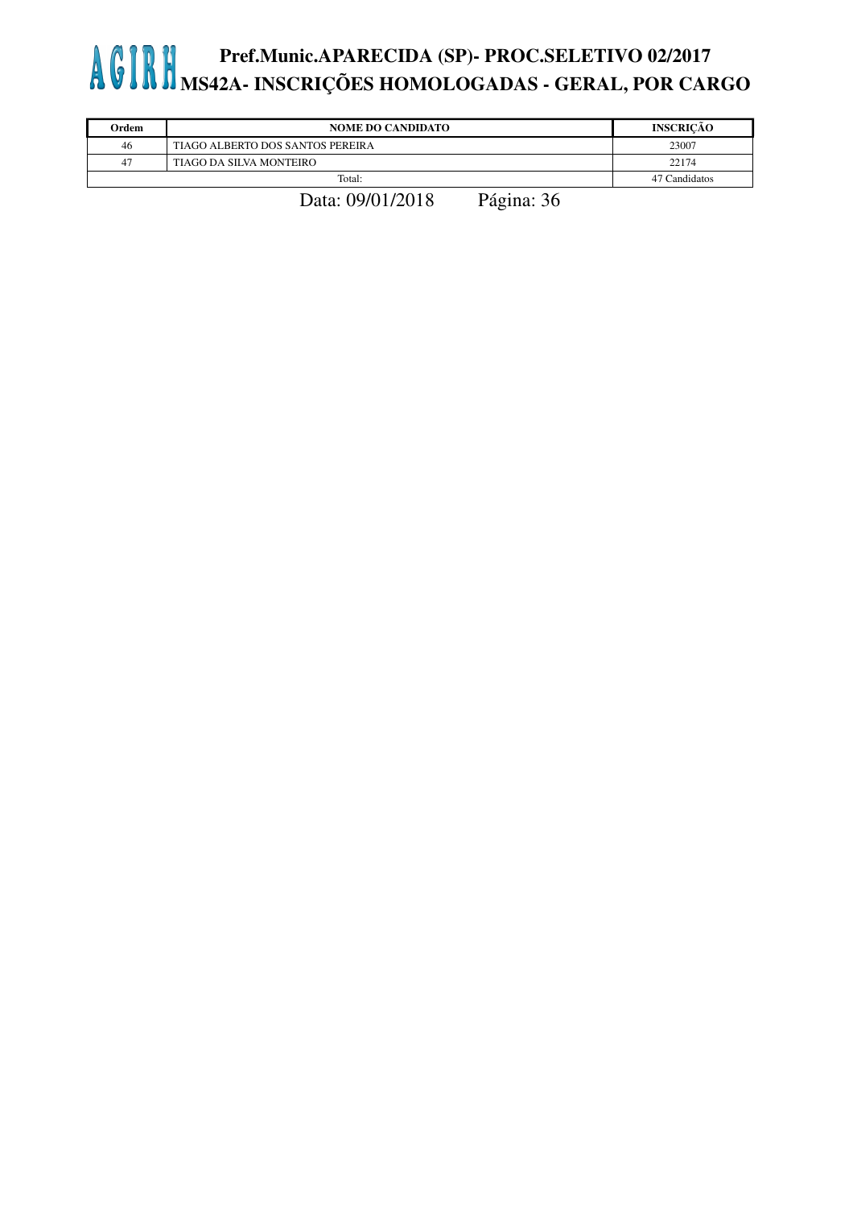| Ordem | <b>NOME DO CANDIDATO</b>         | <b>INSCRICÃO</b> |
|-------|----------------------------------|------------------|
| 46    | TIAGO ALBERTO DOS SANTOS PEREIRA | 23007            |
| 47    | TIAGO DA SILVA MONTEIRO          | 22174            |
|       | Total:                           | 47 Candidatos    |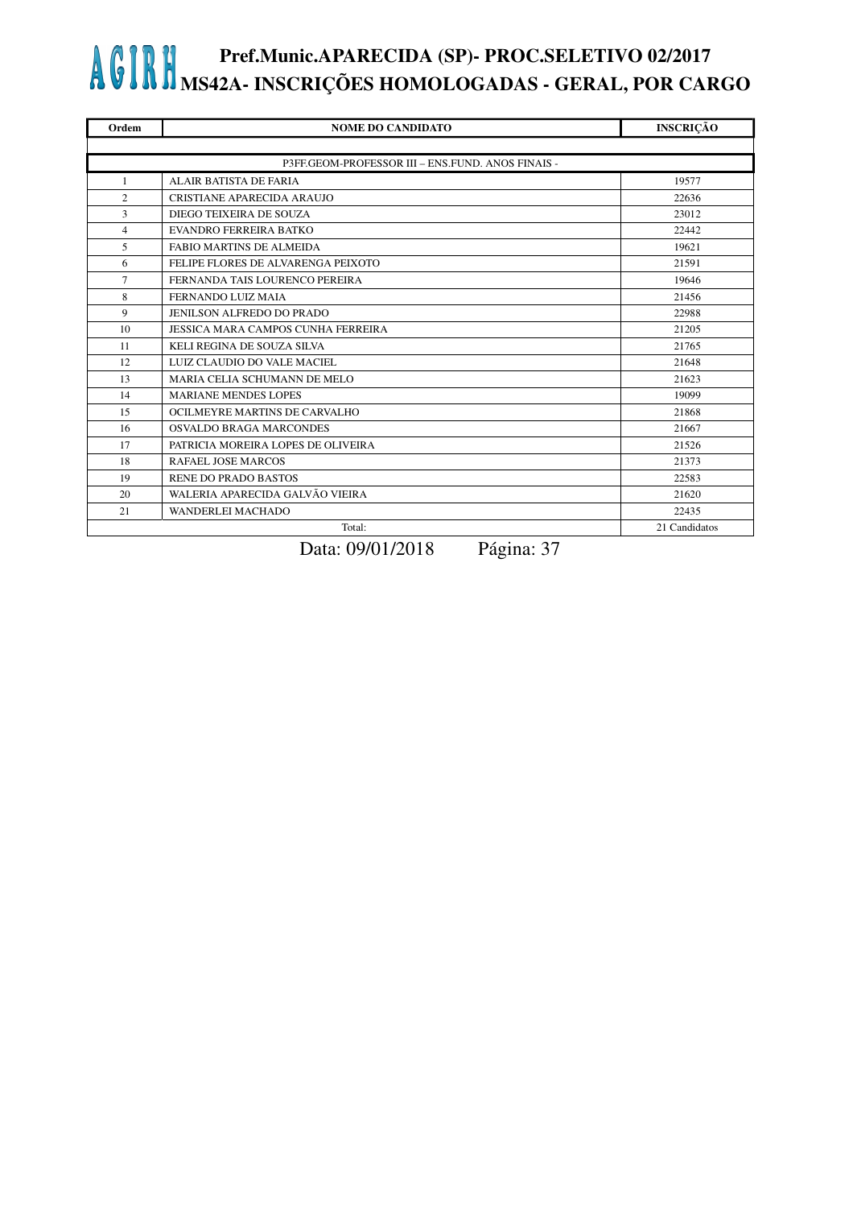| Ordem          | <b>NOME DO CANDIDATO</b>                          | <b>INSCRIÇÃO</b> |
|----------------|---------------------------------------------------|------------------|
|                |                                                   |                  |
|                | P3FF.GEOM-PROFESSOR III - ENS.FUND. ANOS FINAIS - |                  |
| $\mathbf{1}$   | <b>ALAIR BATISTA DE FARIA</b>                     | 19577            |
| $\overline{2}$ | CRISTIANE APARECIDA ARAUJO                        | 22636            |
| $\overline{3}$ | DIEGO TEIXEIRA DE SOUZA                           | 23012            |
| $\overline{4}$ | <b>EVANDRO FERREIRA BATKO</b>                     | 22442            |
| 5              | <b>FABIO MARTINS DE ALMEIDA</b>                   | 19621            |
| 6              | FELIPE FLORES DE ALVARENGA PEIXOTO                | 21591            |
| $\tau$         | FERNANDA TAIS LOURENCO PEREIRA                    | 19646            |
| 8              | FERNANDO LUIZ MAIA                                | 21456            |
| 9              | JENILSON ALFREDO DO PRADO                         | 22988            |
| 10             | JESSICA MARA CAMPOS CUNHA FERREIRA                | 21205            |
| 11             | KELI REGINA DE SOUZA SILVA                        | 21765            |
| 12             | LUIZ CLAUDIO DO VALE MACIEL                       | 21648            |
| 13             | MARIA CELIA SCHUMANN DE MELO                      | 21623            |
| 14             | <b>MARIANE MENDES LOPES</b>                       | 19099            |
| 15             | OCILMEYRE MARTINS DE CARVALHO                     | 21868            |
| 16             | OSVALDO BRAGA MARCONDES                           | 21667            |
| 17             | PATRICIA MOREIRA LOPES DE OLIVEIRA                | 21526            |
| 18             | RAFAEL JOSE MARCOS                                | 21373            |
| 19             | <b>RENE DO PRADO BASTOS</b>                       | 22583            |
| 20             | WALERIA APARECIDA GALVÃO VIEIRA                   | 21620            |
| 21             | WANDERLEI MACHADO                                 | 22435            |
|                | Total:                                            | 21 Candidatos    |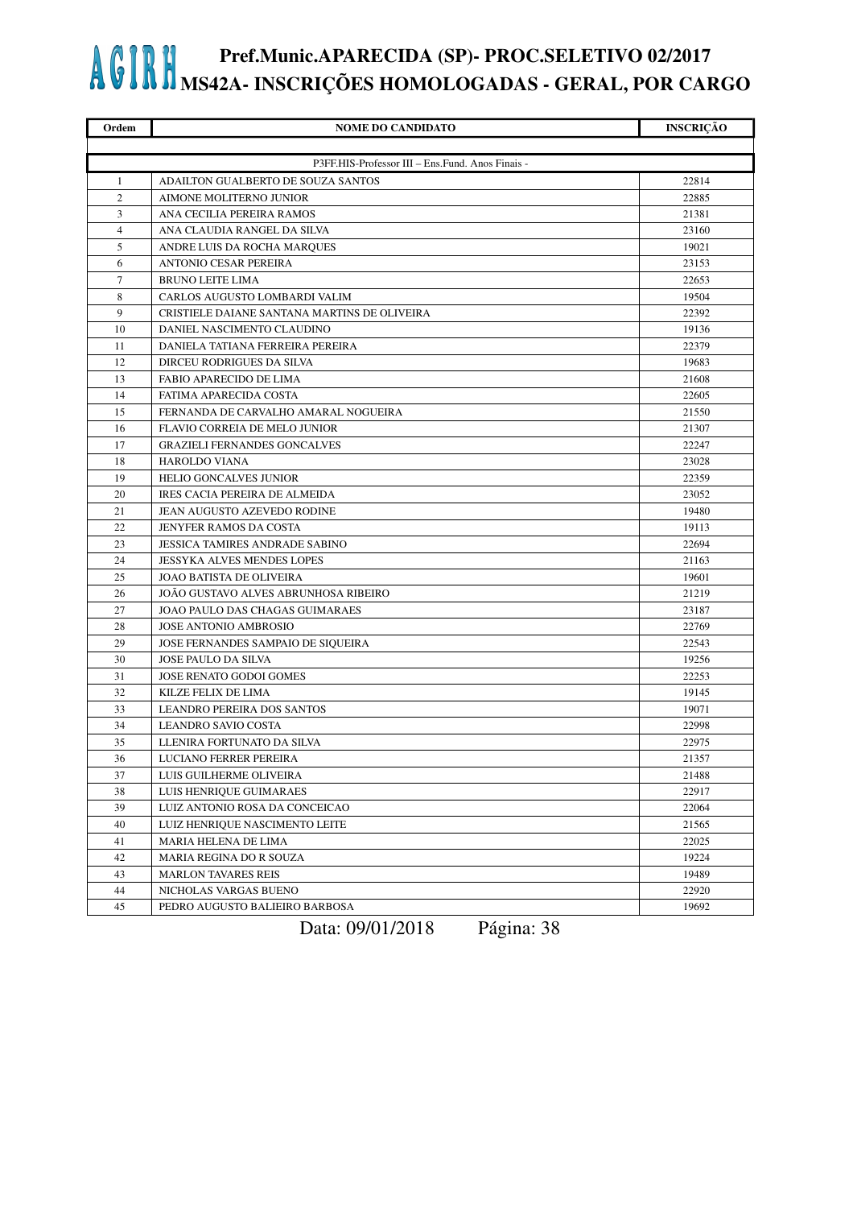| Ordem          | <b>NOME DO CANDIDATO</b>                         | <b>INSCRIÇÃO</b> |
|----------------|--------------------------------------------------|------------------|
|                |                                                  |                  |
|                | P3FF.HIS-Professor III - Ens.Fund. Anos Finais - |                  |
| 1              | ADAILTON GUALBERTO DE SOUZA SANTOS               | 22814            |
| $\overline{c}$ | AIMONE MOLITERNO JUNIOR                          | 22885            |
| 3              | ANA CECILIA PEREIRA RAMOS                        | 21381            |
| $\overline{4}$ | ANA CLAUDIA RANGEL DA SILVA                      | 23160            |
| 5              | ANDRE LUIS DA ROCHA MARQUES                      | 19021            |
| 6              | <b>ANTONIO CESAR PEREIRA</b>                     | 23153            |
| 7              | <b>BRUNO LEITE LIMA</b>                          | 22653            |
| 8              | CARLOS AUGUSTO LOMBARDI VALIM                    | 19504            |
| 9              | CRISTIELE DAIANE SANTANA MARTINS DE OLIVEIRA     | 22392            |
| 10             | DANIEL NASCIMENTO CLAUDINO                       | 19136            |
| 11             | DANIELA TATIANA FERREIRA PEREIRA                 | 22379            |
| 12             | DIRCEU RODRIGUES DA SILVA                        | 19683            |
| 13             | FABIO APARECIDO DE LIMA                          | 21608            |
| 14             | FATIMA APARECIDA COSTA                           | 22605            |
| 15             | FERNANDA DE CARVALHO AMARAL NOGUEIRA             | 21550            |
| 16             | <b>FLAVIO CORREIA DE MELO JUNIOR</b>             | 21307            |
| 17             | <b>GRAZIELI FERNANDES GONCALVES</b>              | 22247            |
| 18             | <b>HAROLDO VIANA</b>                             | 23028            |
| 19             | <b>HELIO GONCALVES JUNIOR</b>                    | 22359            |
| 20             | IRES CACIA PEREIRA DE ALMEIDA                    | 23052            |
| 21             | JEAN AUGUSTO AZEVEDO RODINE                      | 19480            |
| 22             | JENYFER RAMOS DA COSTA                           | 19113            |
| 23             | <b>JESSICA TAMIRES ANDRADE SABINO</b>            | 22694            |
| 24             | JESSYKA ALVES MENDES LOPES                       | 21163            |
| 25             | <b>JOAO BATISTA DE OLIVEIRA</b>                  | 19601            |
| 26             | JOAO GUSTAVO ALVES ABRUNHOSA RIBEIRO             | 21219            |
| 27             | JOAO PAULO DAS CHAGAS GUIMARAES                  | 23187            |
| 28             | <b>JOSE ANTONIO AMBROSIO</b>                     | 22769            |
| 29             | JOSE FERNANDES SAMPAIO DE SIQUEIRA               | 22543            |
| 30             | <b>JOSE PAULO DA SILVA</b>                       | 19256            |
| 31             | JOSE RENATO GODOI GOMES                          | 22253            |
| 32             | KILZE FELIX DE LIMA                              | 19145            |
| 33             | <b>LEANDRO PEREIRA DOS SANTOS</b>                | 19071            |
| 34             | <b>LEANDRO SAVIO COSTA</b>                       | 22998            |
| 35             | LLENIRA FORTUNATO DA SILVA                       | 22975            |
| 36             | LUCIANO FERRER PEREIRA                           | 21357            |
| 37             | LUIS GUILHERME OLIVEIRA                          | 21488            |
| 38             | LUIS HENRIQUE GUIMARAES                          | 22917            |
| 39             | LUIZ ANTONIO ROSA DA CONCEICAO                   | 22064            |
| 40             | LUIZ HENRIQUE NASCIMENTO LEITE                   | 21565            |
| 41             | MARIA HELENA DE LIMA                             | 22025            |
| 42             | MARIA REGINA DO R SOUZA                          | 19224            |
| 43             | <b>MARLON TAVARES REIS</b>                       | 19489            |
| 44             | NICHOLAS VARGAS BUENO                            | 22920            |
| 45             | PEDRO AUGUSTO BALIEIRO BARBOSA                   | 19692            |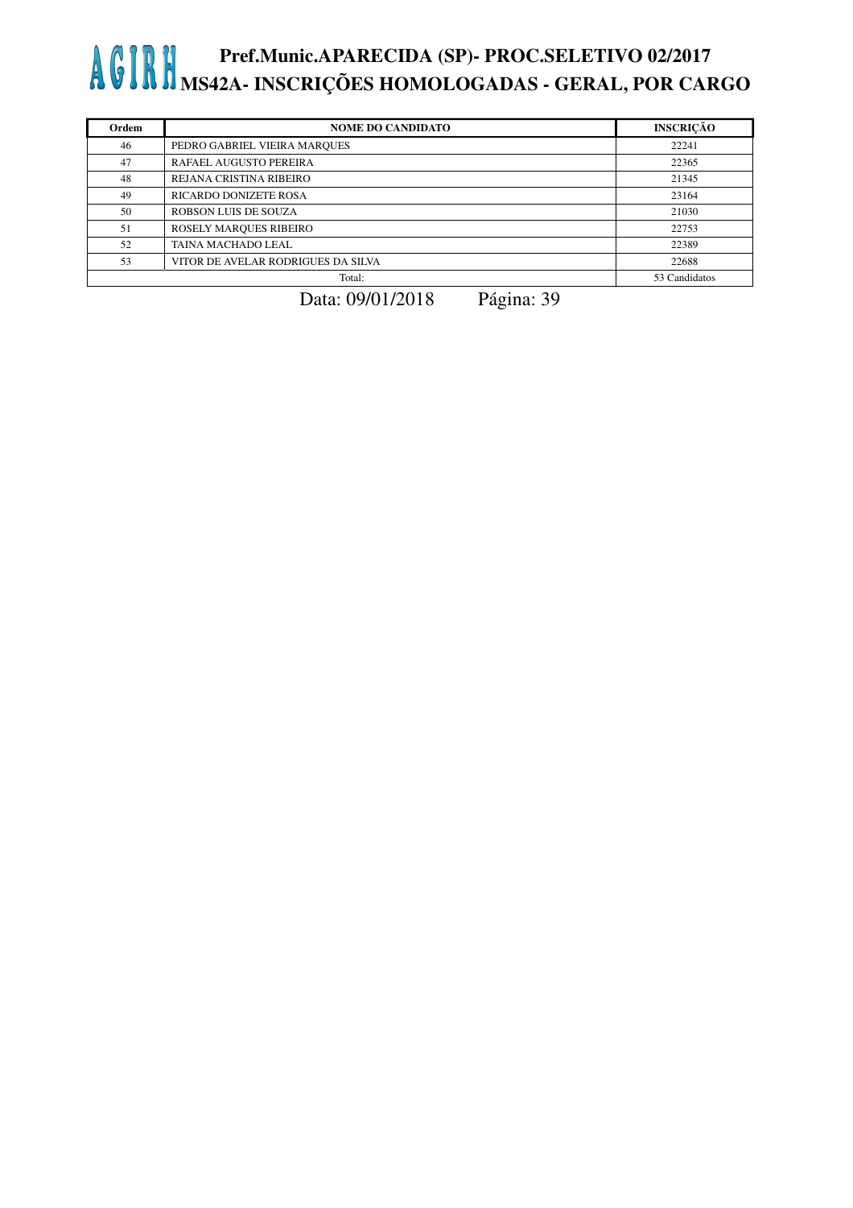| Ordem | <b>NOME DO CANDIDATO</b>           | <b>INSCRIÇÃO</b> |
|-------|------------------------------------|------------------|
| 46    | PEDRO GABRIEL VIEIRA MARQUES       | 22241            |
| 47    | RAFAEL AUGUSTO PEREIRA             | 22365            |
| 48    | REJANA CRISTINA RIBEIRO            | 21345            |
| 49    | RICARDO DONIZETE ROSA              | 23164            |
| 50    | <b>ROBSON LUIS DE SOUZA</b>        | 21030            |
| 51    | ROSELY MARQUES RIBEIRO             | 22753            |
| 52    | TAINA MACHADO LEAL                 | 22389            |
| 53    | VITOR DE AVELAR RODRIGUES DA SILVA | 22688            |
|       | Total:                             | 53 Candidatos    |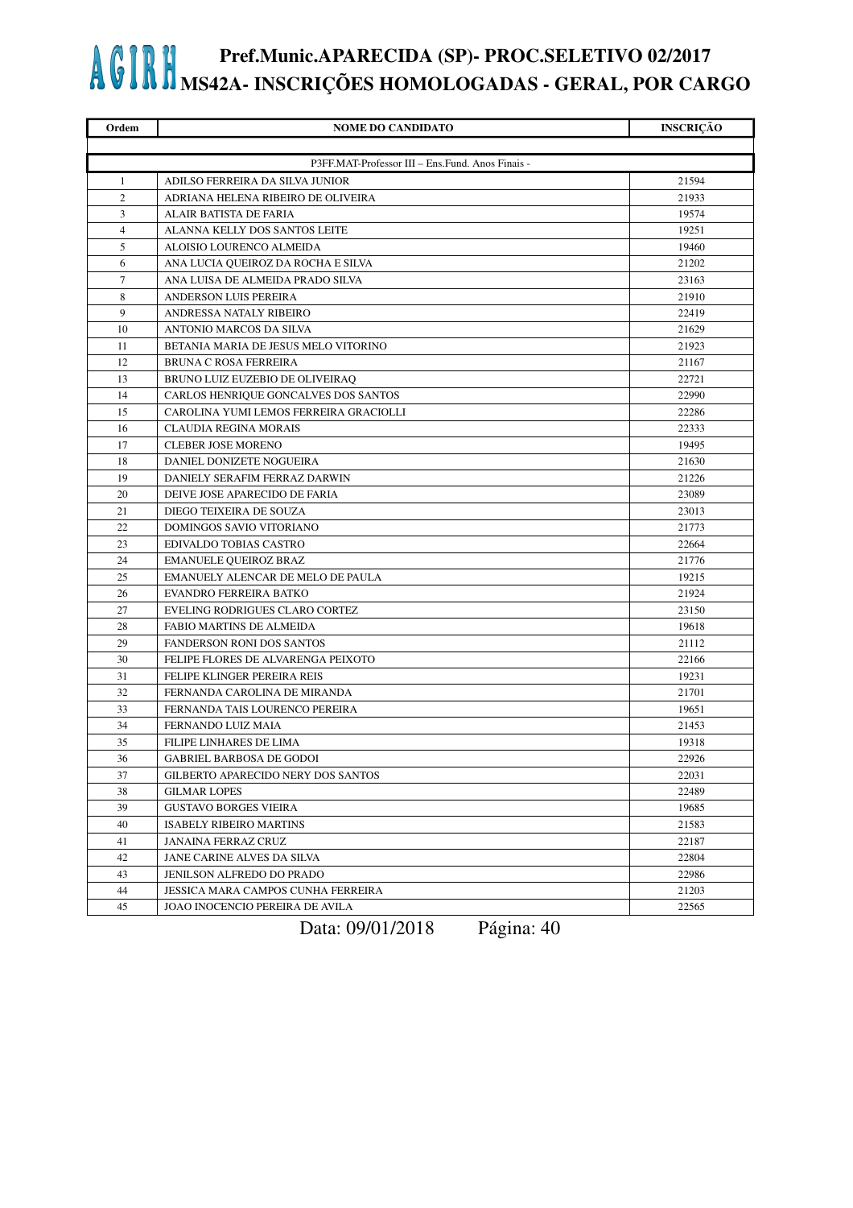| Ordem          | <b>NOME DO CANDIDATO</b>                         | <b>INSCRIÇÃO</b> |
|----------------|--------------------------------------------------|------------------|
|                |                                                  |                  |
|                | P3FF.MAT-Professor III - Ens.Fund. Anos Finais - |                  |
| 1              | ADILSO FERREIRA DA SILVA JUNIOR                  | 21594            |
| 2              | ADRIANA HELENA RIBEIRO DE OLIVEIRA               | 21933            |
| 3              | ALAIR BATISTA DE FARIA                           | 19574            |
| $\overline{4}$ | ALANNA KELLY DOS SANTOS LEITE                    | 19251            |
| 5              | ALOISIO LOURENCO ALMEIDA                         | 19460            |
| 6              | ANA LUCIA QUEIROZ DA ROCHA E SILVA               | 21202            |
| $\tau$         | ANA LUISA DE ALMEIDA PRADO SILVA                 | 23163            |
| 8              | <b>ANDERSON LUIS PEREIRA</b>                     | 21910            |
| 9              | ANDRESSA NATALY RIBEIRO                          | 22419            |
| 10             | ANTONIO MARCOS DA SILVA                          | 21629            |
| 11             | BETANIA MARIA DE JESUS MELO VITORINO             | 21923            |
| 12             | BRUNA C ROSA FERREIRA                            | 21167            |
| 13             | BRUNO LUIZ EUZEBIO DE OLIVEIRAQ                  | 22721            |
| 14             | CARLOS HENRIQUE GONCALVES DOS SANTOS             | 22990            |
| 15             | CAROLINA YUMI LEMOS FERREIRA GRACIOLLI           | 22286            |
| 16             | <b>CLAUDIA REGINA MORAIS</b>                     | 22333            |
| 17             | <b>CLEBER JOSE MORENO</b>                        | 19495            |
| 18             | DANIEL DONIZETE NOGUEIRA                         | 21630            |
| 19             | DANIELY SERAFIM FERRAZ DARWIN                    | 21226            |
| 20             | DEIVE JOSE APARECIDO DE FARIA                    | 23089            |
| 21             | DIEGO TEIXEIRA DE SOUZA                          | 23013            |
| 22             | DOMINGOS SAVIO VITORIANO                         | 21773            |
| 23             | EDIVALDO TOBIAS CASTRO                           | 22664            |
| 24             | <b>EMANUELE QUEIROZ BRAZ</b>                     | 21776            |
| 25             | EMANUELY ALENCAR DE MELO DE PAULA                | 19215            |
| 26             | EVANDRO FERREIRA BATKO                           | 21924            |
| 27             | EVELING RODRIGUES CLARO CORTEZ                   | 23150            |
| 28             | <b>FABIO MARTINS DE ALMEIDA</b>                  | 19618            |
| 29             | FANDERSON RONI DOS SANTOS                        | 21112            |
| 30             | FELIPE FLORES DE ALVARENGA PEIXOTO               | 22166            |
| 31             | FELIPE KLINGER PEREIRA REIS                      | 19231            |
| 32             | FERNANDA CAROLINA DE MIRANDA                     | 21701            |
| 33             | FERNANDA TAIS LOURENCO PEREIRA                   | 19651            |
| 34             | FERNANDO LUIZ MAIA                               | 21453            |
| 35             | FILIPE LINHARES DE LIMA                          | 19318            |
| 36             | GABRIEL BARBOSA DE GODOI                         | 22926            |
| 37             | GILBERTO APARECIDO NERY DOS SANTOS               | 22031            |
| 38             | <b>GILMAR LOPES</b>                              | 22489            |
| 39             | <b>GUSTAVO BORGES VIEIRA</b>                     | 19685            |
| 40             | <b>ISABELY RIBEIRO MARTINS</b>                   | 21583            |
| 41             | <b>JANAINA FERRAZ CRUZ</b>                       | 22187            |
| 42             | JANE CARINE ALVES DA SILVA                       | 22804            |
| 43             | JENILSON ALFREDO DO PRADO                        | 22986            |
| 44             | JESSICA MARA CAMPOS CUNHA FERREIRA               | 21203            |
| 45             | JOAO INOCENCIO PEREIRA DE AVILA                  | 22565            |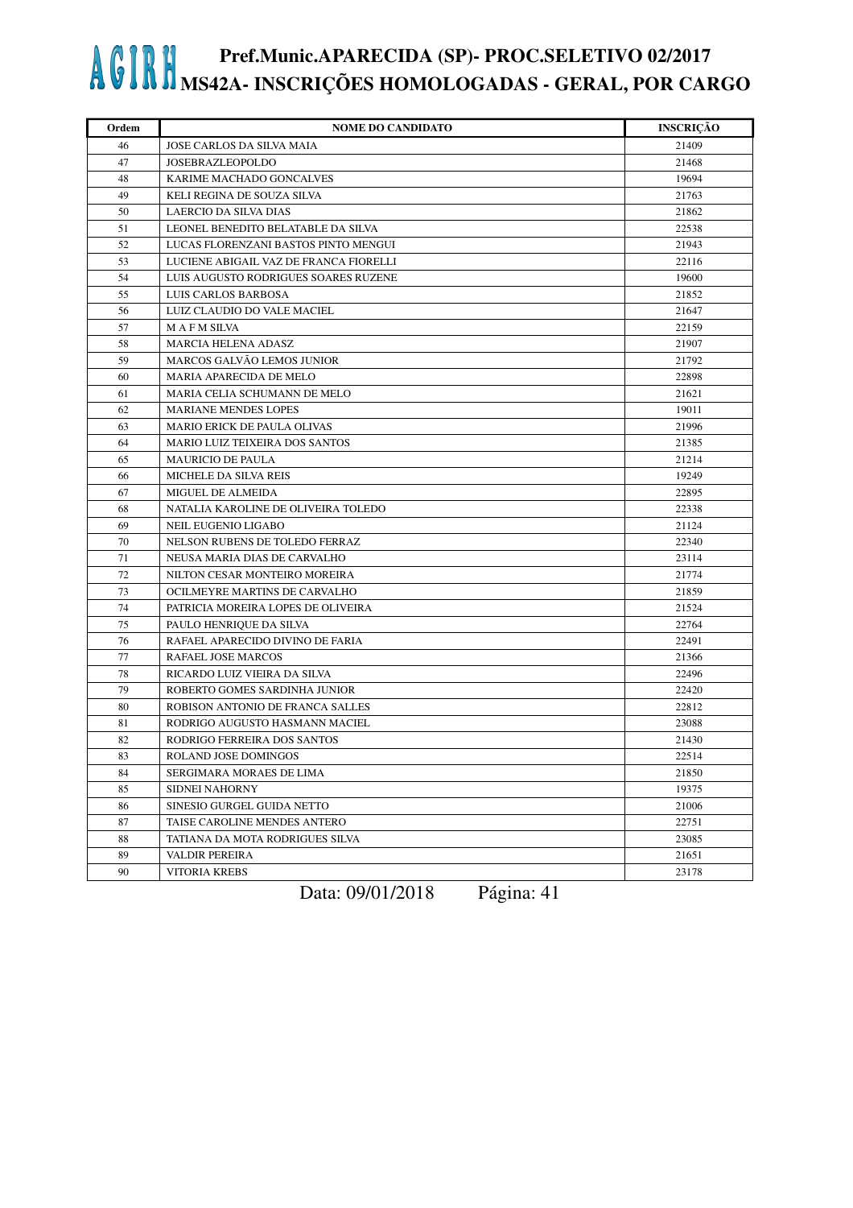| Ordem | <b>NOME DO CANDIDATO</b>               | <b>INSCRIÇÃO</b> |
|-------|----------------------------------------|------------------|
| 46    | JOSE CARLOS DA SILVA MAIA              | 21409            |
| 47    | <b>JOSEBRAZLEOPOLDO</b>                | 21468            |
| 48    | KARIME MACHADO GONCALVES               | 19694            |
| 49    | KELI REGINA DE SOUZA SILVA             | 21763            |
| 50    | <b>LAERCIO DA SILVA DIAS</b>           | 21862            |
| 51    | LEONEL BENEDITO BELATABLE DA SILVA     | 22538            |
| 52    | LUCAS FLORENZANI BASTOS PINTO MENGUI   | 21943            |
| 53    | LUCIENE ABIGAIL VAZ DE FRANCA FIORELLI | 22116            |
| 54    | LUIS AUGUSTO RODRIGUES SOARES RUZENE   | 19600            |
| 55    | LUIS CARLOS BARBOSA                    | 21852            |
| 56    | LUIZ CLAUDIO DO VALE MACIEL            | 21647            |
| 57    | <b>MAFM SILVA</b>                      | 22159            |
| 58    | MARCIA HELENA ADASZ                    | 21907            |
| 59    | MARCOS GALVÃO LEMOS JUNIOR             | 21792            |
| 60    | MARIA APARECIDA DE MELO                | 22898            |
| 61    | MARIA CELIA SCHUMANN DE MELO           | 21621            |
| 62    | <b>MARIANE MENDES LOPES</b>            | 19011            |
| 63    | <b>MARIO ERICK DE PAULA OLIVAS</b>     | 21996            |
| 64    | MARIO LUIZ TEIXEIRA DOS SANTOS         | 21385            |
| 65    | <b>MAURICIO DE PAULA</b>               | 21214            |
| 66    | MICHELE DA SILVA REIS                  | 19249            |
| 67    | MIGUEL DE ALMEIDA                      | 22895            |
| 68    | NATALIA KAROLINE DE OLIVEIRA TOLEDO    | 22338            |
| 69    | NEIL EUGENIO LIGABO                    | 21124            |
| 70    | NELSON RUBENS DE TOLEDO FERRAZ         | 22340            |
| 71    | NEUSA MARIA DIAS DE CARVALHO           | 23114            |
| 72    | NILTON CESAR MONTEIRO MOREIRA          | 21774            |
| 73    | OCILMEYRE MARTINS DE CARVALHO          | 21859            |
| 74    | PATRICIA MOREIRA LOPES DE OLIVEIRA     | 21524            |
| 75    | PAULO HENRIQUE DA SILVA                | 22764            |
| 76    | RAFAEL APARECIDO DIVINO DE FARIA       | 22491            |
| 77    | RAFAEL JOSE MARCOS                     | 21366            |
| 78    | RICARDO LUIZ VIEIRA DA SILVA           | 22496            |
| 79    | ROBERTO GOMES SARDINHA JUNIOR          | 22420            |
| 80    | ROBISON ANTONIO DE FRANCA SALLES       | 22812            |
| 81    | RODRIGO AUGUSTO HASMANN MACIEL         | 23088            |
| 82    | RODRIGO FERREIRA DOS SANTOS            | 21430            |
| 83    | ROLAND JOSE DOMINGOS                   | 22514            |
| 84    | SERGIMARA MORAES DE LIMA               | 21850            |
| 85    | <b>SIDNEI NAHORNY</b>                  | 19375            |
| 86    | SINESIO GURGEL GUIDA NETTO             | 21006            |
| 87    | TAISE CAROLINE MENDES ANTERO           | 22751            |
| 88    | TATIANA DA MOTA RODRIGUES SILVA        | 23085            |
| 89    | <b>VALDIR PEREIRA</b>                  | 21651            |
| 90    | <b>VITORIA KREBS</b>                   | 23178            |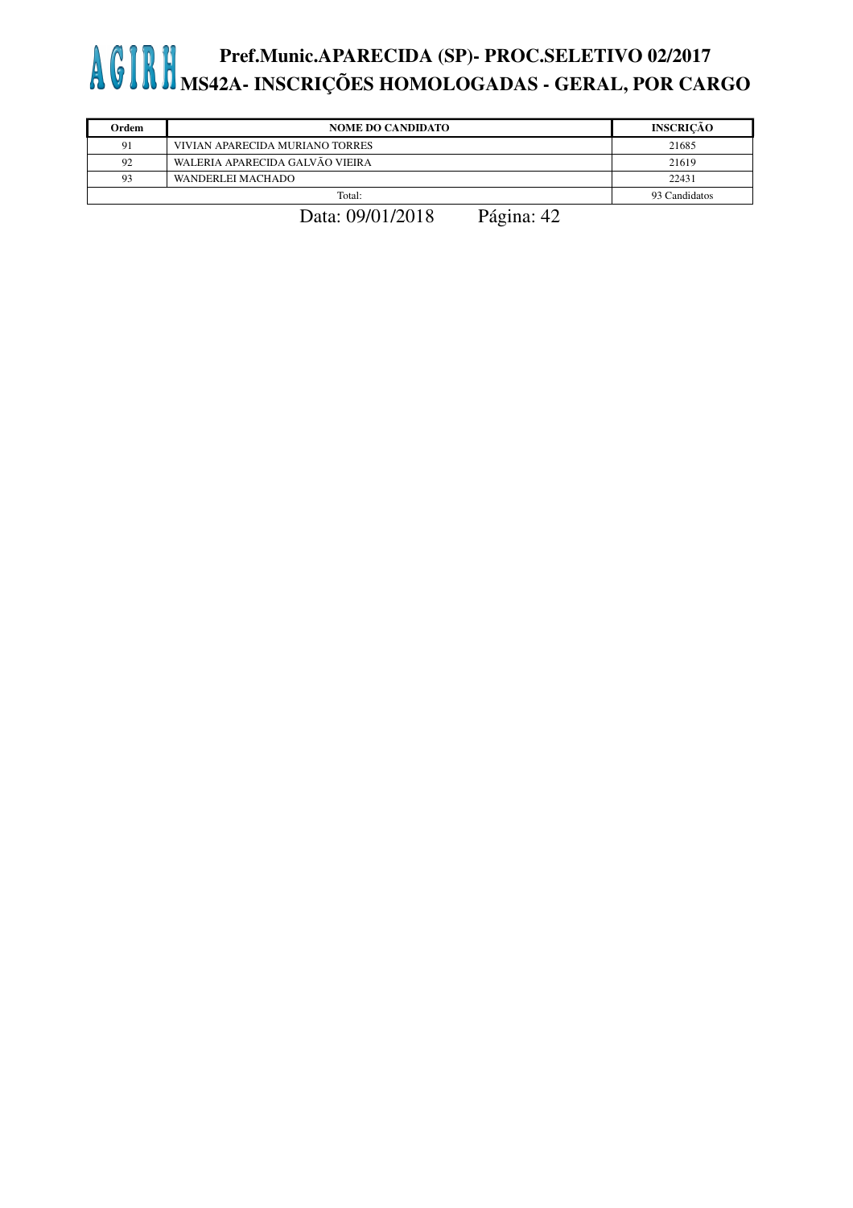| Ordem | <b>NOME DO CANDIDATO</b>        | <b>INSCRICÃO</b> |
|-------|---------------------------------|------------------|
| 91    | VIVIAN APARECIDA MURIANO TORRES | 21685            |
| 92    | WALERIA APARECIDA GALVÃO VIEIRA | 21619            |
| 93    | WANDERLEI MACHADO               | 22431            |
|       | Total:                          | 93 Candidatos    |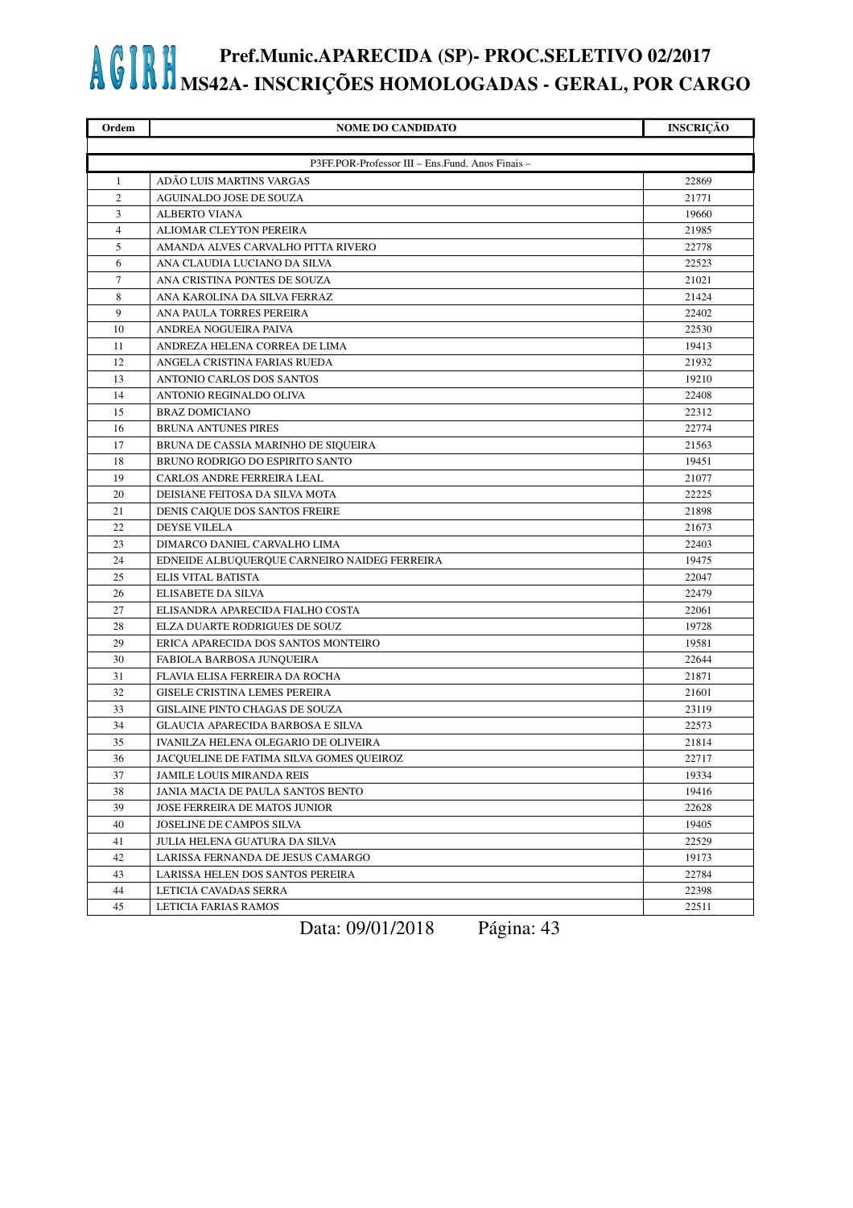| Ordem          | <b>NOME DO CANDIDATO</b>                         | <b>INSCRIÇÃO</b> |
|----------------|--------------------------------------------------|------------------|
|                |                                                  |                  |
|                | P3FF.POR-Professor III - Ens.Fund. Anos Finais - |                  |
| 1              | ADÃO LUIS MARTINS VARGAS                         | 22869            |
| $\overline{c}$ | <b>AGUINALDO JOSE DE SOUZA</b>                   | 21771            |
| 3              | <b>ALBERTO VIANA</b>                             | 19660            |
| $\overline{4}$ | ALIOMAR CLEYTON PEREIRA                          | 21985            |
| 5              | AMANDA ALVES CARVALHO PITTA RIVERO               | 22778            |
| 6              | ANA CLAUDIA LUCIANO DA SILVA                     | 22523            |
| 7              | ANA CRISTINA PONTES DE SOUZA                     | 21021            |
| 8              | ANA KAROLINA DA SILVA FERRAZ                     | 21424            |
| 9              | ANA PAULA TORRES PEREIRA                         | 22402            |
| 10             | ANDREA NOGUEIRA PAIVA                            | 22530            |
| 11             | ANDREZA HELENA CORREA DE LIMA                    | 19413            |
| 12             | ANGELA CRISTINA FARIAS RUEDA                     | 21932            |
| 13             | ANTONIO CARLOS DOS SANTOS                        | 19210            |
| 14             | ANTONIO REGINALDO OLIVA                          | 22408            |
| 15             | <b>BRAZ DOMICIANO</b>                            | 22312            |
| 16             | <b>BRUNA ANTUNES PIRES</b>                       | 22774            |
| 17             | BRUNA DE CASSIA MARINHO DE SIQUEIRA              | 21563            |
| 18             | BRUNO RODRIGO DO ESPIRITO SANTO                  | 19451            |
| 19             | CARLOS ANDRE FERREIRA LEAL                       | 21077            |
| 20             | DEISIANE FEITOSA DA SILVA MOTA                   | 22225            |
| 21             | DENIS CAIQUE DOS SANTOS FREIRE                   | 21898            |
| 22             | DEYSE VILELA                                     | 21673            |
| 23             | DIMARCO DANIEL CARVALHO LIMA                     | 22403            |
| 24             | EDNEIDE ALBUQUERQUE CARNEIRO NAIDEG FERREIRA     | 19475            |
| 25             | ELIS VITAL BATISTA                               | 22047            |
| 26             | ELISABETE DA SILVA                               | 22479            |
| 27             | ELISANDRA APARECIDA FIALHO COSTA                 | 22061            |
| 28             | ELZA DUARTE RODRIGUES DE SOUZ                    | 19728            |
| 29             | ERICA APARECIDA DOS SANTOS MONTEIRO              | 19581            |
| 30             | FABIOLA BARBOSA JUNQUEIRA                        | 22644            |
| 31             | FLAVIA ELISA FERREIRA DA ROCHA                   | 21871            |
| 32             | <b>GISELE CRISTINA LEMES PEREIRA</b>             | 21601            |
| 33             | <b>GISLAINE PINTO CHAGAS DE SOUZA</b>            | 23119            |
| 34             | <b>GLAUCIA APARECIDA BARBOSA E SILVA</b>         | 22573            |
| 35             | IVANILZA HELENA OLEGARIO DE OLIVEIRA             | 21814            |
| 36             | JACQUELINE DE FATIMA SILVA GOMES QUEIROZ         | 22717            |
| 37             | JAMILE LOUIS MIRANDA REIS                        | 19334            |
| 38             | JANIA MACIA DE PAULA SANTOS BENTO                | 19416            |
| 39             | JOSE FERREIRA DE MATOS JUNIOR                    | 22628            |
| 40             | JOSELINE DE CAMPOS SILVA                         | 19405            |
| 41             | JULIA HELENA GUATURA DA SILVA                    | 22529            |
| 42             | LARISSA FERNANDA DE JESUS CAMARGO                | 19173            |
| 43             | LARISSA HELEN DOS SANTOS PEREIRA                 | 22784            |
| 44             | LETICIA CAVADAS SERRA                            | 22398            |
| 45             | LETICIA FARIAS RAMOS                             | 22511            |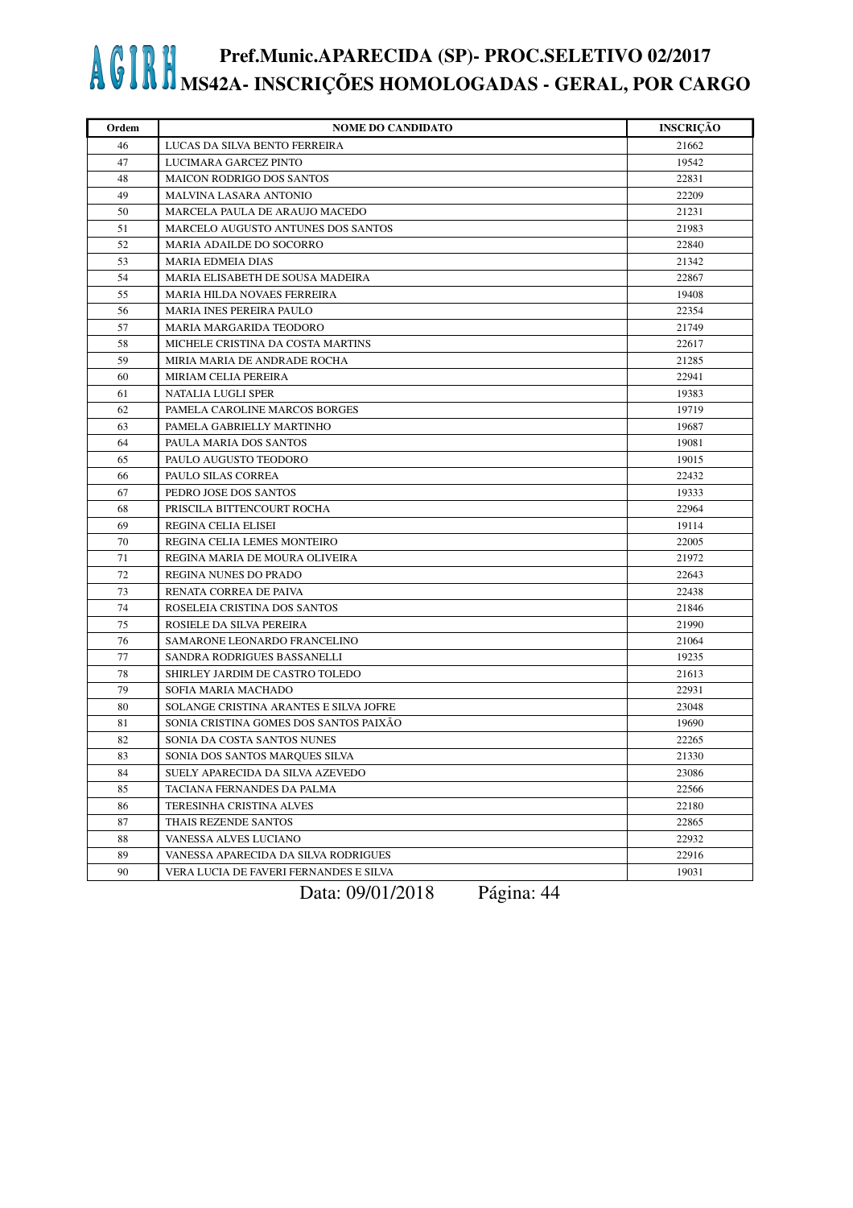| Ordem | <b>NOME DO CANDIDATO</b>               | <b>INSCRIÇÃO</b> |
|-------|----------------------------------------|------------------|
| 46    | LUCAS DA SILVA BENTO FERREIRA          | 21662            |
| 47    | LUCIMARA GARCEZ PINTO                  | 19542            |
| 48    | <b>MAICON RODRIGO DOS SANTOS</b>       | 22831            |
| 49    | <b>MALVINA LASARA ANTONIO</b>          | 22209            |
| 50    | MARCELA PAULA DE ARAUJO MACEDO         | 21231            |
| 51    | MARCELO AUGUSTO ANTUNES DOS SANTOS     | 21983            |
| 52    | MARIA ADAILDE DO SOCORRO               | 22840            |
| 53    | <b>MARIA EDMEIA DIAS</b>               | 21342            |
| 54    | MARIA ELISABETH DE SOUSA MADEIRA       | 22867            |
| 55    | MARIA HILDA NOVAES FERREIRA            | 19408            |
| 56    | MARIA INES PEREIRA PAULO               | 22354            |
| 57    | MARIA MARGARIDA TEODORO                | 21749            |
| 58    | MICHELE CRISTINA DA COSTA MARTINS      | 22617            |
| 59    | MIRIA MARIA DE ANDRADE ROCHA           | 21285            |
| 60    | MIRIAM CELIA PEREIRA                   | 22941            |
| 61    | NATALIA LUGLI SPER                     | 19383            |
| 62    | PAMELA CAROLINE MARCOS BORGES          | 19719            |
| 63    | PAMELA GABRIELLY MARTINHO              | 19687            |
| 64    | PAULA MARIA DOS SANTOS                 | 19081            |
| 65    | PAULO AUGUSTO TEODORO                  | 19015            |
| 66    | PAULO SILAS CORREA                     | 22432            |
| 67    | PEDRO JOSE DOS SANTOS                  | 19333            |
| 68    | PRISCILA BITTENCOURT ROCHA             | 22964            |
| 69    | REGINA CELIA ELISEI                    | 19114            |
| 70    | REGINA CELIA LEMES MONTEIRO            | 22005            |
| 71    | REGINA MARIA DE MOURA OLIVEIRA         | 21972            |
| 72    | REGINA NUNES DO PRADO                  | 22643            |
| 73    | RENATA CORREA DE PAIVA                 | 22438            |
| 74    | ROSELEIA CRISTINA DOS SANTOS           | 21846            |
| 75    | ROSIELE DA SILVA PEREIRA               | 21990            |
| 76    | SAMARONE LEONARDO FRANCELINO           | 21064            |
| 77    | SANDRA RODRIGUES BASSANELLI            | 19235            |
| 78    | SHIRLEY JARDIM DE CASTRO TOLEDO        | 21613            |
| 79    | SOFIA MARIA MACHADO                    | 22931            |
| 80    | SOLANGE CRISTINA ARANTES E SILVA JOFRE | 23048            |
| 81    | SONIA CRISTINA GOMES DOS SANTOS PAIXÃO | 19690            |
| 82    | SONIA DA COSTA SANTOS NUNES            | 22265            |
| 83    | SONIA DOS SANTOS MARQUES SILVA         | 21330            |
| 84    | SUELY APARECIDA DA SILVA AZEVEDO       | 23086            |
| 85    | TACIANA FERNANDES DA PALMA             | 22566            |
| 86    | TERESINHA CRISTINA ALVES               | 22180            |
| 87    | THAIS REZENDE SANTOS                   | 22865            |
| 88    | VANESSA ALVES LUCIANO                  | 22932            |
| 89    | VANESSA APARECIDA DA SILVA RODRIGUES   | 22916            |
| 90    | VERA LUCIA DE FAVERI FERNANDES E SILVA | 19031            |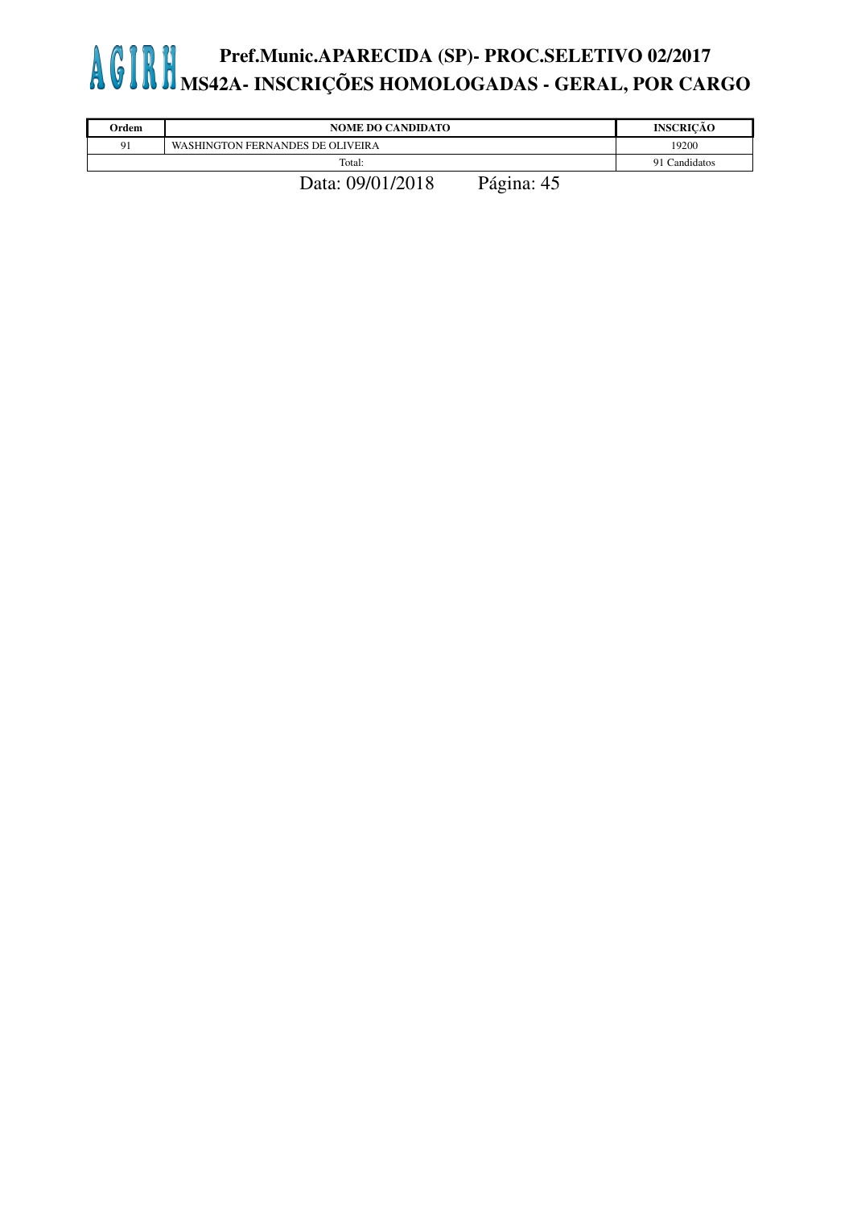| Ordem | <b>NOME DO CANDIDATO</b>         | <b>INSCRICÃO</b> |
|-------|----------------------------------|------------------|
| 91    | WASHINGTON FERNANDES DE OLIVEIRA | 19200            |
|       | Total:                           | 91 Candidatos    |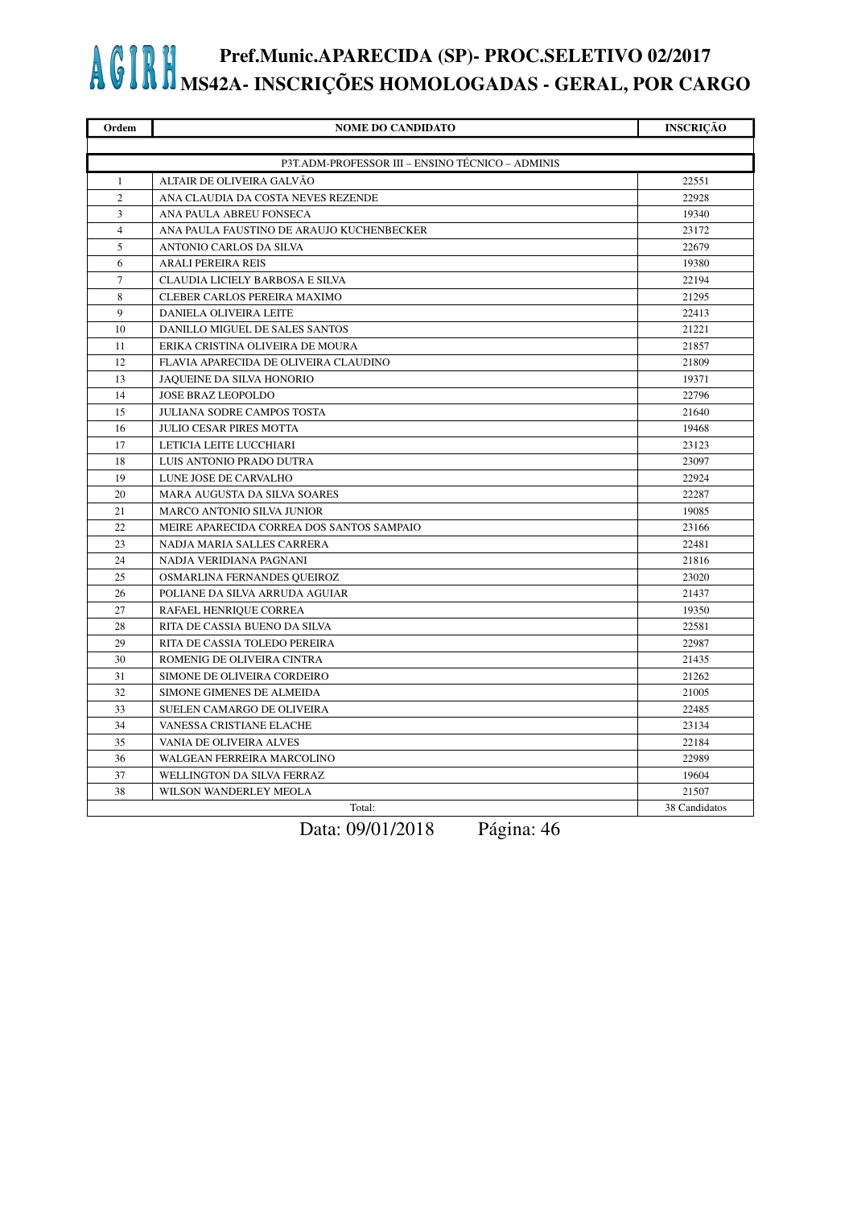| Ordem          | <b>NOME DO CANDIDATO</b>                         | <b>INSCRIÇÃO</b> |
|----------------|--------------------------------------------------|------------------|
|                |                                                  |                  |
|                | P3T.ADM-PROFESSOR III - ENSINO TÉCNICO - ADMINIS |                  |
| $\mathbf{1}$   | ALTAIR DE OLIVEIRA GALVÃO                        | 22551            |
| $\overline{2}$ | ANA CLAUDIA DA COSTA NEVES REZENDE               | 22928            |
| 3              | ANA PAULA ABREU FONSECA                          | 19340            |
| $\overline{4}$ | ANA PAULA FAUSTINO DE ARAUJO KUCHENBECKER        | 23172            |
| 5              | ANTONIO CARLOS DA SILVA                          | 22679            |
| 6              | <b>ARALI PEREIRA REIS</b>                        | 19380            |
| $\tau$         | CLAUDIA LICIELY BARBOSA E SILVA                  | 22194            |
| 8              | CLEBER CARLOS PEREIRA MAXIMO                     | 21295            |
| 9              | DANIELA OLIVEIRA LEITE                           | 22413            |
| 10             | DANILLO MIGUEL DE SALES SANTOS                   | 21221            |
| 11             | ERIKA CRISTINA OLIVEIRA DE MOURA                 | 21857            |
| 12             | FLAVIA APARECIDA DE OLIVEIRA CLAUDINO            | 21809            |
| 13             | JAQUEINE DA SILVA HONORIO                        | 19371            |
| 14             | <b>JOSE BRAZ LEOPOLDO</b>                        | 22796            |
| 15             | <b>JULIANA SODRE CAMPOS TOSTA</b>                | 21640            |
| 16             | <b>JULIO CESAR PIRES MOTTA</b>                   | 19468            |
| 17             | LETICIA LEITE LUCCHIARI                          | 23123            |
| 18             | LUIS ANTONIO PRADO DUTRA                         | 23097            |
| 19             | LUNE JOSE DE CARVALHO                            | 22924            |
| 20             | MARA AUGUSTA DA SILVA SOARES                     | 22287            |
| 21             | <b>MARCO ANTONIO SILVA JUNIOR</b>                | 19085            |
| 22             | MEIRE APARECIDA CORREA DOS SANTOS SAMPAIO        | 23166            |
| 23             | NADJA MARIA SALLES CARRERA                       | 22481            |
| 24             | NADJA VERIDIANA PAGNANI                          | 21816            |
| 25             | OSMARLINA FERNANDES QUEIROZ                      | 23020            |
| 26             | POLIANE DA SILVA ARRUDA AGUIAR                   | 21437            |
| 27             | RAFAEL HENRIQUE CORREA                           | 19350            |
| 28             | RITA DE CASSIA BUENO DA SILVA                    | 22581            |
| 29             | RITA DE CASSIA TOLEDO PEREIRA                    | 22987            |
| 30             | ROMENIG DE OLIVEIRA CINTRA                       | 21435            |
| 31             | SIMONE DE OLIVEIRA CORDEIRO                      | 21262            |
| 32             | SIMONE GIMENES DE ALMEIDA                        | 21005            |
| 33             | SUELEN CAMARGO DE OLIVEIRA                       | 22485            |
| 34             | VANESSA CRISTIANE ELACHE                         | 23134            |
| 35             | VANIA DE OLIVEIRA ALVES                          | 22184            |
| 36             | WALGEAN FERREIRA MARCOLINO                       | 22989            |
| 37             | WELLINGTON DA SILVA FERRAZ                       | 19604            |
| 38             | WILSON WANDERLEY MEOLA                           | 21507            |
|                | Total:                                           | 38 Candidatos    |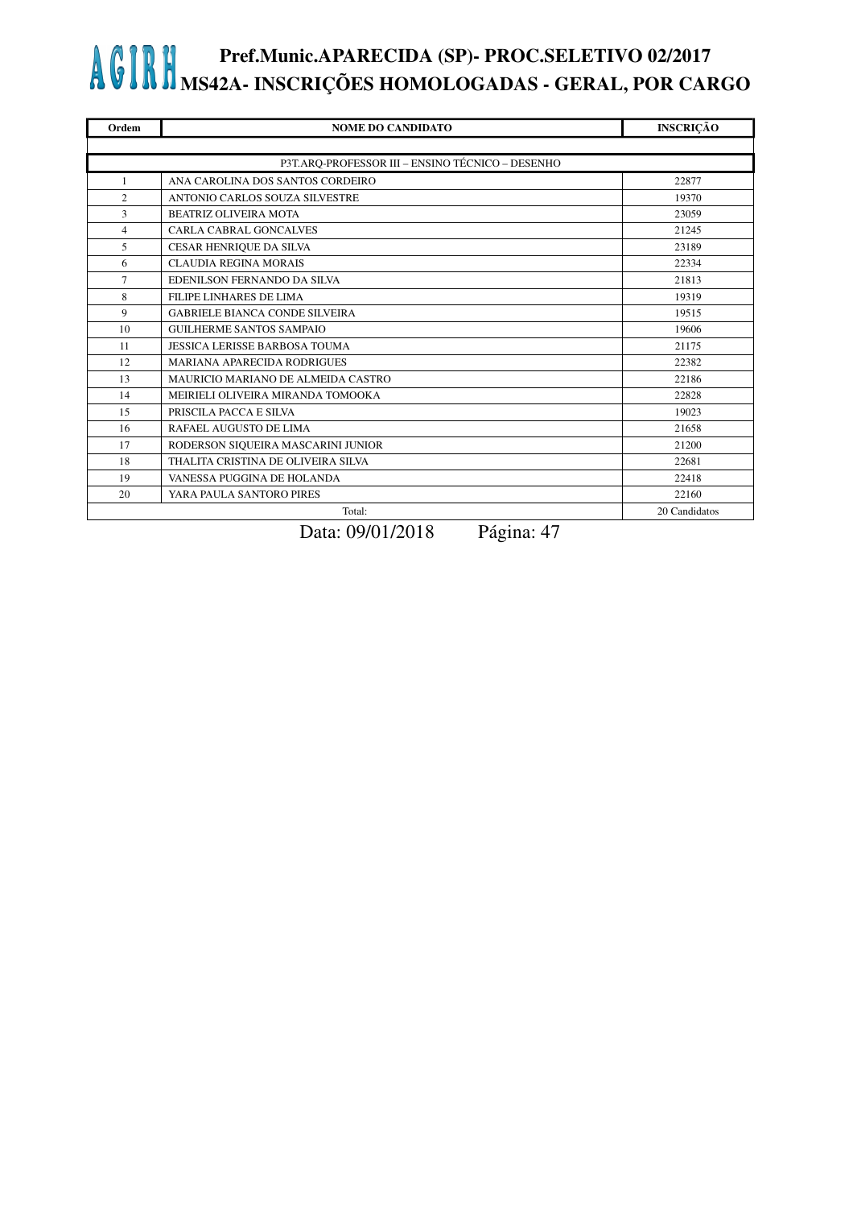| Ordem          | <b>NOME DO CANDIDATO</b>                         | <b>INSCRIÇÃO</b> |
|----------------|--------------------------------------------------|------------------|
|                |                                                  |                  |
|                | P3T.ARQ-PROFESSOR III - ENSINO TÉCNICO - DESENHO |                  |
| 1              | ANA CAROLINA DOS SANTOS CORDEIRO                 | 22877            |
| $\overline{2}$ | ANTONIO CARLOS SOUZA SILVESTRE                   | 19370            |
| 3              | <b>BEATRIZ OLIVEIRA MOTA</b>                     | 23059            |
| $\overline{4}$ | <b>CARLA CABRAL GONCALVES</b>                    | 21245            |
| 5              | CESAR HENRIQUE DA SILVA                          | 23189            |
| 6              | <b>CLAUDIA REGINA MORAIS</b>                     | 22334            |
| $\overline{7}$ | EDENILSON FERNANDO DA SILVA                      | 21813            |
| 8              | <b>FILIPE LINHARES DE LIMA</b>                   | 19319            |
| 9              | <b>GABRIELE BIANCA CONDE SILVEIRA</b>            | 19515            |
| 10             | <b>GUILHERME SANTOS SAMPAIO</b>                  | 19606            |
| 11             | <b>JESSICA LERISSE BARBOSA TOUMA</b>             | 21175            |
| 12             | <b>MARIANA APARECIDA RODRIGUES</b>               | 22382            |
| 13             | MAURICIO MARIANO DE ALMEIDA CASTRO               | 22186            |
| 14             | MEIRIELI OLIVEIRA MIRANDA TOMOOKA                | 22828            |
| 15             | PRISCILA PACCA E SILVA                           | 19023            |
| 16             | RAFAEL AUGUSTO DE LIMA                           | 21658            |
| 17             | RODERSON SIQUEIRA MASCARINI JUNIOR               | 21200            |
| 18             | THALITA CRISTINA DE OLIVEIRA SILVA               | 22681            |
| 19             | VANESSA PUGGINA DE HOLANDA                       | 22418            |
| 20             | YARA PAULA SANTORO PIRES                         | 22160            |
|                | Total:                                           | 20 Candidatos    |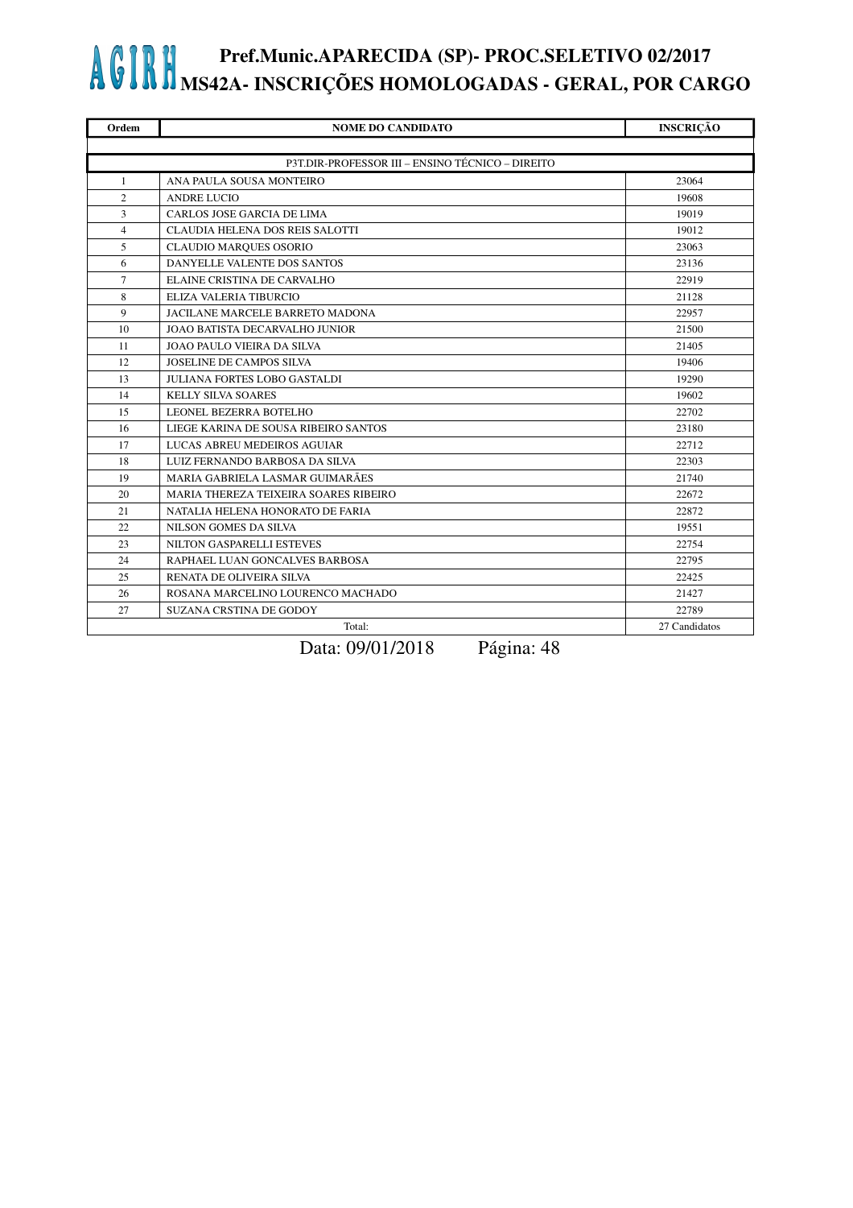| Ordem          | <b>NOME DO CANDIDATO</b>                         | <b>INSCRIÇÃO</b> |  |
|----------------|--------------------------------------------------|------------------|--|
|                |                                                  |                  |  |
|                | P3T.DIR-PROFESSOR III - ENSINO TÉCNICO - DIREITO |                  |  |
| $\mathbf{1}$   | ANA PAULA SOUSA MONTEIRO                         | 23064            |  |
| $\overline{c}$ | <b>ANDRE LUCIO</b>                               | 19608            |  |
| 3              | CARLOS JOSE GARCIA DE LIMA                       | 19019            |  |
| $\overline{4}$ | CLAUDIA HELENA DOS REIS SALOTTI                  | 19012            |  |
| 5              | <b>CLAUDIO MARQUES OSORIO</b>                    | 23063            |  |
| 6              | DANYELLE VALENTE DOS SANTOS                      | 23136            |  |
| $\overline{7}$ | ELAINE CRISTINA DE CARVALHO                      | 22919            |  |
| 8              | ELIZA VALERIA TIBURCIO                           | 21128            |  |
| 9              | JACILANE MARCELE BARRETO MADONA                  | 22957            |  |
| 10             | JOAO BATISTA DECARVALHO JUNIOR                   | 21500            |  |
| 11             | <b>JOAO PAULO VIEIRA DA SILVA</b>                | 21405            |  |
| 12             | <b>JOSELINE DE CAMPOS SILVA</b>                  | 19406            |  |
| 13             | JULIANA FORTES LOBO GASTALDI                     | 19290            |  |
| 14             | <b>KELLY SILVA SOARES</b>                        | 19602            |  |
| 15             | LEONEL BEZERRA BOTELHO                           | 22702            |  |
| 16             | LIEGE KARINA DE SOUSA RIBEIRO SANTOS             | 23180            |  |
| 17             | LUCAS ABREU MEDEIROS AGUIAR                      | 22712            |  |
| 18             | LUIZ FERNANDO BARBOSA DA SILVA                   | 22303            |  |
| 19             | MARIA GABRIELA LASMAR GUIMARÃES                  | 21740            |  |
| 20             | MARIA THEREZA TEIXEIRA SOARES RIBEIRO            | 22672            |  |
| 21             | NATALIA HELENA HONORATO DE FARIA                 | 22872            |  |
| 22             | NILSON GOMES DA SILVA                            | 19551            |  |
| 23             | NILTON GASPARELLI ESTEVES                        | 22754            |  |
| 24             | RAPHAEL LUAN GONCALVES BARBOSA                   | 22795            |  |
| 25             | RENATA DE OLIVEIRA SILVA                         | 22425            |  |
| 26             | ROSANA MARCELINO LOURENCO MACHADO                | 21427            |  |
| 27             | <b>SUZANA CRSTINA DE GODOY</b>                   | 22789            |  |
|                | Total:                                           | 27 Candidatos    |  |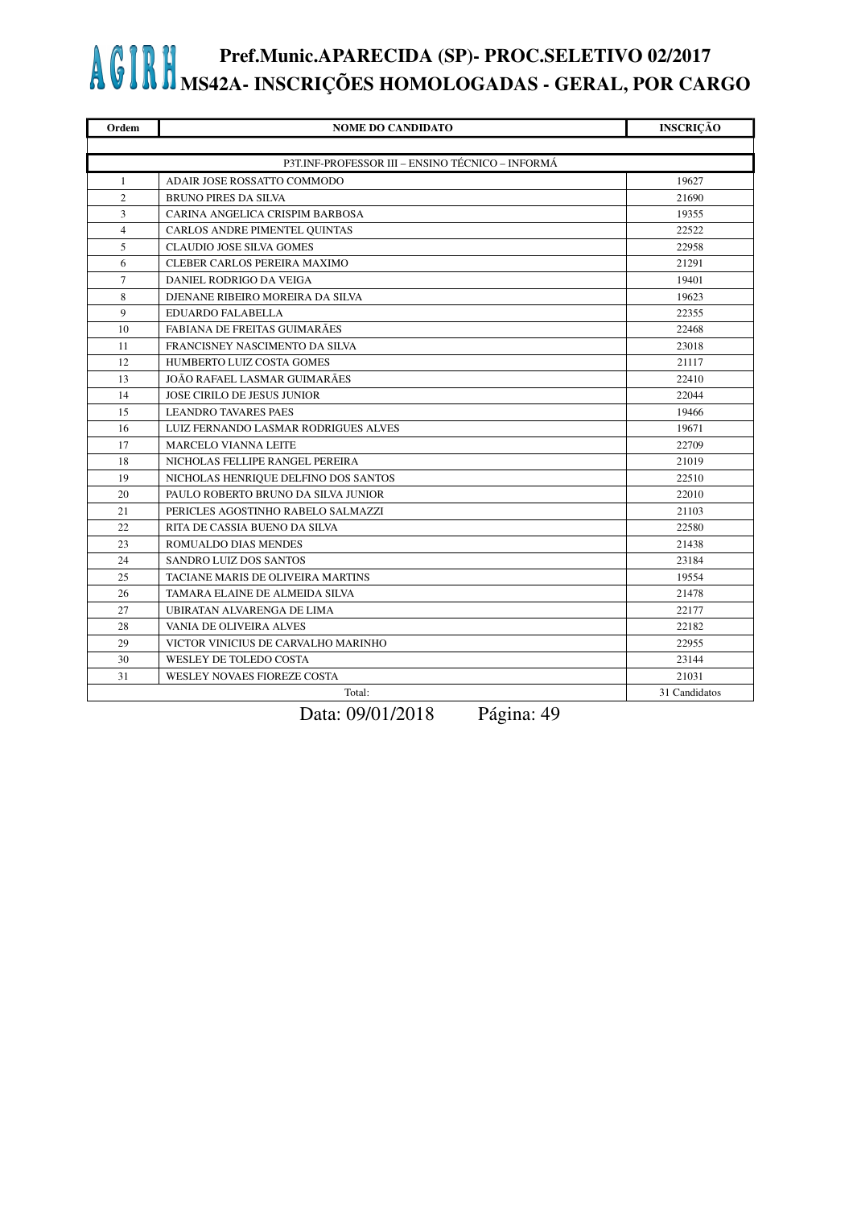| Ordem                                            | <b>NOME DO CANDIDATO</b>             | <b>INSCRIÇÃO</b> |  |
|--------------------------------------------------|--------------------------------------|------------------|--|
|                                                  |                                      |                  |  |
| P3T.INF-PROFESSOR III – ENSINO TÉCNICO – INFORMÁ |                                      |                  |  |
| 1                                                | ADAIR JOSE ROSSATTO COMMODO          | 19627            |  |
| $\overline{c}$                                   | <b>BRUNO PIRES DA SILVA</b>          | 21690            |  |
| 3                                                | CARINA ANGELICA CRISPIM BARBOSA      | 19355            |  |
| $\overline{4}$                                   | CARLOS ANDRE PIMENTEL QUINTAS        | 22522            |  |
| 5                                                | <b>CLAUDIO JOSE SILVA GOMES</b>      | 22958            |  |
| 6                                                | CLEBER CARLOS PEREIRA MAXIMO         | 21291            |  |
| $\tau$                                           | DANIEL RODRIGO DA VEIGA              | 19401            |  |
| 8                                                | DJENANE RIBEIRO MOREIRA DA SILVA     | 19623            |  |
| $\mathbf{Q}$                                     | <b>EDUARDO FALABELLA</b>             | 22355            |  |
| 10                                               | FABIANA DE FREITAS GUIMARÃES         | 22468            |  |
| 11                                               | FRANCISNEY NASCIMENTO DA SILVA       | 23018            |  |
| 12                                               | HUMBERTO LUIZ COSTA GOMES            | 21117            |  |
| 13                                               | JOÃO RAFAEL LASMAR GUIMARÃES         | 22410            |  |
| 14                                               | <b>JOSE CIRILO DE JESUS JUNIOR</b>   | 22044            |  |
| 15                                               | <b>LEANDRO TAVARES PAES</b>          | 19466            |  |
| 16                                               | LUIZ FERNANDO LASMAR RODRIGUES ALVES | 19671            |  |
| 17                                               | <b>MARCELO VIANNA LEITE</b>          | 22709            |  |
| 18                                               | NICHOLAS FELLIPE RANGEL PEREIRA      | 21019            |  |
| 19                                               | NICHOLAS HENRIQUE DELFINO DOS SANTOS | 22510            |  |
| 20                                               | PAULO ROBERTO BRUNO DA SILVA JUNIOR  | 22010            |  |
| 21                                               | PERICLES AGOSTINHO RABELO SALMAZZI   | 21103            |  |
| 22                                               | RITA DE CASSIA BUENO DA SILVA        | 22580            |  |
| 23                                               | ROMUALDO DIAS MENDES                 | 21438            |  |
| 24                                               | <b>SANDRO LUIZ DOS SANTOS</b>        | 23184            |  |
| 25                                               | TACIANE MARIS DE OLIVEIRA MARTINS    | 19554            |  |
| 26                                               | TAMARA ELAINE DE ALMEIDA SILVA       | 21478            |  |
| 27                                               | UBIRATAN ALVARENGA DE LIMA           | 22177            |  |
| 28                                               | VANIA DE OLIVEIRA ALVES              | 22182            |  |
| 29                                               | VICTOR VINICIUS DE CARVALHO MARINHO  | 22955            |  |
| 30                                               | WESLEY DE TOLEDO COSTA               | 23144            |  |
| 31                                               | WESLEY NOVAES FIOREZE COSTA          | 21031            |  |
| Total:                                           |                                      | 31 Candidatos    |  |